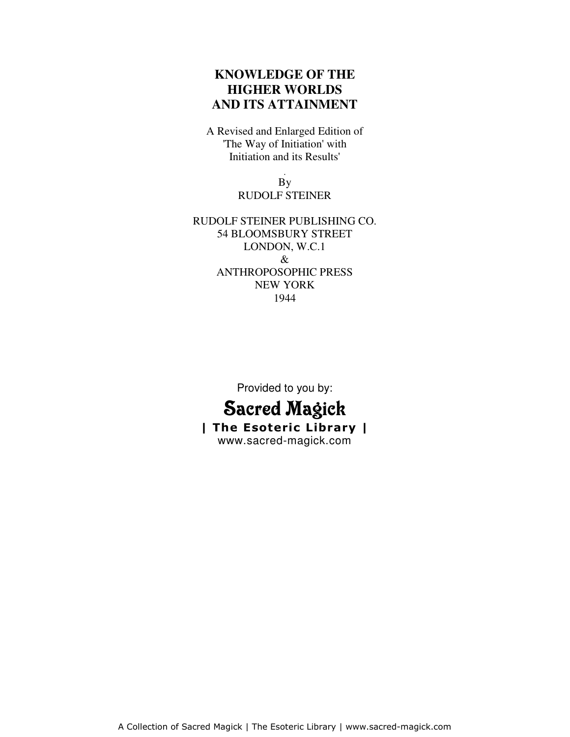## **KNOWLEDGE OF THE HIGHER WORLDS AND ITS ATTAINMENT**

A Revised and Enlarged Edition of 'The Way of Initiation' with Initiation and its Results'

> By RUDOLF STEINER -

RUDOLF STEINER PUBLISHING CO. 54 BLOOMSBURY STREET LONDON, W.C.1 & ANTHROPOSOPHIC PRESS NEW YORK 1944

Provided to you by:

# Sacred Magick | The Esoteric Library | [www.sacred-magick.com](http://www.sacred-magick.com/)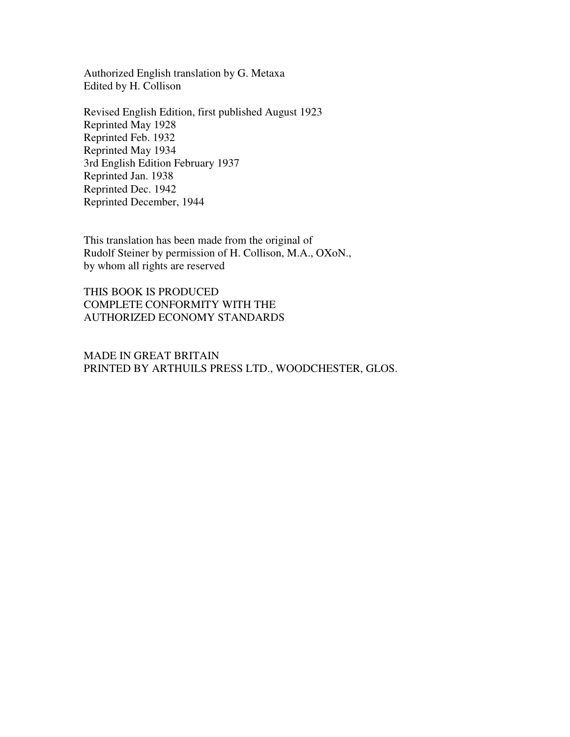Authorized English translation by G. Metaxa Edited by H. Collison

Revised English Edition, first published August 1923 Reprinted May 1928 Reprinted Feb. 1932 Reprinted May 1934 3rd English Edition February 1937 Reprinted Jan. 1938 Reprinted Dec. 1942 Reprinted December, 1944

This translation has been made from the original of Rudolf Steiner by permission of H. Collison, M.A., OXoN., by whom all rights are reserved

THIS BOOK IS PRODUCED COMPLETE CONFORMITY WITH THE AUTHORIZED ECONOMY STANDARDS

MADE IN GREAT BRITAIN PRINTED BY ARTHUILS PRESS LTD., WOODCHESTER, GLOS.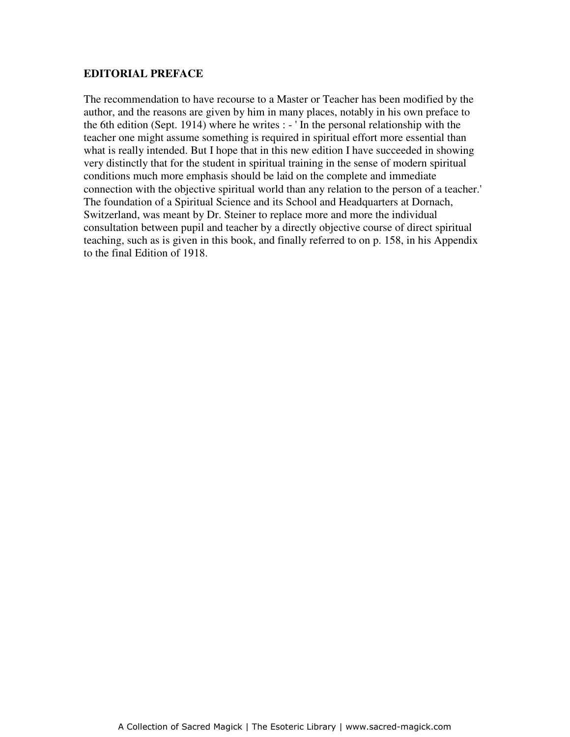## **EDITORIAL PREFACE**

The recommendation to have recourse to a Master or Teacher has been modified by the author, and the reasons are given by him in many places, notably in his own preface to the 6th edition (Sept. 1914) where he writes : - ' In the personal relationship with the teacher one might assume something is required in spiritual effort more essential than what is really intended. But I hope that in this new edition I have succeeded in showing very distinctly that for the student in spiritual training in the sense of modern spiritual conditions much more emphasis should be laid on the complete and immediate connection with the objective spiritual world than any relation to the person of a teacher.' The foundation of a Spiritual Science and its School and Headquarters at Dornach, Switzerland, was meant by Dr. Steiner to replace more and more the individual consultation between pupil and teacher by a directly objective course of direct spiritual teaching, such as is given in this book, and finally referred to on p. 158, in his Appendix to the final Edition of 1918.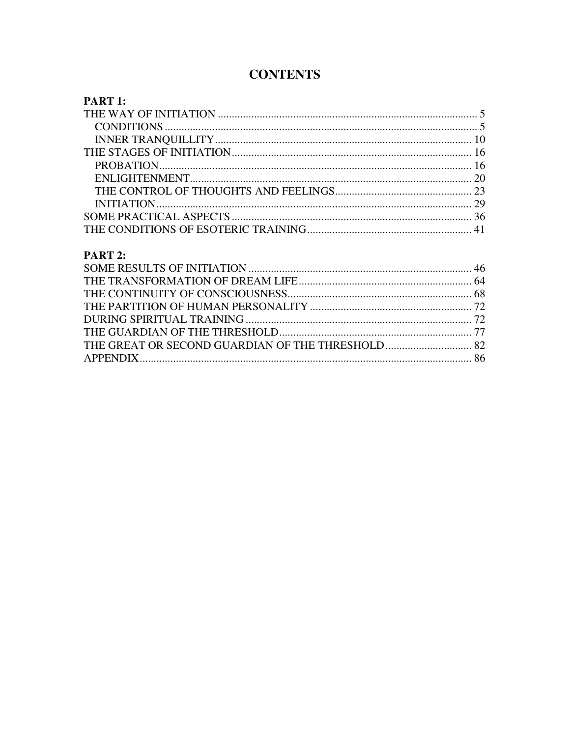# **CONTENTS**

| <b>PART 1:</b> |  |
|----------------|--|
|                |  |
|                |  |
|                |  |
|                |  |
|                |  |
|                |  |
|                |  |
|                |  |
|                |  |
|                |  |

## PART 2: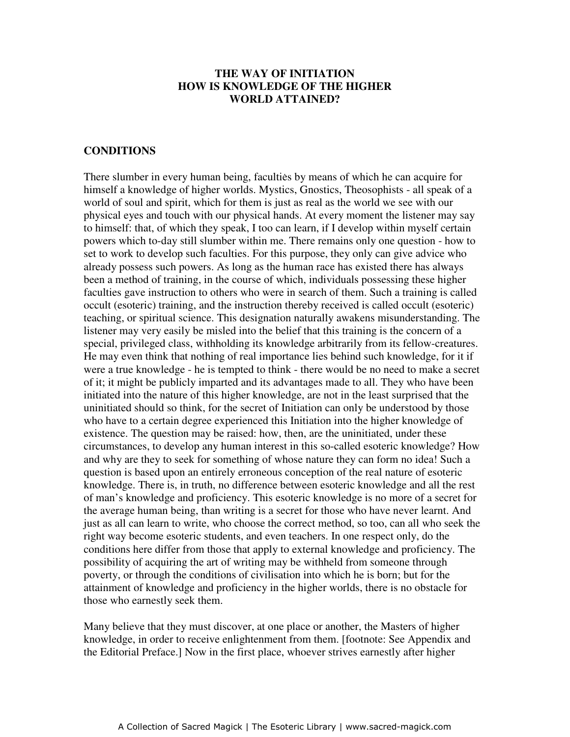## **THE WAY OF INITIATION HOW IS KNOWLEDGE OF THE HIGHER WORLD ATTAINED?**

## <span id="page-4-0"></span>**CONDITIONS**

There slumber in every human being, faculties by means of which he can acquire for himself a knowledge of higher worlds. Mystics, Gnostics, Theosophists - all speak of a world of soul and spirit, which for them is just as real as the world we see with our physical eyes and touch with our physical hands. At every moment the listener may say to himself: that, of which they speak, I too can learn, if I develop within myself certain powers which to-day still slumber within me. There remains only one question - how to set to work to develop such faculties. For this purpose, they only can give advice who already possess such powers. As long as the human race has existed there has always been a method of training, in the course of which, individuals possessing these higher faculties gave instruction to others who were in search of them. Such a training is called occult (esoteric) training, and the instruction thereby received is called occult (esoteric) teaching, or spiritual science. This designation naturally awakens misunderstanding. The listener may very easily be misled into the belief that this training is the concern of a special, privileged class, withholding its knowledge arbitrarily from its fellow-creatures. He may even think that nothing of real importance lies behind such knowledge, for it if were a true knowledge - he is tempted to think - there would be no need to make a secret of it; it might be publicly imparted and its advantages made to all. They who have been initiated into the nature of this higher knowledge, are not in the least surprised that the uninitiated should so think, for the secret of Initiation can only be understood by those who have to a certain degree experienced this Initiation into the higher knowledge of existence. The question may be raised: how, then, are the uninitiated, under these circumstances, to develop any human interest in this so-called esoteric knowledge? How and why are they to seek for something of whose nature they can form no idea! Such a question is based upon an entirely erroneous conception of the real nature of esoteric knowledge. There is, in truth, no difference between esoteric knowledge and all the rest of man's knowledge and proficiency. This esoteric knowledge is no more of a secret for the average human being, than writing is a secret for those who have never learnt. And just as all can learn to write, who choose the correct method, so too, can all who seek the right way become esoteric students, and even teachers. In one respect only, do the conditions here differ from those that apply to external knowledge and proficiency. The possibility of acquiring the art of writing may be withheld from someone through poverty, or through the conditions of civilisation into which he is born; but for the attainment of knowledge and proficiency in the higher worlds, there is no obstacle for those who earnestly seek them.

Many believe that they must discover, at one place or another, the Masters of higher knowledge, in order to receive enlightenment from them. [footnote: See Appendix and the Editorial Preface.] Now in the first place, whoever strives earnestly after higher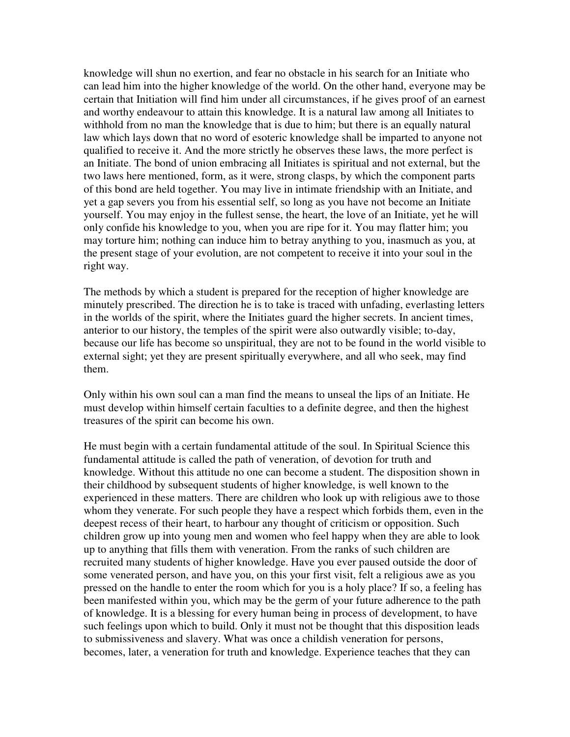knowledge will shun no exertion, and fear no obstacle in his search for an Initiate who can lead him into the higher knowledge of the world. On the other hand, everyone may be certain that Initiation will find him under all circumstances, if he gives proof of an earnest and worthy endeavour to attain this knowledge. It is a natural law among all Initiates to withhold from no man the knowledge that is due to him; but there is an equally natural law which lays down that no word of esoteric knowledge shall be imparted to anyone not qualified to receive it. And the more strictly he observes these laws, the more perfect is an Initiate. The bond of union embracing all Initiates is spiritual and not external, but the two laws here mentioned, form, as it were, strong clasps, by which the component parts of this bond are held together. You may live in intimate friendship with an Initiate, and yet a gap severs you from his essential self, so long as you have not become an Initiate yourself. You may enjoy in the fullest sense, the heart, the love of an Initiate, yet he will only confide his knowledge to you, when you are ripe for it. You may flatter him; you may torture him; nothing can induce him to betray anything to you, inasmuch as you, at the present stage of your evolution, are not competent to receive it into your soul in the right way.

The methods by which a student is prepared for the reception of higher knowledge are minutely prescribed. The direction he is to take is traced with unfading, everlasting letters in the worlds of the spirit, where the Initiates guard the higher secrets. In ancient times, anterior to our history, the temples of the spirit were also outwardly visible; to-day, because our life has become so unspiritual, they are not to be found in the world visible to external sight; yet they are present spiritually everywhere, and all who seek, may find them.

Only within his own soul can a man find the means to unseal the lips of an Initiate. He must develop within himself certain faculties to a definite degree, and then the highest treasures of the spirit can become his own.

He must begin with a certain fundamental attitude of the soul. In Spiritual Science this fundamental attitude is called the path of veneration, of devotion for truth and knowledge. Without this attitude no one can become a student. The disposition shown in their childhood by subsequent students of higher knowledge, is well known to the experienced in these matters. There are children who look up with religious awe to those whom they venerate. For such people they have a respect which forbids them, even in the deepest recess of their heart, to harbour any thought of criticism or opposition. Such children grow up into young men and women who feel happy when they are able to look up to anything that fills them with veneration. From the ranks of such children are recruited many students of higher knowledge. Have you ever paused outside the door of some venerated person, and have you, on this your first visit, felt a religious awe as you pressed on the handle to enter the room which for you is a holy place? If so, a feeling has been manifested within you, which may be the germ of your future adherence to the path of knowledge. It is a blessing for every human being in process of development, to have such feelings upon which to build. Only it must not be thought that this disposition leads to submissiveness and slavery. What was once a childish veneration for persons, becomes, later, a veneration for truth and knowledge. Experience teaches that they can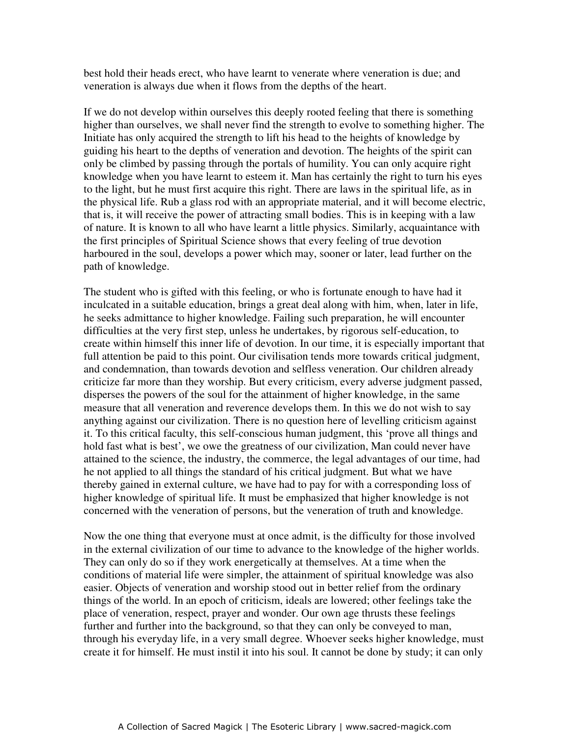best hold their heads erect, who have learnt to venerate where veneration is due; and veneration is always due when it flows from the depths of the heart.

If we do not develop within ourselves this deeply rooted feeling that there is something higher than ourselves, we shall never find the strength to evolve to something higher. The Initiate has only acquired the strength to lift his head to the heights of knowledge by guiding his heart to the depths of veneration and devotion. The heights of the spirit can only be climbed by passing through the portals of humility. You can only acquire right knowledge when you have learnt to esteem it. Man has certainly the right to turn his eyes to the light, but he must first acquire this right. There are laws in the spiritual life, as in the physical life. Rub a glass rod with an appropriate material, and it will become electric, that is, it will receive the power of attracting small bodies. This is in keeping with a law of nature. It is known to all who have learnt a little physics. Similarly, acquaintance with the first principles of Spiritual Science shows that every feeling of true devotion harboured in the soul, develops a power which may, sooner or later, lead further on the path of knowledge.

The student who is gifted with this feeling, or who is fortunate enough to have had it inculcated in a suitable education, brings a great deal along with him, when, later in life, he seeks admittance to higher knowledge. Failing such preparation, he will encounter difficulties at the very first step, unless he undertakes, by rigorous self-education, to create within himself this inner life of devotion. In our time, it is especially important that full attention be paid to this point. Our civilisation tends more towards critical judgment, and condemnation, than towards devotion and selfless veneration. Our children already criticize far more than they worship. But every criticism, every adverse judgment passed, disperses the powers of the soul for the attainment of higher knowledge, in the same measure that all veneration and reverence develops them. In this we do not wish to say anything against our civilization. There is no question here of levelling criticism against it. To this critical faculty, this self-conscious human judgment, this 'prove all things and hold fast what is best', we owe the greatness of our civilization, Man could never have attained to the science, the industry, the commerce, the legal advantages of our time, had he not applied to all things the standard of his critical judgment. But what we have thereby gained in external culture, we have had to pay for with a corresponding loss of higher knowledge of spiritual life. It must be emphasized that higher knowledge is not concerned with the veneration of persons, but the veneration of truth and knowledge.

Now the one thing that everyone must at once admit, is the difficulty for those involved in the external civilization of our time to advance to the knowledge of the higher worlds. They can only do so if they work energetically at themselves. At a time when the conditions of material life were simpler, the attainment of spiritual knowledge was also easier. Objects of veneration and worship stood out in better relief from the ordinary things of the world. In an epoch of criticism, ideals are lowered; other feelings take the place of veneration, respect, prayer and wonder. Our own age thrusts these feelings further and further into the background, so that they can only be conveyed to man, through his everyday life, in a very small degree. Whoever seeks higher knowledge, must create it for himself. He must instil it into his soul. It cannot be done by study; it can only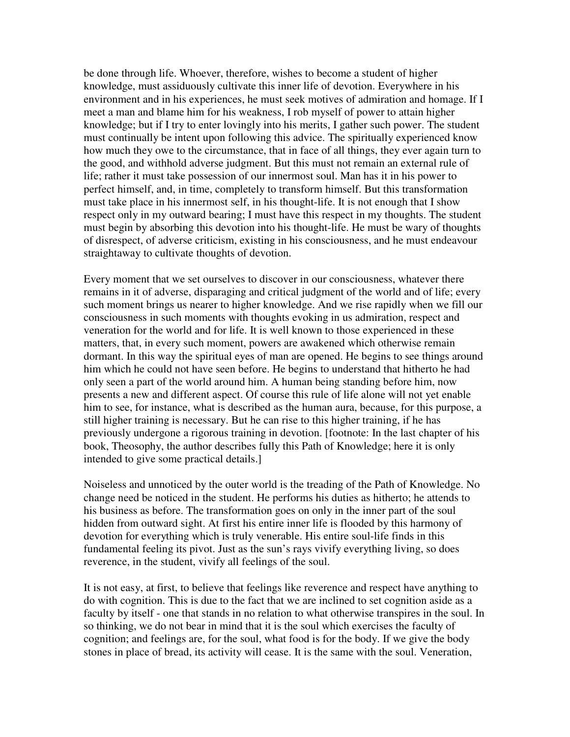be done through life. Whoever, therefore, wishes to become a student of higher knowledge, must assiduously cultivate this inner life of devotion. Everywhere in his environment and in his experiences, he must seek motives of admiration and homage. If I meet a man and blame him for his weakness, I rob myself of power to attain higher knowledge; but if I try to enter lovingly into his merits, I gather such power. The student must continually be intent upon following this advice. The spiritually experienced know how much they owe to the circumstance, that in face of all things, they ever again turn to the good, and withhold adverse judgment. But this must not remain an external rule of life; rather it must take possession of our innermost soul. Man has it in his power to perfect himself, and, in time, completely to transform himself. But this transformation must take place in his innermost self, in his thought-life. It is not enough that I show respect only in my outward bearing; I must have this respect in my thoughts. The student must begin by absorbing this devotion into his thought-life. He must be wary of thoughts of disrespect, of adverse criticism, existing in his consciousness, and he must endeavour straightaway to cultivate thoughts of devotion.

Every moment that we set ourselves to discover in our consciousness, whatever there remains in it of adverse, disparaging and critical judgment of the world and of life; every such moment brings us nearer to higher knowledge. And we rise rapidly when we fill our consciousness in such moments with thoughts evoking in us admiration, respect and veneration for the world and for life. It is well known to those experienced in these matters, that, in every such moment, powers are awakened which otherwise remain dormant. In this way the spiritual eyes of man are opened. He begins to see things around him which he could not have seen before. He begins to understand that hitherto he had only seen a part of the world around him. A human being standing before him, now presents a new and different aspect. Of course this rule of life alone will not yet enable him to see, for instance, what is described as the human aura, because, for this purpose, a still higher training is necessary. But he can rise to this higher training, if he has previously undergone a rigorous training in devotion. [footnote: In the last chapter of his book, Theosophy, the author describes fully this Path of Knowledge; here it is only intended to give some practical details.]

Noiseless and unnoticed by the outer world is the treading of the Path of Knowledge. No change need be noticed in the student. He performs his duties as hitherto; he attends to his business as before. The transformation goes on only in the inner part of the soul hidden from outward sight. At first his entire inner life is flooded by this harmony of devotion for everything which is truly venerable. His entire soul-life finds in this fundamental feeling its pivot. Just as the sun's rays vivify everything living, so does reverence, in the student, vivify all feelings of the soul.

It is not easy, at first, to believe that feelings like reverence and respect have anything to do with cognition. This is due to the fact that we are inclined to set cognition aside as a faculty by itself - one that stands in no relation to what otherwise transpires in the soul. In so thinking, we do not bear in mind that it is the soul which exercises the faculty of cognition; and feelings are, for the soul, what food is for the body. If we give the body stones in place of bread, its activity will cease. It is the same with the soul. Veneration,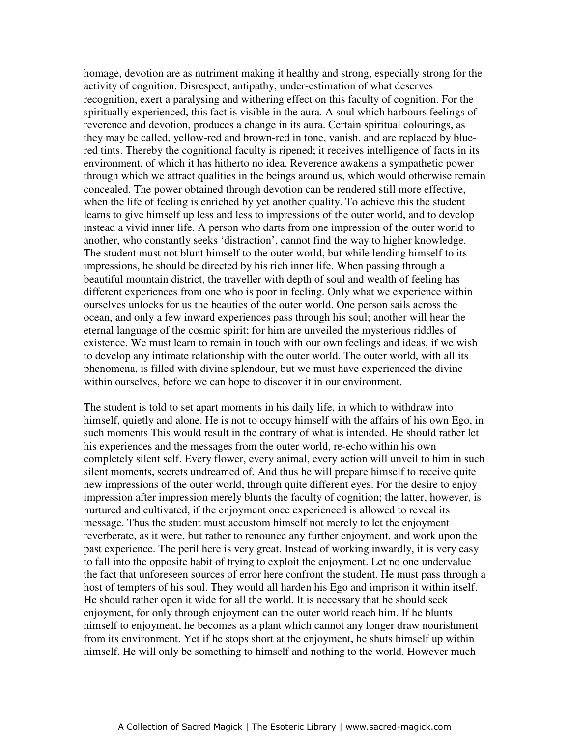homage, devotion are as nutriment making it healthy and strong, especially strong for the activity of cognition. Disrespect, antipathy, under-estimation of what deserves recognition, exert a paralysing and withering effect on this faculty of cognition. For the spiritually experienced, this fact is visible in the aura. A soul which harbours feelings of reverence and devotion, produces a change in its aura. Certain spiritual colourings, as they may be called, yellow-red and brown-red in tone, vanish, and are replaced by bluered tints. Thereby the cognitional faculty is ripened; it receives intelligence of facts in its environment, of which it has hitherto no idea. Reverence awakens a sympathetic power through which we attract qualities in the beings around us, which would otherwise remain concealed. The power obtained through devotion can be rendered still more effective, when the life of feeling is enriched by yet another quality. To achieve this the student learns to give himself up less and less to impressions of the outer world, and to develop instead a vivid inner life. A person who darts from one impression of the outer world to another, who constantly seeks 'distraction', cannot find the way to higher knowledge. The student must not blunt himself to the outer world, but while lending himself to its impressions, he should be directed by his rich inner life. When passing through a beautiful mountain district, the traveller with depth of soul and wealth of feeling has different experiences from one who is poor in feeling. Only what we experience within ourselves unlocks for us the beauties of the outer world. One person sails across the ocean, and only a few inward experiences pass through his soul; another will hear the eternal language of the cosmic spirit; for him are unveiled the mysterious riddles of existence. We must learn to remain in touch with our own feelings and ideas, if we wish to develop any intimate relationship with the outer world. The outer world, with all its phenomena, is filled with divine splendour, but we must have experienced the divine within ourselves, before we can hope to discover it in our environment.

The student is told to set apart moments in his daily life, in which to withdraw into himself, quietly and alone. He is not to occupy himself with the affairs of his own Ego, in such moments This would result in the contrary of what is intended. He should rather let his experiences and the messages from the outer world, re-echo within his own completely silent self. Every flower, every animal, every action will unveil to him in such silent moments, secrets undreamed of. And thus he will prepare himself to receive quite new impressions of the outer world, through quite different eyes. For the desire to enjoy impression after impression merely blunts the faculty of cognition; the latter, however, is nurtured and cultivated, if the enjoyment once experienced is allowed to reveal its message. Thus the student must accustom himself not merely to let the enjoyment reverberate, as it were, but rather to renounce any further enjoyment, and work upon the past experience. The peril here is very great. Instead of working inwardly, it is very easy to fall into the opposite habit of trying to exploit the enjoyment. Let no one undervalue the fact that unforeseen sources of error here confront the student. He must pass through a host of tempters of his soul. They would all harden his Ego and imprison it within itself. He should rather open it wide for all the world. It is necessary that he should seek enjoyment, for only through enjoyment can the outer world reach him. If he blunts himself to enjoyment, he becomes as a plant which cannot any longer draw nourishment from its environment. Yet if he stops short at the enjoyment, he shuts himself up within himself. He will only be something to himself and nothing to the world. However much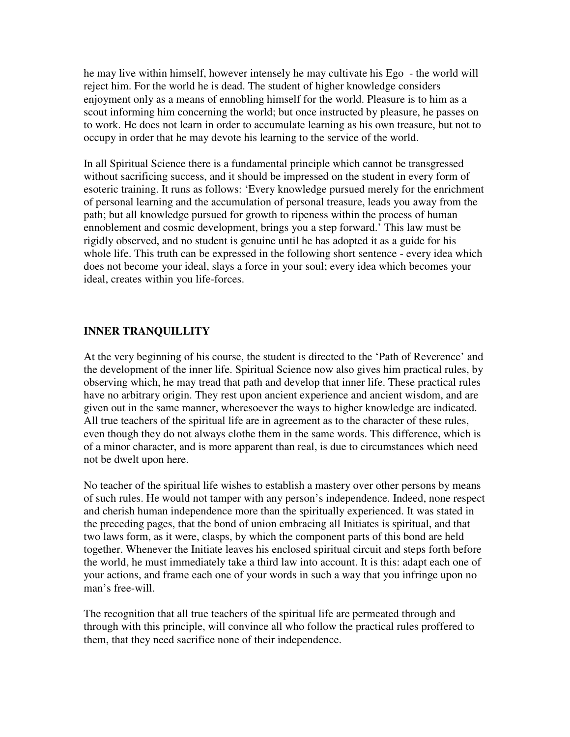<span id="page-9-0"></span>he may live within himself, however intensely he may cultivate his Ego - the world will reject him. For the world he is dead. The student of higher knowledge considers enjoyment only as a means of ennobling himself for the world. Pleasure is to him as a scout informing him concerning the world; but once instructed by pleasure, he passes on to work. He does not learn in order to accumulate learning as his own treasure, but not to occupy in order that he may devote his learning to the service of the world.

In all Spiritual Science there is a fundamental principle which cannot be transgressed without sacrificing success, and it should be impressed on the student in every form of esoteric training. It runs as follows: 'Every knowledge pursued merely for the enrichment of personal learning and the accumulation of personal treasure, leads you away from the path; but all knowledge pursued for growth to ripeness within the process of human ennoblement and cosmic development, brings you a step forward.' This law must be rigidly observed, and no student is genuine until he has adopted it as a guide for his whole life. This truth can be expressed in the following short sentence - every idea which does not become your ideal, slays a force in your soul; every idea which becomes your ideal, creates within you life-forces.

## **INNER TRANQUILLITY**

At the very beginning of his course, the student is directed to the 'Path of Reverence' and the development of the inner life. Spiritual Science now also gives him practical rules, by observing which, he may tread that path and develop that inner life. These practical rules have no arbitrary origin. They rest upon ancient experience and ancient wisdom, and are given out in the same manner, wheresoever the ways to higher knowledge are indicated. All true teachers of the spiritual life are in agreement as to the character of these rules, even though they do not always clothe them in the same words. This difference, which is of a minor character, and is more apparent than real, is due to circumstances which need not be dwelt upon here.

No teacher of the spiritual life wishes to establish a mastery over other persons by means of such rules. He would not tamper with any person's independence. Indeed, none respect and cherish human independence more than the spiritually experienced. It was stated in the preceding pages, that the bond of union embracing all Initiates is spiritual, and that two laws form, as it were, clasps, by which the component parts of this bond are held together. Whenever the Initiate leaves his enclosed spiritual circuit and steps forth before the world, he must immediately take a third law into account. It is this: adapt each one of your actions, and frame each one of your words in such a way that you infringe upon no man's free-will.

The recognition that all true teachers of the spiritual life are permeated through and through with this principle, will convince all who follow the practical rules proffered to them, that they need sacrifice none of their independence.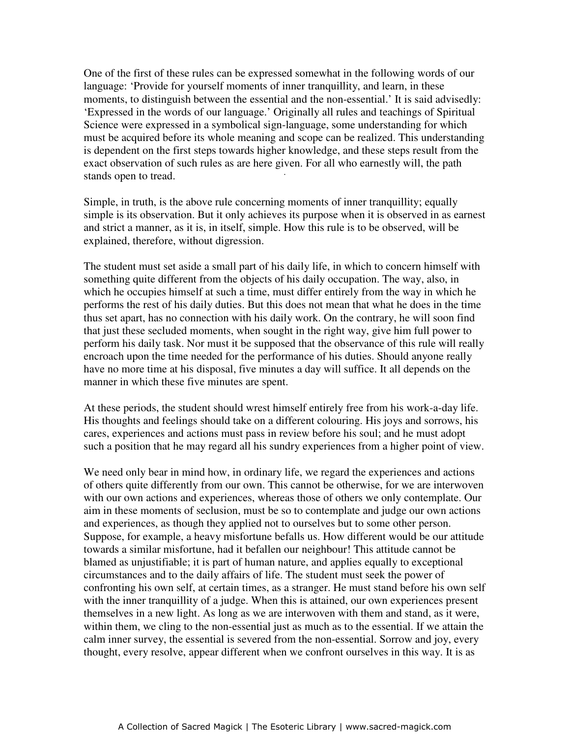One of the first of these rules can be expressed somewhat in the following words of our language: 'Provide for yourself moments of inner tranquillity, and learn, in these moments, to distinguish between the essential and the non-essential.' It is said advisedly: 'Expressed in the words of our language.' Originally all rules and teachings of Spiritual Science were expressed in a symbolical sign-language, some understanding for which must be acquired before its whole meaning and scope can be realized. This understanding is dependent on the first steps towards higher knowledge, and these steps result from the exact observation of such rules as are here given. For all who earnestly will, the path stands open to tread.

Simple, in truth, is the above rule concerning moments of inner tranquillity; equally simple is its observation. But it only achieves its purpose when it is observed in as earnest and strict a manner, as it is, in itself, simple. How this rule is to be observed, will be explained, therefore, without digression.

The student must set aside a small part of his daily life, in which to concern himself with something quite different from the objects of his daily occupation. The way, also, in which he occupies himself at such a time, must differ entirely from the way in which he performs the rest of his daily duties. But this does not mean that what he does in the time thus set apart, has no connection with his daily work. On the contrary, he will soon find that just these secluded moments, when sought in the right way, give him full power to perform his daily task. Nor must it be supposed that the observance of this rule will really encroach upon the time needed for the performance of his duties. Should anyone really have no more time at his disposal, five minutes a day will suffice. It all depends on the manner in which these five minutes are spent.

At these periods, the student should wrest himself entirely free from his work-a-day life. His thoughts and feelings should take on a different colouring. His joys and sorrows, his cares, experiences and actions must pass in review before his soul; and he must adopt such a position that he may regard all his sundry experiences from a higher point of view.

We need only bear in mind how, in ordinary life, we regard the experiences and actions of others quite differently from our own. This cannot be otherwise, for we are interwoven with our own actions and experiences, whereas those of others we only contemplate. Our aim in these moments of seclusion, must be so to contemplate and judge our own actions and experiences, as though they applied not to ourselves but to some other person. Suppose, for example, a heavy misfortune befalls us. How different would be our attitude towards a similar misfortune, had it befallen our neighbour! This attitude cannot be blamed as unjustifiable; it is part of human nature, and applies equally to exceptional circumstances and to the daily affairs of life. The student must seek the power of confronting his own self, at certain times, as a stranger. He must stand before his own self with the inner tranquillity of a judge. When this is attained, our own experiences present themselves in a new light. As long as we are interwoven with them and stand, as it were, within them, we cling to the non-essential just as much as to the essential. If we attain the calm inner survey, the essential is severed from the non-essential. Sorrow and joy, every thought, every resolve, appear different when we confront ourselves in this way. It is as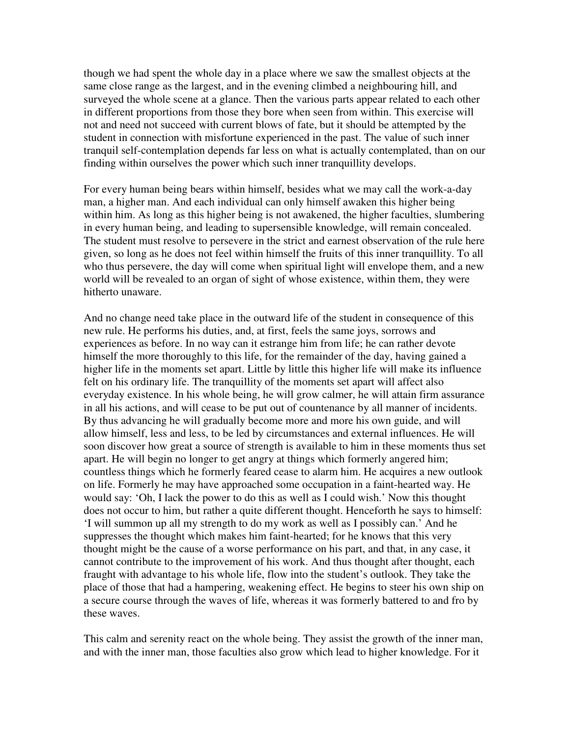though we had spent the whole day in a place where we saw the smallest objects at the same close range as the largest, and in the evening climbed a neighbouring hill, and surveyed the whole scene at a glance. Then the various parts appear related to each other in different proportions from those they bore when seen from within. This exercise will not and need not succeed with current blows of fate, but it should be attempted by the student in connection with misfortune experienced in the past. The value of such inner tranquil self-contemplation depends far less on what is actually contemplated, than on our finding within ourselves the power which such inner tranquillity develops.

For every human being bears within himself, besides what we may call the work-a-day man, a higher man. And each individual can only himself awaken this higher being within him. As long as this higher being is not awakened, the higher faculties, slumbering in every human being, and leading to supersensible knowledge, will remain concealed. The student must resolve to persevere in the strict and earnest observation of the rule here given, so long as he does not feel within himself the fruits of this inner tranquillity. To all who thus persevere, the day will come when spiritual light will envelope them, and a new world will be revealed to an organ of sight of whose existence, within them, they were hitherto unaware.

And no change need take place in the outward life of the student in consequence of this new rule. He performs his duties, and, at first, feels the same joys, sorrows and experiences as before. In no way can it estrange him from life; he can rather devote himself the more thoroughly to this life, for the remainder of the day, having gained a higher life in the moments set apart. Little by little this higher life will make its influence felt on his ordinary life. The tranquillity of the moments set apart will affect also everyday existence. In his whole being, he will grow calmer, he will attain firm assurance in all his actions, and will cease to be put out of countenance by all manner of incidents. By thus advancing he will gradually become more and more his own guide, and will allow himself, less and less, to be led by circumstances and external influences. He will soon discover how great a source of strength is available to him in these moments thus set apart. He will begin no longer to get angry at things which formerly angered him; countless things which he formerly feared cease to alarm him. He acquires a new outlook on life. Formerly he may have approached some occupation in a faint-hearted way. He would say: 'Oh, I lack the power to do this as well as I could wish.' Now this thought does not occur to him, but rather a quite different thought. Henceforth he says to himself: 'I will summon up all my strength to do my work as well as I possibly can.' And he suppresses the thought which makes him faint-hearted; for he knows that this very thought might be the cause of a worse performance on his part, and that, in any case, it cannot contribute to the improvement of his work. And thus thought after thought, each fraught with advantage to his whole life, flow into the student's outlook. They take the place of those that had a hampering, weakening effect. He begins to steer his own ship on a secure course through the waves of life, whereas it was formerly battered to and fro by these waves.

This calm and serenity react on the whole being. They assist the growth of the inner man, and with the inner man, those faculties also grow which lead to higher knowledge. For it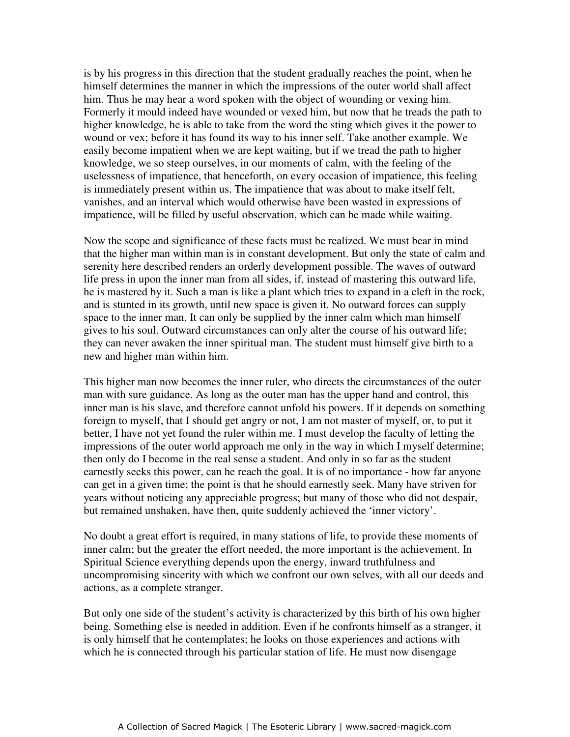is by his progress in this direction that the student gradually reaches the point, when he himself determines the manner in which the impressions of the outer world shall affect him. Thus he may hear a word spoken with the object of wounding or vexing him. Formerly it mould indeed have wounded or vexed him, but now that he treads the path to higher knowledge, he is able to take from the word the sting which gives it the power to wound or vex; before it has found its way to his inner self. Take another example. We easily become impatient when we are kept waiting, but if we tread the path to higher knowledge, we so steep ourselves, in our moments of calm, with the feeling of the and wheelge, we see steep earlier to, in our moments of earnit, while the resing of the uselessness of impatience, that henceforth, on every occasion of impatience, this feeling is immediately present within us. The impatience that was about to make itself felt, vanishes, and an interval which would otherwise have been wasted in expressions of impatience, will be filled by useful observation, which can be made while waiting.

Now the scope and significance of these facts must be realized. We must bear in mind that the higher man within man is in constant development. But only the state of calm and serenity here described renders an orderly development possible. The waves of outward life press in upon the inner man from all sides, if, instead of mastering this outward life, he is mastered by it. Such a man is like a plant which tries to expand in a cleft in the rock, and is stunted in its growth, until new space is given it. No outward forces can supply space to the inner man. It can only be supplied by the inner calm which man himself gives to his soul. Outward circumstances can only alter the course of his outward life; they can never awaken the inner spiritual man. The student must himself give birth to a new and higher man within him.

This higher man now becomes the inner ruler, who directs the circumstances of the outer man with sure guidance. As long as the outer man has the upper hand and control, this inner man is his slave, and therefore cannot unfold his powers. If it depends on something foreign to myself, that I should get angry or not, I am not master of myself, or, to put it better, I have not yet found the ruler within me. I must develop the faculty of letting the impressions of the outer world approach me only in the way in which I myself determine; then only do I become in the real sense a student. And only in so far as the student earnestly seeks this power, can he reach the goal. It is of no importance - how far anyone can get in a given time; the point is that he should earnestly seek. Many have striven for years without noticing any appreciable progress; but many of those who did not despair, but remained unshaken, have then, quite suddenly achieved the 'inner victory'.

No doubt a great effort is required, in many stations of life, to provide these moments of inner calm; but the greater the effort needed, the more important is the achievement. In Spiritual Science everything depends upon the energy, inward truthfulness and uncompromising sincerity with which we confront our own selves, with all our deeds and actions, as a complete stranger.

But only one side of the student's activity is characterized by this birth of his own higher being. Something else is needed in addition. Even if he confronts himself as a stranger, it is only himself that he contemplates; he looks on those experiences and actions with which he is connected through his particular station of life. He must now disengage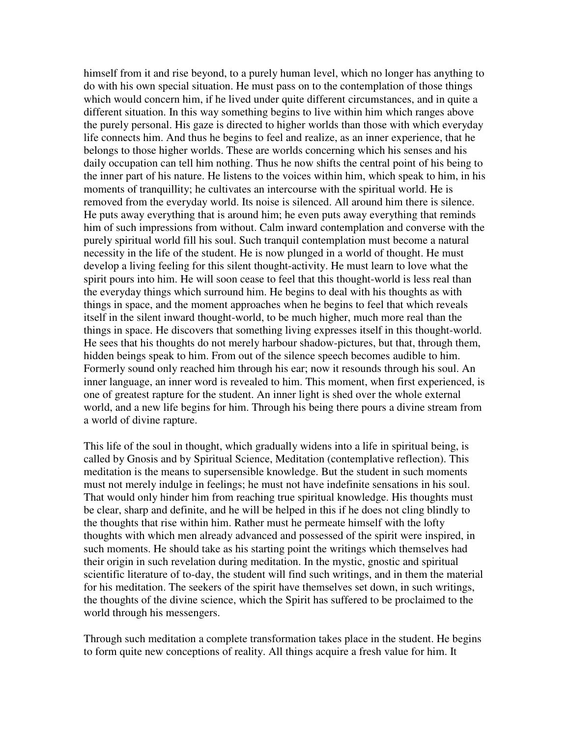himself from it and rise beyond, to a purely human level, which no longer has anything to do with his own special situation. He must pass on to the contemplation of those things which would concern him, if he lived under quite different circumstances, and in quite a different situation. In this way something begins to live within him which ranges above the purely personal. His gaze is directed to higher worlds than those with which everyday life connects him. And thus he begins to feel and realize, as an inner experience, that he belongs to those higher worlds. These are worlds concerning which his senses and his daily occupation can tell him nothing. Thus he now shifts the central point of his being to the inner part of his nature. He listens to the voices within him, which speak to him, in his moments of tranquillity; he cultivates an intercourse with the spiritual world. He is removed from the everyday world. Its noise is silenced. All around him there is silence. He puts away everything that is around him; he even puts away everything that reminds him of such impressions from without. Calm inward contemplation and converse with the purely spiritual world fill his soul. Such tranquil contemplation must become a natural necessity in the life of the student. He is now plunged in a world of thought. He must develop a living feeling for this silent thought-activity. He must learn to love what the spirit pours into him. He will soon cease to feel that this thought-world is less real than the everyday things which surround him. He begins to deal with his thoughts as with things in space, and the moment approaches when he begins to feel that which reveals itself in the silent inward thought-world, to be much higher, much more real than the things in space. He discovers that something living expresses itself in this thought-world. He sees that his thoughts do not merely harbour shadow-pictures, but that, through them, hidden beings speak to him. From out of the silence speech becomes audible to him. Formerly sound only reached him through his ear; now it resounds through his soul. An inner language, an inner word is revealed to him. This moment, when first experienced, is one of greatest rapture for the student. An inner light is shed over the whole external world, and a new life begins for him. Through his being there pours a divine stream from a world of divine rapture.

This life of the soul in thought, which gradually widens into a life in spiritual being, is called by Gnosis and by Spiritual Science, Meditation (contemplative reflection). This meditation is the means to supersensible knowledge. But the student in such moments must not merely indulge in feelings; he must not have indefinite sensations in his soul. That would only hinder him from reaching true spiritual knowledge. His thoughts must be clear, sharp and definite, and he will be helped in this if he does not cling blindly to the thoughts that rise within him. Rather must he permeate himself with the lofty thoughts with which men already advanced and possessed of the spirit were inspired, in such moments. He should take as his starting point the writings which themselves had their origin in such revelation during meditation. In the mystic, gnostic and spiritual scientific literature of to-day, the student will find such writings, and in them the material for his meditation. The seekers of the spirit have themselves set down, in such writings, the thoughts of the divine science, which the Spirit has suffered to be proclaimed to the world through his messengers.

Through such meditation a complete transformation takes place in the student. He begins to form quite new conceptions of reality. All things acquire a fresh value for him. It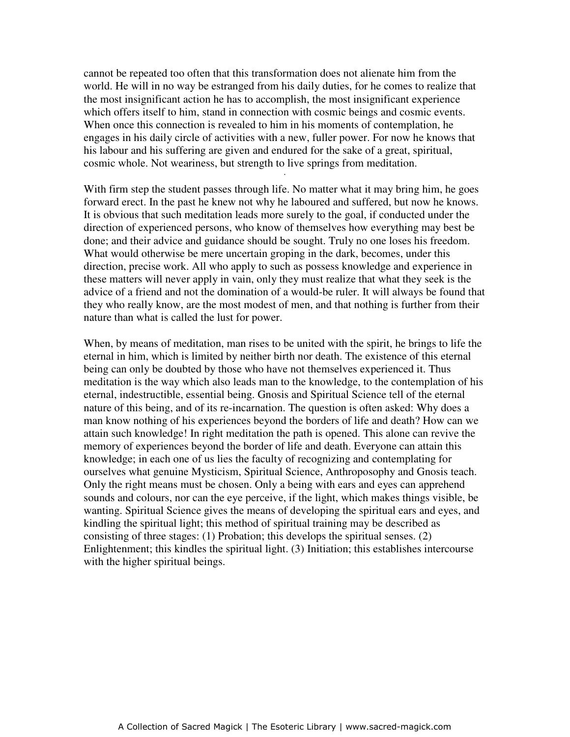cannot be repeated too often that this transformation does not alienate him from the world. He will in no way be estranged from his daily duties, for he comes to realize that the most insignificant action he has to accomplish, the most insignificant experience which offers itself to him, stand in connection with cosmic beings and cosmic events. When once this connection is revealed to him in his moments of contemplation, he engages in his daily circle of activities with a new, fuller power. For now he knows that his labour and his suffering are given and endured for the sake of a great, spiritual, cosmic whole. Not weariness, but strength to live springs from meditation. -

With firm step the student passes through life. No matter what it may bring him, he goes forward erect. In the past he knew not why he laboured and suffered, but now he knows. It is obvious that such meditation leads more surely to the goal, if conducted under the direction of experienced persons, who know of themselves how everything may best be done; and their advice and guidance should be sought. Truly no one loses his freedom. What would otherwise be mere uncertain groping in the dark, becomes, under this direction, precise work. All who apply to such as possess knowledge and experience in these matters will never apply in vain, only they must realize that what they seek is the advice of a friend and not the domination of a would-be ruler. It will always be found that they who really know, are the most modest of men, and that nothing is further from their nature than what is called the lust for power.

When, by means of meditation, man rises to be united with the spirit, he brings to life the eternal in him, which is limited by neither birth nor death. The existence of this eternal being can only be doubted by those who have not themselves experienced it. Thus meditation is the way which also leads man to the knowledge, to the contemplation of his eternal, indestructible, essential being. Gnosis and Spiritual Science tell of the eternal nature of this being, and of its re-incarnation. The question is often asked: Why does a man know nothing of his experiences beyond the borders of life and death? How can we attain such knowledge! In right meditation the path is opened. This alone can revive the memory of experiences beyond the border of life and death. Everyone can attain this knowledge; in each one of us lies the faculty of recognizing and contemplating for ourselves what genuine Mysticism, Spiritual Science, Anthroposophy and Gnosis teach. Only the right means must be chosen. Only a being with ears and eyes can apprehend sounds and colours, nor can the eye perceive, if the light, which makes things visible, be wanting. Spiritual Science gives the means of developing the spiritual ears and eyes, and kindling the spiritual light; this method of spiritual training may be described as consisting of three stages: (1) Probation; this develops the spiritual senses. (2) Enlightenment; this kindles the spiritual light. (3) Initiation; this establishes intercourse with the higher spiritual beings.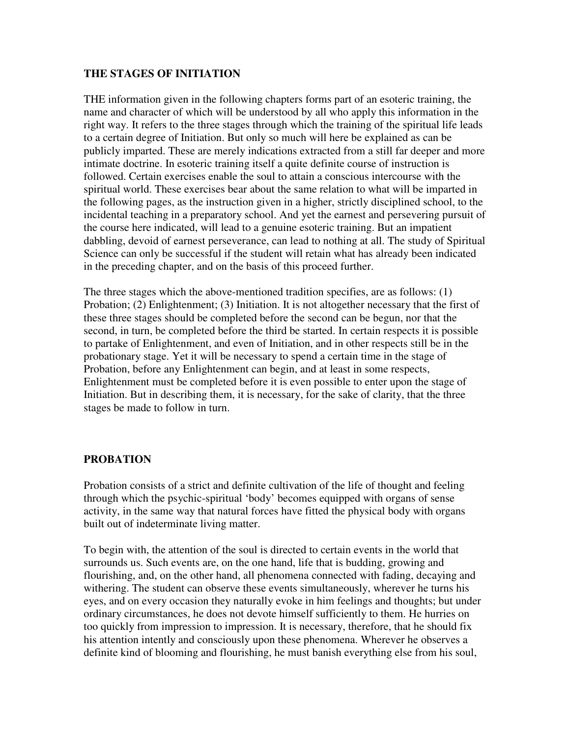## <span id="page-15-0"></span>**THE STAGES OF INITIATION**

THE information given in the following chapters forms part of an esoteric training, the name and character of which will be understood by all who apply this information in the right way. It refers to the three stages through which the training of the spiritual life leads to a certain degree of Initiation. But only so much will here be explained as can be publicly imparted. These are merely indications extracted from a still far deeper and more intimate doctrine. In esoteric training itself a quite definite course of instruction is followed. Certain exercises enable the soul to attain a conscious intercourse with the spiritual world. These exercises bear about the same relation to what will be imparted in the following pages, as the instruction given in a higher, strictly disciplined school, to the incidental teaching in a preparatory school. And yet the earnest and persevering pursuit of the course here indicated, will lead to a genuine esoteric training. But an impatient dabbling, devoid of earnest perseverance, can lead to nothing at all. The study of Spiritual Science can only be successful if the student will retain what has already been indicated in the preceding chapter, and on the basis of this proceed further.

The three stages which the above-mentioned tradition specifies, are as follows: (1) Probation; (2) Enlightenment; (3) Initiation. It is not altogether necessary that the first of these three stages should be completed before the second can be begun, nor that the second, in turn, be completed before the third be started. In certain respects it is possible to partake of Enlightenment, and even of Initiation, and in other respects still be in the probationary stage. Yet it will be necessary to spend a certain time in the stage of Probation, before any Enlightenment can begin, and at least in some respects, Enlightenment must be completed before it is even possible to enter upon the stage of Initiation. But in describing them, it is necessary, for the sake of clarity, that the three stages be made to follow in turn.

## **PROBATION**

Probation consists of a strict and definite cultivation of the life of thought and feeling through which the psychic-spiritual 'body' becomes equipped with organs of sense activity, in the same way that natural forces have fitted the physical body with organs built out of indeterminate living matter.

To begin with, the attention of the soul is directed to certain events in the world that surrounds us. Such events are, on the one hand, life that is budding, growing and flourishing, and, on the other hand, all phenomena connected with fading, decaying and withering. The student can observe these events simultaneously, wherever he turns his eyes, and on every occasion they naturally evoke in him feelings and thoughts; but under ordinary circumstances, he does not devote himself sufficiently to them. He hurries on too quickly from impression to impression. It is necessary, therefore, that he should fix his attention intently and consciously upon these phenomena. Wherever he observes a definite kind of blooming and flourishing, he must banish everything else from his soul,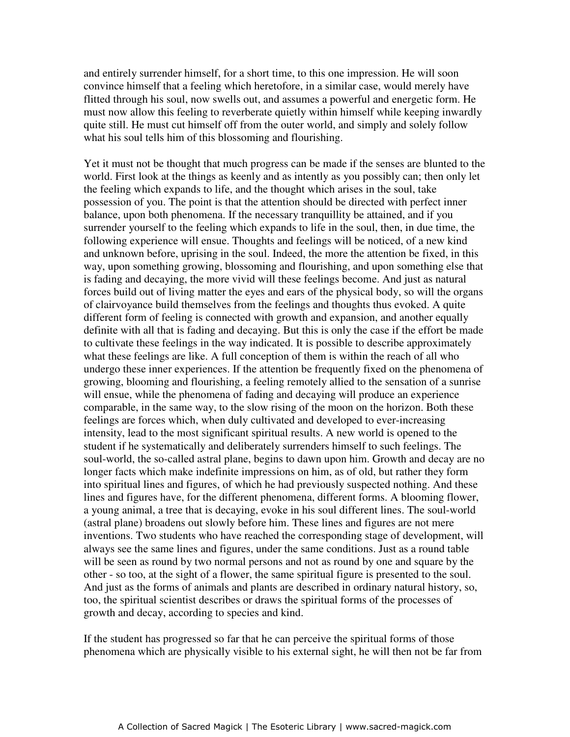and entirely surrender himself, for a short time, to this one impression. He will soon convince himself that a feeling which heretofore, in a similar case, would merely have flitted through his soul, now swells out, and assumes a powerful and energetic form. He must now allow this feeling to reverberate quietly within himself while keeping inwardly quite still. He must cut himself off from the outer world, and simply and solely follow what his soul tells him of this blossoming and flourishing.

Yet it must not be thought that much progress can be made if the senses are blunted to the world. First look at the things as keenly and as intently as you possibly can; then only let the feeling which expands to life, and the thought which arises in the soul, take possession of you. The point is that the attention should be directed with perfect inner balance, upon both phenomena. If the necessary tranquillity be attained, and if you surrender yourself to the feeling which expands to life in the soul, then, in due time, the following experience will ensue. Thoughts and feelings will be noticed, of a new kind and unknown before, uprising in the soul. Indeed, the more the attention be fixed, in this way, upon something growing, blossoming and flourishing, and upon something else that is fading and decaying, the more vivid will these feelings become. And just as natural forces build out of living matter the eyes and ears of the physical body, so will the organs of clairvoyance build themselves from the feelings and thoughts thus evoked. A quite different form of feeling is connected with growth and expansion, and another equally definite with all that is fading and decaying. But this is only the case if the effort be made to cultivate these feelings in the way indicated. It is possible to describe approximately what these feelings are like. A full conception of them is within the reach of all who undergo these inner experiences. If the attention be frequently fixed on the phenomena of growing, blooming and flourishing, a feeling remotely allied to the sensation of a sunrise will ensue, while the phenomena of fading and decaying will produce an experience comparable, in the same way, to the slow rising of the moon on the horizon. Both these feelings are forces which, when duly cultivated and developed to ever-increasing intensity, lead to the most significant spiritual results. A new world is opened to the student if he systematically and deliberately surrenders himself to such feelings. The soul-world, the so-called astral plane, begins to dawn upon him. Growth and decay are no longer facts which make indefinite impressions on him, as of old, but rather they form into spiritual lines and figures, of which he had previously suspected nothing. And these lines and figures have, for the different phenomena, different forms. A blooming flower, a young animal, a tree that is decaying, evoke in his soul different lines. The soul-world (astral plane) broadens out slowly before him. These lines and figures are not mere inventions. Two students who have reached the corresponding stage of development, will always see the same lines and figures, under the same conditions. Just as a round table will be seen as round by two normal persons and not as round by one and square by the other - so too, at the sight of a flower, the same spiritual figure is presented to the soul. And just as the forms of animals and plants are described in ordinary natural history, so, too, the spiritual scientist describes or draws the spiritual forms of the processes of growth and decay, according to species and kind.

If the student has progressed so far that he can perceive the spiritual forms of those phenomena which are physically visible to his external sight, he will then not be far from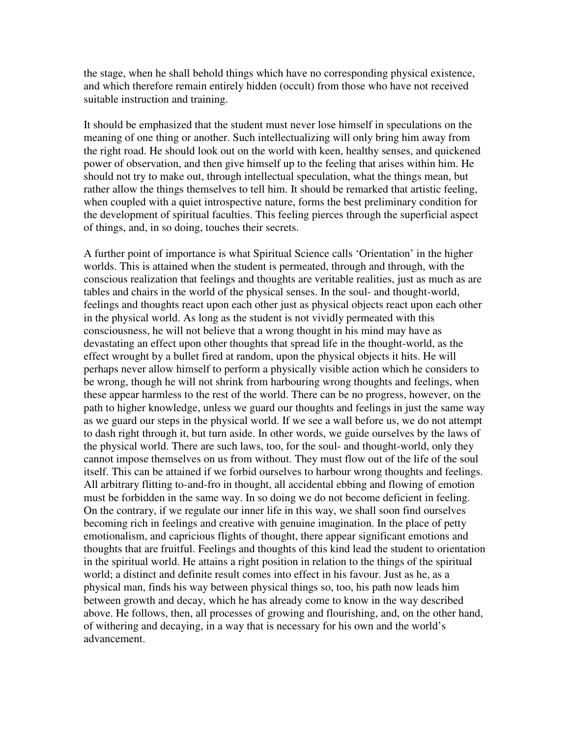the stage, when he shall behold things which have no corresponding physical existence, and which therefore remain entirely hidden (occult) from those who have not received suitable instruction and training.

It should be emphasized that the student must never lose himself in speculations on the meaning of one thing or another. Such intellectualizing will only bring him away from the right road. He should look out on the world with keen, healthy senses, and quickened power of observation, and then give himself up to the feeling that arises within him. He should not try to make out, through intellectual speculation, what the things mean, but rather allow the things themselves to tell him. It should be remarked that artistic feeling, when coupled with a quiet introspective nature, forms the best preliminary condition for the development of spiritual faculties. This feeling pierces through the superficial aspect of things, and, in so doing, touches their secrets.

A further point of importance is what Spiritual Science calls 'Orientation' in the higher worlds. This is attained when the student is permeated, through and through, with the conscious realization that feelings and thoughts are veritable realities, just as much as are tables and chairs in the world of the physical senses. In the soul- and thought-world, feelings and thoughts react upon each other just as physical objects react upon each other in the physical world. As long as the student is not vividly permeated with this consciousness, he will not believe that a wrong thought in his mind may have as devastating an effect upon other thoughts that spread life in the thought-world, as the effect wrought by a bullet fired at random, upon the physical objects it hits. He will perhaps never allow himself to perform a physically visible action which he considers to be wrong, though he will not shrink from harbouring wrong thoughts and feelings, when these appear harmless to the rest of the world. There can be no progress, however, on the path to higher knowledge, unless we guard our thoughts and feelings in just the same way as we guard our steps in the physical world. If we see a wall before us, we do not attempt to dash right through it, but turn aside. In other words, we guide ourselves by the laws of the physical world. There are such laws, too, for the soul- and thought-world, only they cannot impose themselves on us from without. They must flow out of the life of the soul itself. This can be attained if we forbid ourselves to harbour wrong thoughts and feelings. All arbitrary flitting to-and-fro in thought, all accidental ebbing and flowing of emotion must be forbidden in the same way. In so doing we do not become deficient in feeling. On the contrary, if we regulate our inner life in this way, we shall soon find ourselves becoming rich in feelings and creative with genuine imagination. In the place of petty emotionalism, and capricious flights of thought, there appear significant emotions and thoughts that are fruitful. Feelings and thoughts of this kind lead the student to orientation in the spiritual world. He attains a right position in relation to the things of the spiritual world; a distinct and definite result comes into effect in his favour. Just as he, as a physical man, finds his way between physical things so, too, his path now leads him between growth and decay, which he has already come to know in the way described above. He follows, then, all processes of growing and flourishing, and, on the other hand, of withering and decaying, in a way that is necessary for his own and the world's advancement.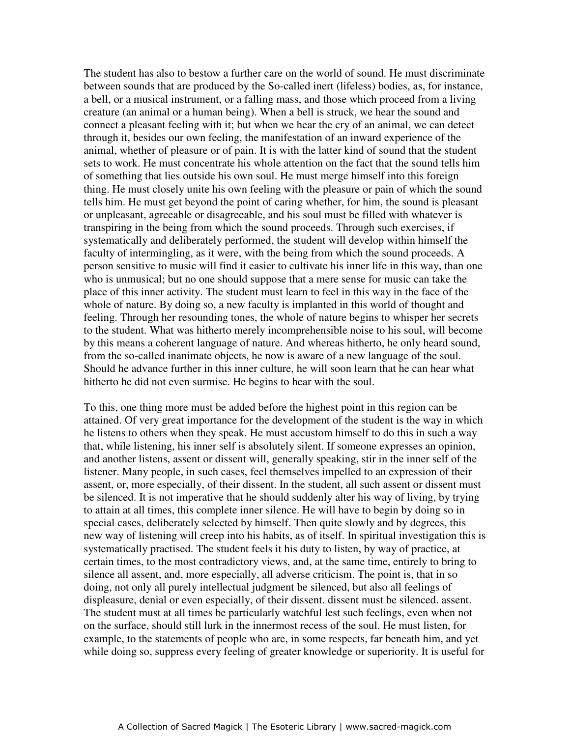The student has also to bestow a further care on the world of sound. He must discriminate between sounds that are produced by the So-called inert (lifeless) bodies, as, for instance, a bell, or a musical instrument, or a falling mass, and those which proceed from a living creature (an animal or a human being). When a bell is struck, we hear the sound and connect a pleasant feeling with it; but when we hear the cry of an animal, we can detect through it, besides our own feeling, the manifestation of an inward experience of the animal, whether of pleasure or of pain. It is with the latter kind of sound that the student sets to work. He must concentrate his whole attention on the fact that the sound tells him of something that lies outside his own soul. He must merge himself into this foreign thing. He must closely unite his own feeling with the pleasure or pain of which the sound tells him. He must get beyond the point of caring whether, for him, the sound is pleasant or unpleasant, agreeable or disagreeable, and his soul must be filled with whatever is transpiring in the being from which the sound proceeds. Through such exercises, if systematically and deliberately performed, the student will develop within himself the faculty of intermingling, as it were, with the being from which the sound proceeds. A person sensitive to music will find it easier to cultivate his inner life in this way, than one who is unmusical; but no one should suppose that a mere sense for music can take the place of this inner activity. The student must learn to feel in this way in the face of the whole of nature. By doing so, a new faculty is implanted in this world of thought and feeling. Through her resounding tones, the whole of nature begins to whisper her secrets to the student. What was hitherto merely incomprehensible noise to his soul, will become by this means a coherent language of nature. And whereas hitherto, he only heard sound, from the so-called inanimate objects, he now is aware of a new language of the soul. Should he advance further in this inner culture, he will soon learn that he can hear what hitherto he did not even surmise. He begins to hear with the soul.

To this, one thing more must be added before the highest point in this region can be attained. Of very great importance for the development of the student is the way in which he listens to others when they speak. He must accustom himself to do this in such a way that, while listening, his inner self is absolutely silent. If someone expresses an opinion, and another listens, assent or dissent will, generally speaking, stir in the inner self of the listener. Many people, in such cases, feel themselves impelled to an expression of their assent, or, more especially, of their dissent. In the student, all such assent or dissent must be silenced. It is not imperative that he should suddenly alter his way of living, by trying to attain at all times, this complete inner silence. He will have to begin by doing so in special cases, deliberately selected by himself. Then quite slowly and by degrees, this new way of listening will creep into his habits, as of itself. In spiritual investigation this is systematically practised. The student feels it his duty to listen, by way of practice, at certain times, to the most contradictory views, and, at the same time, entirely to bring to silence all assent, and, more especially, all adverse criticism. The point is, that in so doing, not only all purely intellectual judgment be silenced, but also all feelings of displeasure, denial or even especially, of their dissent. dissent must be silenced. assent. The student must at all times be particularly watchful lest such feelings, even when not on the surface, should still lurk in the innermost recess of the soul. He must listen, for example, to the statements of people who are, in some respects, far beneath him, and yet while doing so, suppress every feeling of greater knowledge or superiority. It is useful for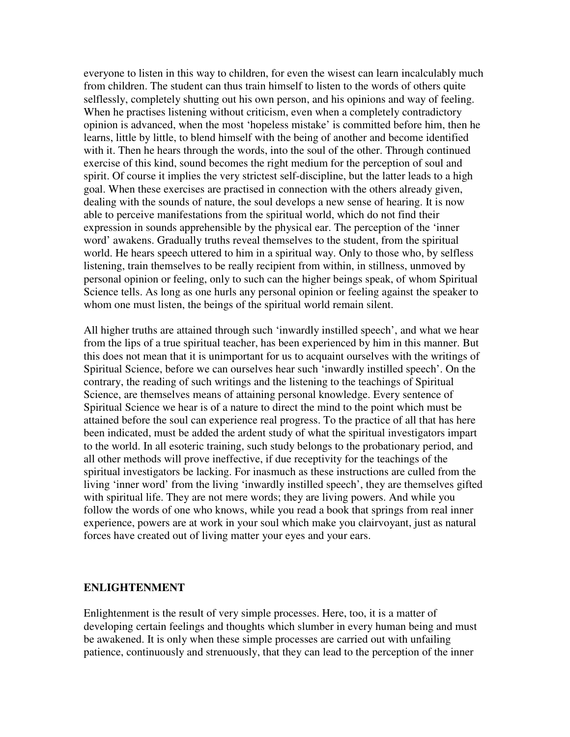<span id="page-19-0"></span>everyone to listen in this way to children, for even the wisest can learn incalculably much from children. The student can thus train himself to listen to the words of others quite selflessly, completely shutting out his own person, and his opinions and way of feeling. When he practises listening without criticism, even when a completely contradictory opinion is advanced, when the most 'hopeless mistake' is committed before him, then he learns, little by little, to blend himself with the being of another and become identified with it. Then he hears through the words, into the soul of the other. Through continued exercise of this kind, sound becomes the right medium for the perception of soul and spirit. Of course it implies the very strictest self-discipline, but the latter leads to a high goal. When these exercises are practised in connection with the others already given, dealing with the sounds of nature, the soul develops a new sense of hearing. It is now able to perceive manifestations from the spiritual world, which do not find their expression in sounds apprehensible by the physical ear. The perception of the 'inner word' awakens. Gradually truths reveal themselves to the student, from the spiritual world. He hears speech uttered to him in a spiritual way. Only to those who, by selfless listening, train themselves to be really recipient from within, in stillness, unmoved by personal opinion or feeling, only to such can the higher beings speak, of whom Spiritual Science tells. As long as one hurls any personal opinion or feeling against the speaker to whom one must listen, the beings of the spiritual world remain silent.

All higher truths are attained through such 'inwardly instilled speech', and what we hear from the lips of a true spiritual teacher, has been experienced by him in this manner. But this does not mean that it is unimportant for us to acquaint ourselves with the writings of Spiritual Science, before we can ourselves hear such 'inwardly instilled speech'. On the contrary, the reading of such writings and the listening to the teachings of Spiritual Science, are themselves means of attaining personal knowledge. Every sentence of Spiritual Science we hear is of a nature to direct the mind to the point which must be attained before the soul can experience real progress. To the practice of all that has here been indicated, must be added the ardent study of what the spiritual investigators impart to the world. In all esoteric training, such study belongs to the probationary period, and all other methods will prove ineffective, if due receptivity for the teachings of the spiritual investigators be lacking. For inasmuch as these instructions are culled from the living 'inner word' from the living 'inwardly instilled speech', they are themselves gifted with spiritual life. They are not mere words; they are living powers. And while you follow the words of one who knows, while you read a book that springs from real inner experience, powers are at work in your soul which make you clairvoyant, just as natural forces have created out of living matter your eyes and your ears.

#### **ENLIGHTENMENT**

Enlightenment is the result of very simple processes. Here, too, it is a matter of developing certain feelings and thoughts which slumber in every human being and must be awakened. It is only when these simple processes are carried out with unfailing patience, continuously and strenuously, that they can lead to the perception of the inner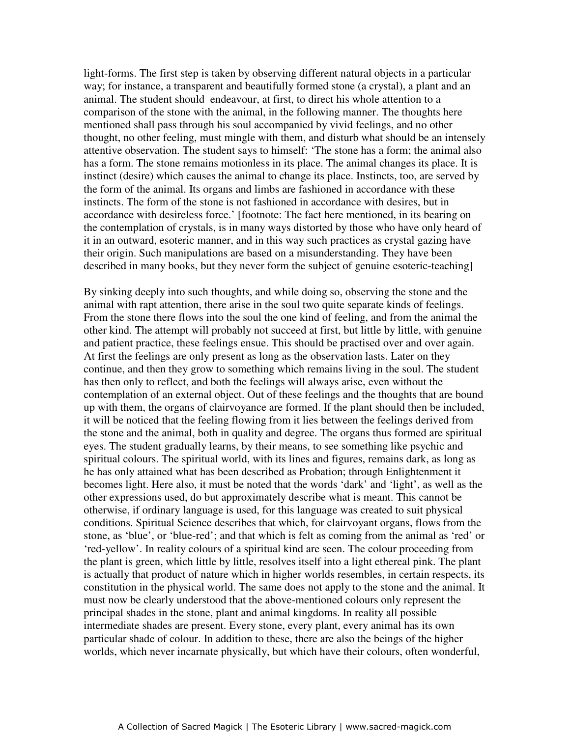light-forms. The first step is taken by observing different natural objects in a particular way; for instance, a transparent and beautifully formed stone (a crystal), a plant and an animal. The student should endeavour, at first, to direct his whole attention to a comparison of the stone with the animal, in the following manner. The thoughts here mentioned shall pass through his soul accompanied by vivid feelings, and no other thought, no other feeling, must mingle with them, and disturb what should be an intensely attentive observation. The student says to himself: 'The stone has a form; the animal also has a form. The stone remains motionless in its place. The animal changes its place. It is instinct (desire) which causes the animal to change its place. Instincts, too, are served by the form of the animal. Its organs and limbs are fashioned in accordance with these instincts. The form of the stone is not fashioned in accordance with desires, but in accordance with desireless force.' [footnote: The fact here mentioned, in its bearing on the contemplation of crystals, is in many ways distorted by those who have only heard of it in an outward, esoteric manner, and in this way such practices as crystal gazing have their origin. Such manipulations are based on a misunderstanding. They have been described in many books, but they never form the subject of genuine esoteric-teaching]

By sinking deeply into such thoughts, and while doing so, observing the stone and the animal with rapt attention, there arise in the soul two quite separate kinds of feelings. From the stone there flows into the soul the one kind of feeling, and from the animal the other kind. The attempt will probably not succeed at first, but little by little, with genuine and patient practice, these feelings ensue. This should be practised over and over again. At first the feelings are only present as long as the observation lasts. Later on they continue, and then they grow to something which remains living in the soul. The student has then only to reflect, and both the feelings will always arise, even without the contemplation of an external object. Out of these feelings and the thoughts that are bound up with them, the organs of clairvoyance are formed. If the plant should then be included, it will be noticed that the feeling flowing from it lies between the feelings derived from the stone and the animal, both in quality and degree. The organs thus formed are spiritual eyes. The student gradually learns, by their means, to see something like psychic and spiritual colours. The spiritual world, with its lines and figures, remains dark, as long as he has only attained what has been described as Probation; through Enlightenment it becomes light. Here also, it must be noted that the words 'dark' and 'light', as well as the other expressions used, do but approximately describe what is meant. This cannot be otherwise, if ordinary language is used, for this language was created to suit physical conditions. Spiritual Science describes that which, for clairvoyant organs, flows from the stone, as 'blue', or 'blue-red'; and that which is felt as coming from the animal as 'red' or 'red-yellow'. In reality colours of a spiritual kind are seen. The colour proceeding from the plant is green, which little by little, resolves itself into a light ethereal pink. The plant is actually that product of nature which in higher worlds resembles, in certain respects, its constitution in the physical world. The same does not apply to the stone and the animal. It must now be clearly understood that the above-mentioned colours only represent the principal shades in the stone, plant and animal kingdoms. In reality all possible intermediate shades are present. Every stone, every plant, every animal has its own particular shade of colour. In addition to these, there are also the beings of the higher worlds, which never incarnate physically, but which have their colours, often wonderful,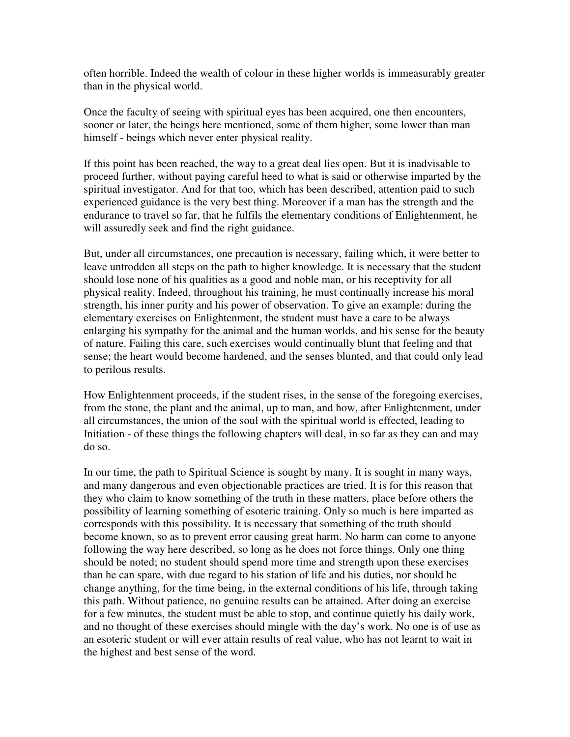often horrible. Indeed the wealth of colour in these higher worlds is immeasurably greater than in the physical world.

Once the faculty of seeing with spiritual eyes has been acquired, one then encounters, sooner or later, the beings here mentioned, some of them higher, some lower than man himself - beings which never enter physical reality.

If this point has been reached, the way to a great deal lies open. But it is inadvisable to proceed further, without paying careful heed to what is said or otherwise imparted by the spiritual investigator. And for that too, which has been described, attention paid to such experienced guidance is the very best thing. Moreover if a man has the strength and the endurance to travel so far, that he fulfils the elementary conditions of Enlightenment, he will assuredly seek and find the right guidance.

But, under all circumstances, one precaution is necessary, failing which, it were better to leave untrodden all steps on the path to higher knowledge. It is necessary that the student should lose none of his qualities as a good and noble man, or his receptivity for all physical reality. Indeed, throughout his training, he must continually increase his moral strength, his inner purity and his power of observation. To give an example: during the elementary exercises on Enlightenment, the student must have a care to be always enlarging his sympathy for the animal and the human worlds, and his sense for the beauty of nature. Failing this care, such exercises would continually blunt that feeling and that sense; the heart would become hardened, and the senses blunted, and that could only lead to perilous results.

How Enlightenment proceeds, if the student rises, in the sense of the foregoing exercises, from the stone, the plant and the animal, up to man, and how, after Enlightenment, under all circumstances, the union of the soul with the spiritual world is effected, leading to Initiation - of these things the following chapters will deal, in so far as they can and may do so.

In our time, the path to Spiritual Science is sought by many. It is sought in many ways, and many dangerous and even objectionable practices are tried. It is for this reason that they who claim to know something of the truth in these matters, place before others the possibility of learning something of esoteric training. Only so much is here imparted as corresponds with this possibility. It is necessary that something of the truth should become known, so as to prevent error causing great harm. No harm can come to anyone following the way here described, so long as he does not force things. Only one thing should be noted; no student should spend more time and strength upon these exercises than he can spare, with due regard to his station of life and his duties, nor should he change anything, for the time being, in the external conditions of his life, through taking this path. Without patience, no genuine results can be attained. After doing an exercise for a few minutes, the student must be able to stop, and continue quietly his daily work, and no thought of these exercises should mingle with the day's work. No one is of use as an esoteric student or will ever attain results of real value, who has not learnt to wait in the highest and best sense of the word.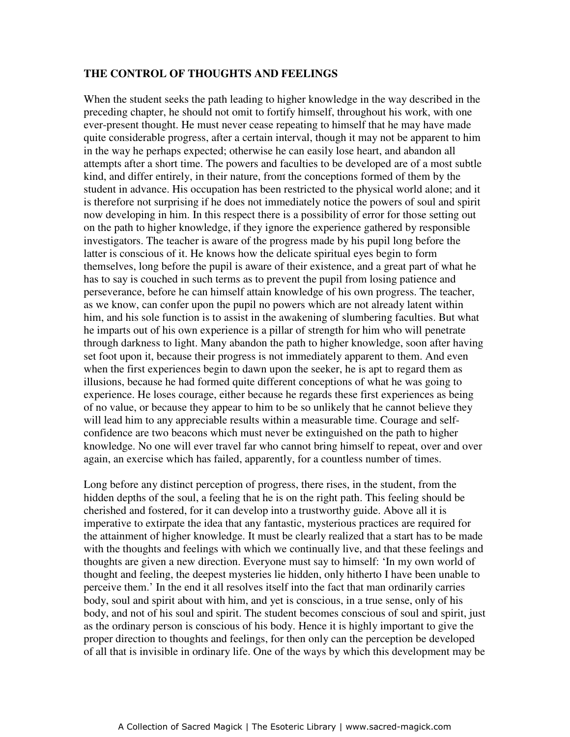### <span id="page-22-0"></span>**THE CONTROL OF THOUGHTS AND FEELINGS**

When the student seeks the path leading to higher knowledge in the way described in the preceding chapter, he should not omit to fortify himself, throughout his work, with one ever-present thought. He must never cease repeating to himself that he may have made quite considerable progress, after a certain interval, though it may not be apparent to him in the way he perhaps expected; otherwise he can easily lose heart, and abandon all attempts after a short time. The powers and faculties to be developed are of a most subtle kind, and differ entirely, in their nature, from the conceptions formed of them by the student in advance. His occupation has been restricted to the physical world alone; and it is therefore not surprising if he does not immediately notice the powers of soul and spirit now developing in him. In this respect there is a possibility of error for those setting out on the path to higher knowledge, if they ignore the experience gathered by responsible investigators. The teacher is aware of the progress made by his pupil long before the latter is conscious of it. He knows how the delicate spiritual eyes begin to form themselves, long before the pupil is aware of their existence, and a great part of what he has to say is couched in such terms as to prevent the pupil from losing patience and perseverance, before he can himself attain knowledge of his own progress. The teacher, as we know, can confer upon the pupil no powers which are not already latent within him, and his sole function is to assist in the awakening of slumbering faculties. But what he imparts out of his own experience is a pillar of strength for him who will penetrate through darkness to light. Many abandon the path to higher knowledge, soon after having set foot upon it, because their progress is not immediately apparent to them. And even when the first experiences begin to dawn upon the seeker, he is apt to regard them as illusions, because he had formed quite different conceptions of what he was going to experience. He loses courage, either because he regards these first experiences as being of no value, or because they appear to him to be so unlikely that he cannot believe they will lead him to any appreciable results within a measurable time. Courage and selfconfidence are two beacons which must never be extinguished on the path to higher knowledge. No one will ever travel far who cannot bring himself to repeat, over and over again, an exercise which has failed, apparently, for a countless number of times.

Long before any distinct perception of progress, there rises, in the student, from the hidden depths of the soul, a feeling that he is on the right path. This feeling should be cherished and fostered, for it can develop into a trustworthy guide. Above all it is imperative to extirpate the idea that any fantastic, mysterious practices are required for the attainment of higher knowledge. It must be clearly realized that a start has to be made with the thoughts and feelings with which we continually live, and that these feelings and thoughts are given a new direction. Everyone must say to himself: 'In my own world of thought and feeling, the deepest mysteries lie hidden, only hitherto I have been unable to perceive them.' In the end it all resolves itself into the fact that man ordinarily carries body, soul and spirit about with him, and yet is conscious, in a true sense, only of his body, and not of his soul and spirit. The student becomes conscious of soul and spirit, just as the ordinary person is conscious of his body. Hence it is highly important to give the proper direction to thoughts and feelings, for then only can the perception be developed of all that is invisible in ordinary life. One of the ways by which this development may be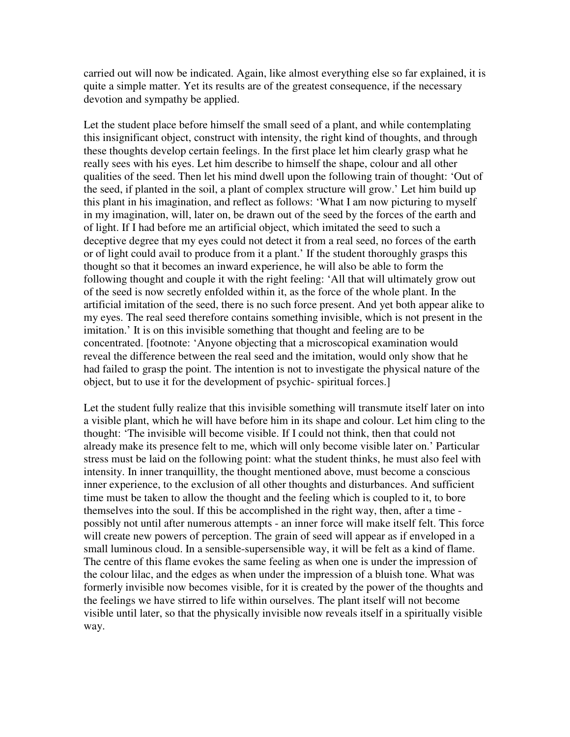carried out will now be indicated. Again, like almost everything else so far explained, it is quite a simple matter. Yet its results are of the greatest consequence, if the necessary devotion and sympathy be applied.

Let the student place before himself the small seed of a plant, and while contemplating this insignificant object, construct with intensity, the right kind of thoughts, and through these thoughts develop certain feelings. In the first place let him clearly grasp what he really sees with his eyes. Let him describe to himself the shape, colour and all other qualities of the seed. Then let his mind dwell upon the following train of thought: 'Out of the seed, if planted in the soil, a plant of complex structure will grow.' Let him build up this plant in his imagination, and reflect as follows: 'What I am now picturing to myself in my imagination, will, later on, be drawn out of the seed by the forces of the earth and of light. If I had before me an artificial object, which imitated the seed to such a deceptive degree that my eyes could not detect it from a real seed, no forces of the earth or of light could avail to produce from it a plant.' If the student thoroughly grasps this thought so that it becomes an inward experience, he will also be able to form the following thought and couple it with the right feeling: 'All that will ultimately grow out of the seed is now secretly enfolded within it, as the force of the whole plant. In the artificial imitation of the seed, there is no such force present. And yet both appear alike to my eyes. The real seed therefore contains something invisible, which is not present in the imitation.' It is on this invisible something that thought and feeling are to be concentrated. [footnote: 'Anyone objecting that a microscopical examination would reveal the difference between the real seed and the imitation, would only show that he had failed to grasp the point. The intention is not to investigate the physical nature of the object, but to use it for the development of psychic- spiritual forces.]

Let the student fully realize that this invisible something will transmute itself later on into a visible plant, which he will have before him in its shape and colour. Let him cling to the thought: 'The invisible will become visible. If I could not think, then that could not already make its presence felt to me, which will only become visible later on.' Particular stress must be laid on the following point: what the student thinks, he must also feel with intensity. In inner tranquillity, the thought mentioned above, must become a conscious inner experience, to the exclusion of all other thoughts and disturbances. And sufficient time must be taken to allow the thought and the feeling which is coupled to it, to bore themselves into the soul. If this be accomplished in the right way, then, after a time possibly not until after numerous attempts - an inner force will make itself felt. This force will create new powers of perception. The grain of seed will appear as if enveloped in a small luminous cloud. In a sensible-supersensible way, it will be felt as a kind of flame. The centre of this flame evokes the same feeling as when one is under the impression of the colour lilac, and the edges as when under the impression of a bluish tone. What was formerly invisible now becomes visible, for it is created by the power of the thoughts and the feelings we have stirred to life within ourselves. The plant itself will not become visible until later, so that the physically invisible now reveals itself in a spiritually visible way.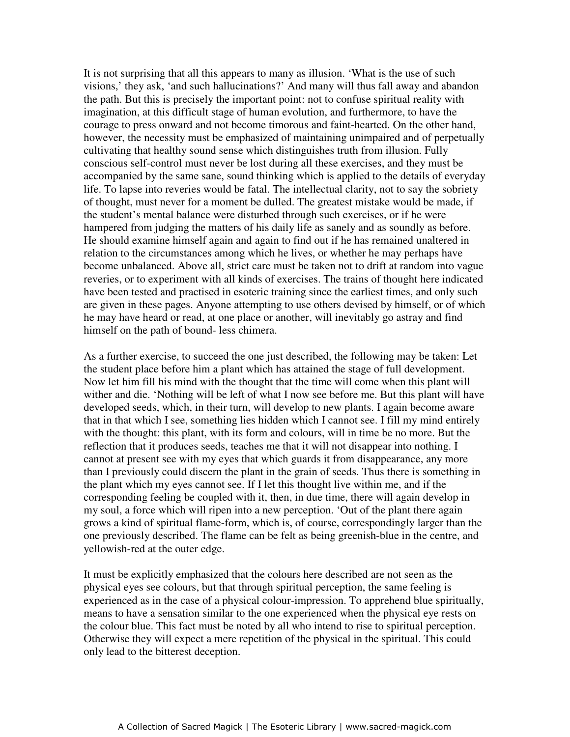It is not surprising that all this appears to many as illusion. 'What is the use of such visions,' they ask, 'and such hallucinations?' And many will thus fall away and abandon the path. But this is precisely the important point: not to confuse spiritual reality with imagination, at this difficult stage of human evolution, and furthermore, to have the courage to press onward and not become timorous and faint-hearted. On the other hand, however, the necessity must be emphasized of maintaining unimpaired and of perpetually cultivating that healthy sound sense which distinguishes truth from illusion. Fully conscious self-control must never be lost during all these exercises, and they must be accompanied by the same sane, sound thinking which is applied to the details of everyday life. To lapse into reveries would be fatal. The intellectual clarity, not to say the sobriety of thought, must never for a moment be dulled. The greatest mistake would be made, if the student's mental balance were disturbed through such exercises, or if he were hampered from judging the matters of his daily life as sanely and as soundly as before. He should examine himself again and again to find out if he has remained unaltered in relation to the circumstances among which he lives, or whether he may perhaps have become unbalanced. Above all, strict care must be taken not to drift at random into vague reveries, or to experiment with all kinds of exercises. The trains of thought here indicated have been tested and practised in esoteric training since the earliest times, and only such are given in these pages. Anyone attempting to use others devised by himself, or of which he may have heard or read, at one place or another, will inevitably go astray and find himself on the path of bound- less chimera.

As a further exercise, to succeed the one just described, the following may be taken: Let the student place before him a plant which has attained the stage of full development. Now let him fill his mind with the thought that the time will come when this plant will wither and die. 'Nothing will be left of what I now see before me. But this plant will have developed seeds, which, in their turn, will develop to new plants. I again become aware that in that which I see, something lies hidden which I cannot see. I fill my mind entirely with the thought: this plant, with its form and colours, will in time be no more. But the reflection that it produces seeds, teaches me that it will not disappear into nothing. I cannot at present see with my eyes that which guards it from disappearance, any more than I previously could discern the plant in the grain of seeds. Thus there is something in the plant which my eyes cannot see. If I let this thought live within me, and if the corresponding feeling be coupled with it, then, in due time, there will again develop in my soul, a force which will ripen into a new perception. 'Out of the plant there again grows a kind of spiritual flame-form, which is, of course, correspondingly larger than the one previously described. The flame can be felt as being greenish-blue in the centre, and yellowish-red at the outer edge.

It must be explicitly emphasized that the colours here described are not seen as the physical eyes see colours, but that through spiritual perception, the same feeling is experienced as in the case of a physical colour-impression. To apprehend blue spiritually, means to have a sensation similar to the one experienced when the physical eye rests on the colour blue. This fact must be noted by all who intend to rise to spiritual perception. Otherwise they will expect a mere repetition of the physical in the spiritual. This could only lead to the bitterest deception.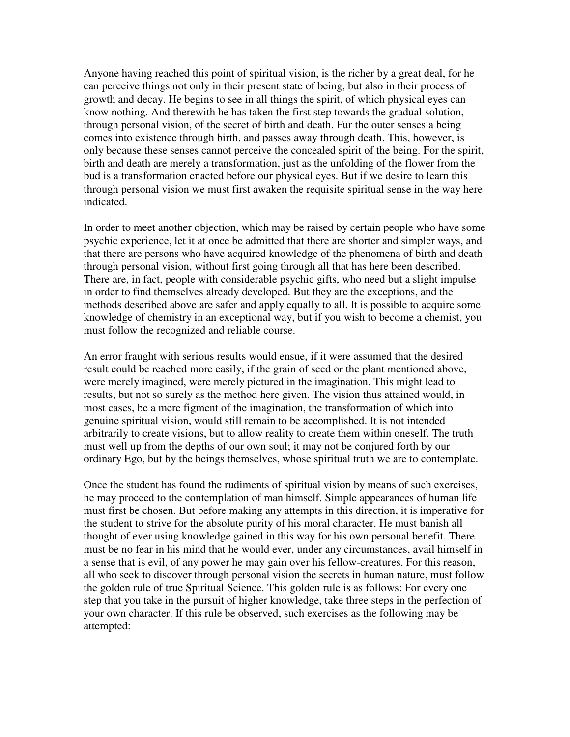Anyone having reached this point of spiritual vision, is the richer by a great deal, for he can perceive things not only in their present state of being, but also in their process of growth and decay. He begins to see in all things the spirit, of which physical eyes can know nothing. And therewith he has taken the first step towards the gradual solution, through personal vision, of the secret of birth and death. Fur the outer senses a being comes into existence through birth, and passes away through death. This, however, is only because these senses cannot perceive the concealed spirit of the being. For the spirit, birth and death are merely a transformation, just as the unfolding of the flower from the bud is a transformation enacted before our physical eyes. But if we desire to learn this through personal vision we must first awaken the requisite spiritual sense in the way here indicated.

In order to meet another objection, which may be raised by certain people who have some psychic experience, let it at once be admitted that there are shorter and simpler ways, and that there are persons who have acquired knowledge of the phenomena of birth and death through personal vision, without first going through all that has here been described. There are, in fact, people with considerable psychic gifts, who need but a slight impulse in order to find themselves already developed. But they are the exceptions, and the methods described above are safer and apply equally to all. It is possible to acquire some knowledge of chemistry in an exceptional way, but if you wish to become a chemist, you must follow the recognized and reliable course.

An error fraught with serious results would ensue, if it were assumed that the desired result could be reached more easily, if the grain of seed or the plant mentioned above, were merely imagined, were merely pictured in the imagination. This might lead to results, but not so surely as the method here given. The vision thus attained would, in most cases, be a mere figment of the imagination, the transformation of which into genuine spiritual vision, would still remain to be accomplished. It is not intended arbitrarily to create visions, but to allow reality to create them within oneself. The truth must well up from the depths of our own soul; it may not be conjured forth by our ordinary Ego, but by the beings themselves, whose spiritual truth we are to contemplate.

Once the student has found the rudiments of spiritual vision by means of such exercises, he may proceed to the contemplation of man himself. Simple appearances of human life must first be chosen. But before making any attempts in this direction, it is imperative for the student to strive for the absolute purity of his moral character. He must banish all thought of ever using knowledge gained in this way for his own personal benefit. There must be no fear in his mind that he would ever, under any circumstances, avail himself in a sense that is evil, of any power he may gain over his fellow-creatures. For this reason, all who seek to discover through personal vision the secrets in human nature, must follow the golden rule of true Spiritual Science. This golden rule is as follows: For every one step that you take in the pursuit of higher knowledge, take three steps in the perfection of your own character. If this rule be observed, such exercises as the following may be attempted: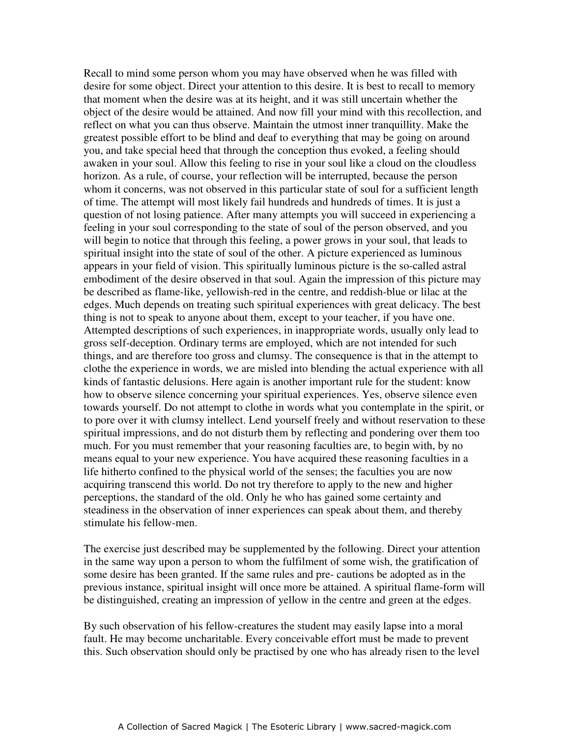Recall to mind some person whom you may have observed when he was filled with desire for some object. Direct your attention to this desire. It is best to recall to memory that moment when the desire was at its height, and it was still uncertain whether the object of the desire would be attained. And now fill your mind with this recollection, and reflect on what you can thus observe. Maintain the utmost inner tranquillity. Make the greatest possible effort to be blind and deaf to everything that may be going on around you, and take special heed that through the conception thus evoked, a feeling should awaken in your soul. Allow this feeling to rise in your soul like a cloud on the cloudless horizon. As a rule, of course, your reflection will be interrupted, because the person whom it concerns, was not observed in this particular state of soul for a sufficient length of time. The attempt will most likely fail hundreds and hundreds of times. It is just a question of not losing patience. After many attempts you will succeed in experiencing a feeling in your soul corresponding to the state of soul of the person observed, and you will begin to notice that through this feeling, a power grows in your soul, that leads to spiritual insight into the state of soul of the other. A picture experienced as luminous appears in your field of vision. This spiritually luminous picture is the so-called astral embodiment of the desire observed in that soul. Again the impression of this picture may be described as flame-like, yellowish-red in the centre, and reddish-blue or lilac at the edges. Much depends on treating such spiritual experiences with great delicacy. The best thing is not to speak to anyone about them, except to your teacher, if you have one. Attempted descriptions of such experiences, in inappropriate words, usually only lead to gross self-deception. Ordinary terms are employed, which are not intended for such things, and are therefore too gross and clumsy. The consequence is that in the attempt to clothe the experience in words, we are misled into blending the actual experience with all kinds of fantastic delusions. Here again is another important rule for the student: know how to observe silence concerning your spiritual experiences. Yes, observe silence even towards yourself. Do not attempt to clothe in words what you contemplate in the spirit, or to pore over it with clumsy intellect. Lend yourself freely and without reservation to these spiritual impressions, and do not disturb them by reflecting and pondering over them too much. For you must remember that your reasoning faculties are, to begin with, by no means equal to your new experience. You have acquired these reasoning faculties in a life hitherto confined to the physical world of the senses; the faculties you are now acquiring transcend this world. Do not try therefore to apply to the new and higher perceptions, the standard of the old. Only he who has gained some certainty and steadiness in the observation of inner experiences can speak about them, and thereby stimulate his fellow-men.

The exercise just described may be supplemented by the following. Direct your attention in the same way upon a person to whom the fulfilment of some wish, the gratification of some desire has been granted. If the same rules and pre- cautions be adopted as in the previous instance, spiritual insight will once more be attained. A spiritual flame-form will be distinguished, creating an impression of yellow in the centre and green at the edges.

By such observation of his fellow-creatures the student may easily lapse into a moral fault. He may become uncharitable. Every conceivable effort must be made to prevent this. Such observation should only be practised by one who has already risen to the level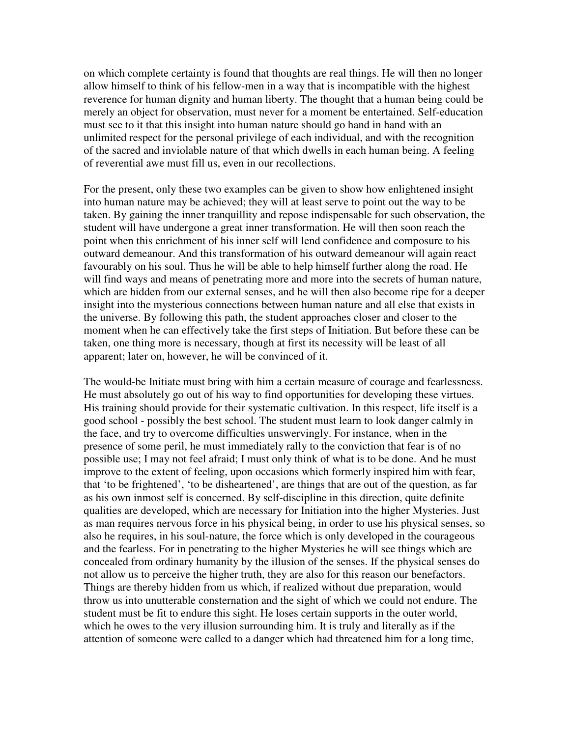on which complete certainty is found that thoughts are real things. He will then no longer allow himself to think of his fellow-men in a way that is incompatible with the highest reverence for human dignity and human liberty. The thought that a human being could be merely an object for observation, must never for a moment be entertained. Self-education must see to it that this insight into human nature should go hand in hand with an unlimited respect for the personal privilege of each individual, and with the recognition of the sacred and inviolable nature of that which dwells in each human being. A feeling of reverential awe must fill us, even in our recollections.

For the present, only these two examples can be given to show how enlightened insight into human nature may be achieved; they will at least serve to point out the way to be taken. By gaining the inner tranquillity and repose indispensable for such observation, the student will have undergone a great inner transformation. He will then soon reach the point when this enrichment of his inner self will lend confidence and composure to his outward demeanour. And this transformation of his outward demeanour will again react favourably on his soul. Thus he will be able to help himself further along the road. He will find ways and means of penetrating more and more into the secrets of human nature, which are hidden from our external senses, and he will then also become ripe for a deeper insight into the mysterious connections between human nature and all else that exists in the universe. By following this path, the student approaches closer and closer to the moment when he can effectively take the first steps of Initiation. But before these can be taken, one thing more is necessary, though at first its necessity will be least of all apparent; later on, however, he will be convinced of it.

The would-be Initiate must bring with him a certain measure of courage and fearlessness. He must absolutely go out of his way to find opportunities for developing these virtues. His training should provide for their systematic cultivation. In this respect, life itself is a good school - possibly the best school. The student must learn to look danger calmly in the face, and try to overcome difficulties unswervingly. For instance, when in the presence of some peril, he must immediately rally to the conviction that fear is of no possible use; I may not feel afraid; I must only think of what is to be done. And he must improve to the extent of feeling, upon occasions which formerly inspired him with fear, that 'to be frightened', 'to be disheartened', are things that are out of the question, as far as his own inmost self is concerned. By self-discipline in this direction, quite definite qualities are developed, which are necessary for Initiation into the higher Mysteries. Just as man requires nervous force in his physical being, in order to use his physical senses, so also he requires, in his soul-nature, the force which is only developed in the courageous and the fearless. For in penetrating to the higher Mysteries he will see things which are concealed from ordinary humanity by the illusion of the senses. If the physical senses do not allow us to perceive the higher truth, they are also for this reason our benefactors. Things are thereby hidden from us which, if realized without due preparation, would throw us into unutterable consternation and the sight of which we could not endure. The student must be fit to endure this sight. He loses certain supports in the outer world, which he owes to the very illusion surrounding him. It is truly and literally as if the attention of someone were called to a danger which had threatened him for a long time,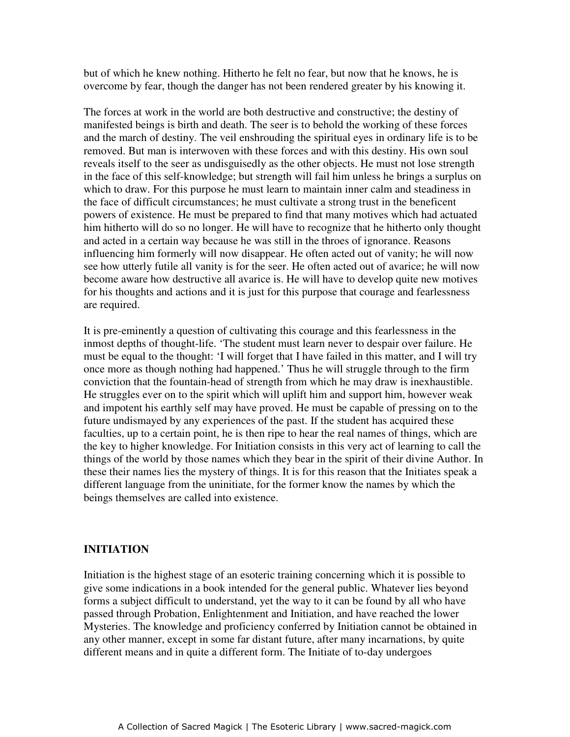<span id="page-28-0"></span>but of which he knew nothing. Hitherto he felt no fear, but now that he knows, he is overcome by fear, though the danger has not been rendered greater by his knowing it.

The forces at work in the world are both destructive and constructive; the destiny of manifested beings is birth and death. The seer is to behold the working of these forces and the march of destiny. The veil enshrouding the spiritual eyes in ordinary life is to be removed. But man is interwoven with these forces and with this destiny. His own soul reveals itself to the seer as undisguisedly as the other objects. He must not lose strength in the face of this self-knowledge; but strength will fail him unless he brings a surplus on which to draw. For this purpose he must learn to maintain inner calm and steadiness in the face of difficult circumstances; he must cultivate a strong trust in the beneficent powers of existence. He must be prepared to find that many motives which had actuated him hitherto will do so no longer. He will have to recognize that he hitherto only thought and acted in a certain way because he was still in the throes of ignorance. Reasons influencing him formerly will now disappear. He often acted out of vanity; he will now see how utterly futile all vanity is for the seer. He often acted out of avarice; he will now become aware how destructive all avarice is. He will have to develop quite new motives for his thoughts and actions and it is just for this purpose that courage and fearlessness are required.

It is pre-eminently a question of cultivating this courage and this fearlessness in the inmost depths of thought-life. 'The student must learn never to despair over failure. He must be equal to the thought: 'I will forget that I have failed in this matter, and I will try once more as though nothing had happened.' Thus he will struggle through to the firm conviction that the fountain-head of strength from which he may draw is inexhaustible. He struggles ever on to the spirit which will uplift him and support him, however weak and impotent his earthly self may have proved. He must be capable of pressing on to the future undismayed by any experiences of the past. If the student has acquired these faculties, up to a certain point, he is then ripe to hear the real names of things, which are the key to higher knowledge. For Initiation consists in this very act of learning to call the things of the world by those names which they bear in the spirit of their divine Author. In these their names lies the mystery of things. It is for this reason that the Initiates speak a different language from the uninitiate, for the former know the names by which the beings themselves are called into existence.

#### **INITIATION**

Initiation is the highest stage of an esoteric training concerning which it is possible to give some indications in a book intended for the general public. Whatever lies beyond forms a subject difficult to understand, yet the way to it can be found by all who have passed through Probation, Enlightenment and Initiation, and have reached the lower Mysteries. The knowledge and proficiency conferred by Initiation cannot be obtained in any other manner, except in some far distant future, after many incarnations, by quite different means and in quite a different form. The Initiate of to-day undergoes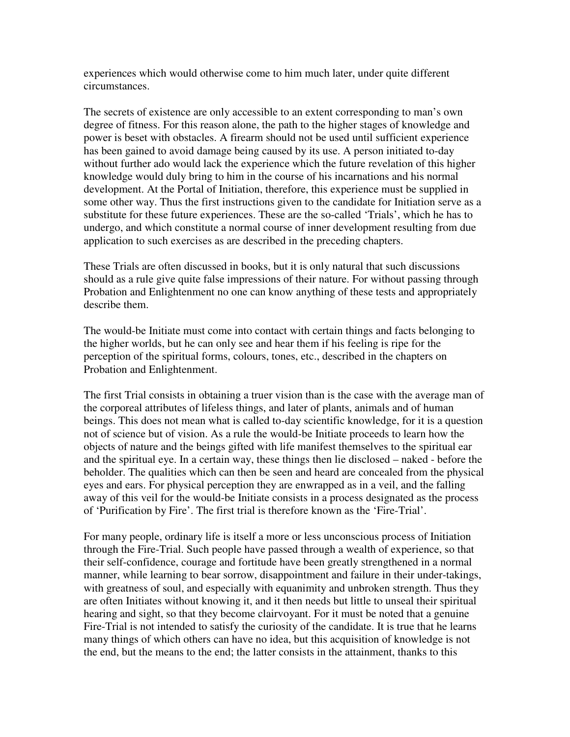experiences which would otherwise come to him much later, under quite different circumstances.

The secrets of existence are only accessible to an extent corresponding to man's own degree of fitness. For this reason alone, the path to the higher stages of knowledge and power is beset with obstacles. A firearm should not be used until sufficient experience has been gained to avoid damage being caused by its use. A person initiated to-day without further ado would lack the experience which the future revelation of this higher knowledge would duly bring to him in the course of his incarnations and his normal development. At the Portal of Initiation, therefore, this experience must be supplied in some other way. Thus the first instructions given to the candidate for Initiation serve as a substitute for these future experiences. These are the so-called 'Trials', which he has to undergo, and which constitute a normal course of inner development resulting from due application to such exercises as are described in the preceding chapters.

These Trials are often discussed in books, but it is only natural that such discussions should as a rule give quite false impressions of their nature. For without passing through Probation and Enlightenment no one can know anything of these tests and appropriately describe them.

The would-be Initiate must come into contact with certain things and facts belonging to the higher worlds, but he can only see and hear them if his feeling is ripe for the perception of the spiritual forms, colours, tones, etc., described in the chapters on Probation and Enlightenment.

The first Trial consists in obtaining a truer vision than is the case with the average man of the corporeal attributes of lifeless things, and later of plants, animals and of human beings. This does not mean what is called to-day scientific knowledge, for it is a question not of science but of vision. As a rule the would-be Initiate proceeds to learn how the objects of nature and the beings gifted with life manifest themselves to the spiritual ear and the spiritual eye. In a certain way, these things then lie disclosed – naked - before the beholder. The qualities which can then be seen and heard are concealed from the physical eyes and ears. For physical perception they are enwrapped as in a veil, and the falling away of this veil for the would-be Initiate consists in a process designated as the process of 'Purification by Fire'. The first trial is therefore known as the 'Fire-Trial'.

For many people, ordinary life is itself a more or less unconscious process of Initiation through the Fire-Trial. Such people have passed through a wealth of experience, so that their self-confidence, courage and fortitude have been greatly strengthened in a normal manner, while learning to bear sorrow, disappointment and failure in their under-takings, with greatness of soul, and especially with equanimity and unbroken strength. Thus they are often Initiates without knowing it, and it then needs but little to unseal their spiritual hearing and sight, so that they become clairvoyant. For it must be noted that a genuine Fire-Trial is not intended to satisfy the curiosity of the candidate. It is true that he learns many things of which others can have no idea, but this acquisition of knowledge is not the end, but the means to the end; the latter consists in the attainment, thanks to this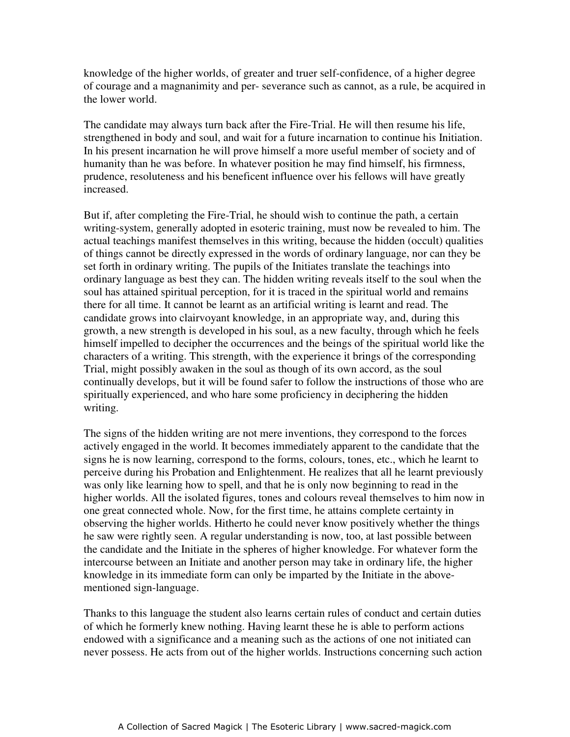knowledge of the higher worlds, of greater and truer self-confidence, of a higher degree of courage and a magnanimity and per- severance such as cannot, as a rule, be acquired in the lower world.

The candidate may always turn back after the Fire-Trial. He will then resume his life, strengthened in body and soul, and wait for a future incarnation to continue his Initiation. In his present incarnation he will prove himself a more useful member of society and of humanity than he was before. In whatever position he may find himself, his firmness, prudence, resoluteness and his beneficent influence over his fellows will have greatly increased.

But if, after completing the Fire-Trial, he should wish to continue the path, a certain writing-system, generally adopted in esoteric training, must now be revealed to him. The actual teachings manifest themselves in this writing, because the hidden (occult) qualities of things cannot be directly expressed in the words of ordinary language, nor can they be set forth in ordinary writing. The pupils of the Initiates translate the teachings into ordinary language as best they can. The hidden writing reveals itself to the soul when the soul has attained spiritual perception, for it is traced in the spiritual world and remains there for all time. It cannot be learnt as an artificial writing is learnt and read. The candidate grows into clairvoyant knowledge, in an appropriate way, and, during this growth, a new strength is developed in his soul, as a new faculty, through which he feels himself impelled to decipher the occurrences and the beings of the spiritual world like the characters of a writing. This strength, with the experience it brings of the corresponding Trial, might possibly awaken in the soul as though of its own accord, as the soul continually develops, but it will be found safer to follow the instructions of those who are spiritually experienced, and who hare some proficiency in deciphering the hidden writing.

The signs of the hidden writing are not mere inventions, they correspond to the forces actively engaged in the world. It becomes immediately apparent to the candidate that the signs he is now learning, correspond to the forms, colours, tones, etc., which he learnt to perceive during his Probation and Enlightenment. He realizes that all he learnt previously was only like learning how to spell, and that he is only now beginning to read in the higher worlds. All the isolated figures, tones and colours reveal themselves to him now in one great connected whole. Now, for the first time, he attains complete certainty in observing the higher worlds. Hitherto he could never know positively whether the things he saw were rightly seen. A regular understanding is now, too, at last possible between the candidate and the Initiate in the spheres of higher knowledge. For whatever form the intercourse between an Initiate and another person may take in ordinary life, the higher knowledge in its immediate form can only be imparted by the Initiate in the abovementioned sign-language.

Thanks to this language the student also learns certain rules of conduct and certain duties of which he formerly knew nothing. Having learnt these he is able to perform actions endowed with a significance and a meaning such as the actions of one not initiated can never possess. He acts from out of the higher worlds. Instructions concerning such action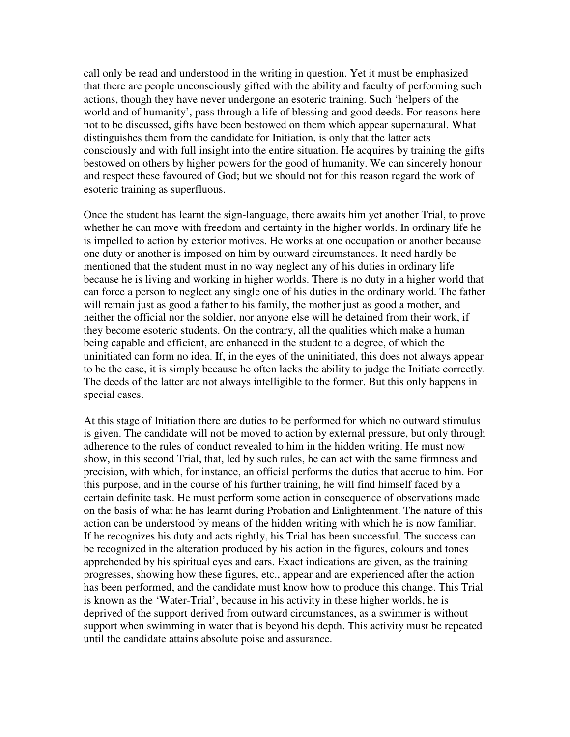call only be read and understood in the writing in question. Yet it must be emphasized that there are people unconsciously gifted with the ability and faculty of performing such actions, though they have never undergone an esoteric training. Such 'helpers of the world and of humanity', pass through a life of blessing and good deeds. For reasons here not to be discussed, gifts have been bestowed on them which appear supernatural. What distinguishes them from the candidate for Initiation, is only that the latter acts consciously and with full insight into the entire situation. He acquires by training the gifts bestowed on others by higher powers for the good of humanity. We can sincerely honour and respect these favoured of God; but we should not for this reason regard the work of esoteric training as superfluous.

Once the student has learnt the sign-language, there awaits him yet another Trial, to prove whether he can move with freedom and certainty in the higher worlds. In ordinary life he is impelled to action by exterior motives. He works at one occupation or another because one duty or another is imposed on him by outward circumstances. It need hardly be mentioned that the student must in no way neglect any of his duties in ordinary life because he is living and working in higher worlds. There is no duty in a higher world that can force a person to neglect any single one of his duties in the ordinary world. The father will remain just as good a father to his family, the mother just as good a mother, and neither the official nor the soldier, nor anyone else will he detained from their work, if they become esoteric students. On the contrary, all the qualities which make a human being capable and efficient, are enhanced in the student to a degree, of which the uninitiated can form no idea. If, in the eyes of the uninitiated, this does not always appear to be the case, it is simply because he often lacks the ability to judge the Initiate correctly. The deeds of the latter are not always intelligible to the former. But this only happens in special cases.

At this stage of Initiation there are duties to be performed for which no outward stimulus is given. The candidate will not be moved to action by external pressure, but only through adherence to the rules of conduct revealed to him in the hidden writing. He must now show, in this second Trial, that, led by such rules, he can act with the same firmness and precision, with which, for instance, an official performs the duties that accrue to him. For this purpose, and in the course of his further training, he will find himself faced by a certain definite task. He must perform some action in consequence of observations made on the basis of what he has learnt during Probation and Enlightenment. The nature of this action can be understood by means of the hidden writing with which he is now familiar. If he recognizes his duty and acts rightly, his Trial has been successful. The success can be recognized in the alteration produced by his action in the figures, colours and tones apprehended by his spiritual eyes and ears. Exact indications are given, as the training progresses, showing how these figures, etc., appear and are experienced after the action has been performed, and the candidate must know how to produce this change. This Trial is known as the 'Water-Trial', because in his activity in these higher worlds, he is deprived of the support derived from outward circumstances, as a swimmer is without support when swimming in water that is beyond his depth. This activity must be repeated until the candidate attains absolute poise and assurance.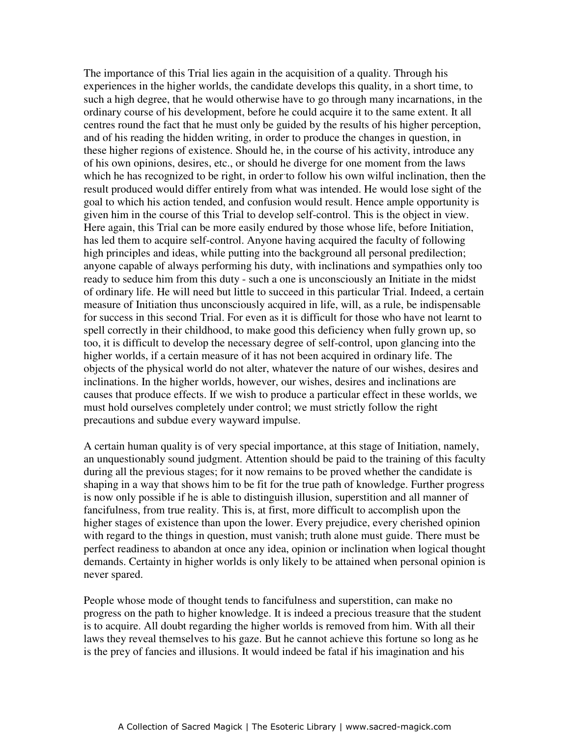The importance of this Trial lies again in the acquisition of a quality. Through his experiences in the higher worlds, the candidate develops this quality, in a short time, to such a high degree, that he would otherwise have to go through many incarnations, in the ordinary course of his development, before he could acquire it to the same extent. It all centres round the fact that he must only be guided by the results of his higher perception, and of his reading the hidden writing, in order to produce the changes in question, in these higher regions of existence. Should he, in the course of his activity, introduce any of his own opinions, desires, etc., or should he diverge for one moment from the laws which he has recognized to be right, in order to follow his own wilful inclination, then the result produced would differ entirely from what was intended. He would lose sight of the goal to which his action tended, and confusion would result. Hence ample opportunity is given him in the course of this Trial to develop self-control. This is the object in view. Here again, this Trial can be more easily endured by those whose life, before Initiation, has led them to acquire self-control. Anyone having acquired the faculty of following high principles and ideas, while putting into the background all personal predilection; anyone capable of always performing his duty, with inclinations and sympathies only too ready to seduce him from this duty - such a one is unconsciously an Initiate in the midst of ordinary life. He will need but little to succeed in this particular Trial. Indeed, a certain measure of Initiation thus unconsciously acquired in life, will, as a rule, be indispensable for success in this second Trial. For even as it is difficult for those who have not learnt to spell correctly in their childhood, to make good this deficiency when fully grown up, so too, it is difficult to develop the necessary degree of self-control, upon glancing into the higher worlds, if a certain measure of it has not been acquired in ordinary life. The objects of the physical world do not alter, whatever the nature of our wishes, desires and inclinations. In the higher worlds, however, our wishes, desires and inclinations are causes that produce effects. If we wish to produce a particular effect in these worlds, we must hold ourselves completely under control; we must strictly follow the right precautions and subdue every wayward impulse.

A certain human quality is of very special importance, at this stage of Initiation, namely, an unquestionably sound judgment. Attention should be paid to the training of this faculty during all the previous stages; for it now remains to be proved whether the candidate is shaping in a way that shows him to be fit for the true path of knowledge. Further progress is now only possible if he is able to distinguish illusion, superstition and all manner of fancifulness, from true reality. This is, at first, more difficult to accomplish upon the higher stages of existence than upon the lower. Every prejudice, every cherished opinion with regard to the things in question, must vanish; truth alone must guide. There must be perfect readiness to abandon at once any idea, opinion or inclination when logical thought demands. Certainty in higher worlds is only likely to be attained when personal opinion is never spared.

People whose mode of thought tends to fancifulness and superstition, can make no progress on the path to higher knowledge. It is indeed a precious treasure that the student is to acquire. All doubt regarding the higher worlds is removed from him. With all their laws they reveal themselves to his gaze. But he cannot achieve this fortune so long as he is the prey of fancies and illusions. It would indeed be fatal if his imagination and his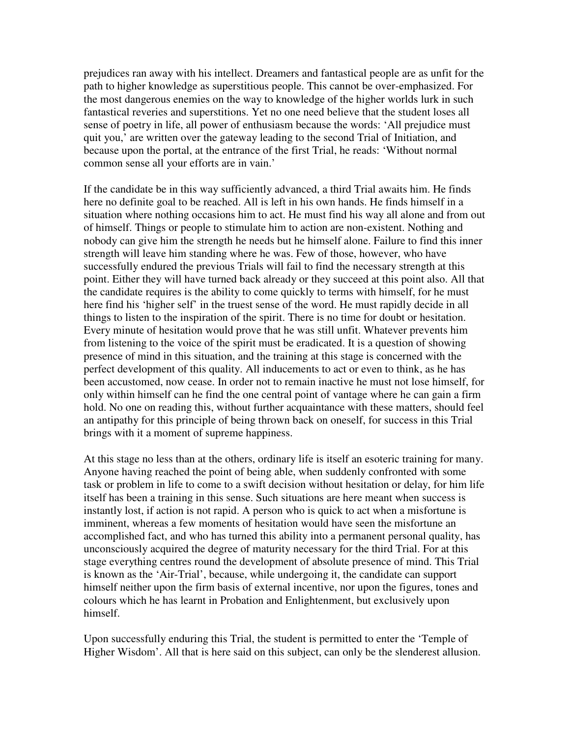prejudices ran away with his intellect. Dreamers and fantastical people are as unfit for the path to higher knowledge as superstitious people. This cannot be over-emphasized. For the most dangerous enemies on the way to knowledge of the higher worlds lurk in such fantastical reveries and superstitions. Yet no one need believe that the student loses all sense of poetry in life, all power of enthusiasm because the words: 'All prejudice must quit you,' are written over the gateway leading to the second Trial of Initiation, and because upon the portal, at the entrance of the first Trial, he reads: 'Without normal common sense all your efforts are in vain.'

If the candidate be in this way sufficiently advanced, a third Trial awaits him. He finds here no definite goal to be reached. All is left in his own hands. He finds himself in a situation where nothing occasions him to act. He must find his way all alone and from out of himself. Things or people to stimulate him to action are non-existent. Nothing and nobody can give him the strength he needs but he himself alone. Failure to find this inner strength will leave him standing where he was. Few of those, however, who have successfully endured the previous Trials will fail to find the necessary strength at this point. Either they will have turned back already or they succeed at this point also. All that the candidate requires is the ability to come quickly to terms with himself, for he must here find his 'higher self' in the truest sense of the word. He must rapidly decide in all things to listen to the inspiration of the spirit. There is no time for doubt or hesitation. Every minute of hesitation would prove that he was still unfit. Whatever prevents him from listening to the voice of the spirit must be eradicated. It is a question of showing presence of mind in this situation, and the training at this stage is concerned with the perfect development of this quality. All inducements to act or even to think, as he has been accustomed, now cease. In order not to remain inactive he must not lose himself, for only within himself can he find the one central point of vantage where he can gain a firm hold. No one on reading this, without further acquaintance with these matters, should feel an antipathy for this principle of being thrown back on oneself, for success in this Trial brings with it a moment of supreme happiness.

At this stage no less than at the others, ordinary life is itself an esoteric training for many. Anyone having reached the point of being able, when suddenly confronted with some task or problem in life to come to a swift decision without hesitation or delay, for him life itself has been a training in this sense. Such situations are here meant when success is instantly lost, if action is not rapid. A person who is quick to act when a misfortune is imminent, whereas a few moments of hesitation would have seen the misfortune an accomplished fact, and who has turned this ability into a permanent personal quality, has unconsciously acquired the degree of maturity necessary for the third Trial. For at this stage everything centres round the development of absolute presence of mind. This Trial is known as the 'Air-Trial', because, while undergoing it, the candidate can support himself neither upon the firm basis of external incentive, nor upon the figures, tones and colours which he has learnt in Probation and Enlightenment, but exclusively upon himself.

Upon successfully enduring this Trial, the student is permitted to enter the 'Temple of Higher Wisdom'. All that is here said on this subject, can only be the slenderest allusion.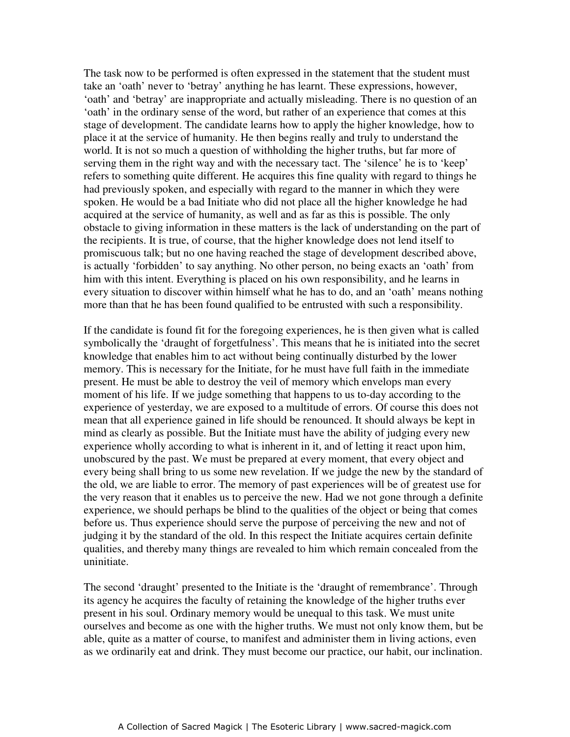The task now to be performed is often expressed in the statement that the student must take an 'oath' never to 'betray' anything he has learnt. These expressions, however, 'oath' and 'betray' are inappropriate and actually misleading. There is no question of an 'oath' in the ordinary sense of the word, but rather of an experience that comes at this stage of development. The candidate learns how to apply the higher knowledge, how to place it at the service of humanity. He then begins really and truly to understand the world. It is not so much a question of withholding the higher truths, but far more of serving them in the right way and with the necessary tact. The 'silence' he is to 'keep' refers to something quite different. He acquires this fine quality with regard to things he had previously spoken, and especially with regard to the manner in which they were spoken. He would be a bad Initiate who did not place all the higher knowledge he had acquired at the service of humanity, as well and as far as this is possible. The only obstacle to giving information in these matters is the lack of understanding on the part of the recipients. It is true, of course, that the higher knowledge does not lend itself to promiscuous talk; but no one having reached the stage of development described above, is actually 'forbidden' to say anything. No other person, no being exacts an 'oath' from him with this intent. Everything is placed on his own responsibility, and he learns in every situation to discover within himself what he has to do, and an 'oath' means nothing more than that he has been found qualified to be entrusted with such a responsibility.

If the candidate is found fit for the foregoing experiences, he is then given what is called symbolically the 'draught of forgetfulness'. This means that he is initiated into the secret knowledge that enables him to act without being continually disturbed by the lower memory. This is necessary for the Initiate, for he must have full faith in the immediate present. He must be able to destroy the veil of memory which envelops man every moment of his life. If we judge something that happens to us to-day according to the experience of yesterday, we are exposed to a multitude of errors. Of course this does not mean that all experience gained in life should be renounced. It should always be kept in mind as clearly as possible. But the Initiate must have the ability of judging every new experience wholly according to what is inherent in it, and of letting it react upon him, unobscured by the past. We must be prepared at every moment, that every object and every being shall bring to us some new revelation. If we judge the new by the standard of the old, we are liable to error. The memory of past experiences will be of greatest use for the very reason that it enables us to perceive the new. Had we not gone through a definite experience, we should perhaps be blind to the qualities of the object or being that comes before us. Thus experience should serve the purpose of perceiving the new and not of judging it by the standard of the old. In this respect the Initiate acquires certain definite qualities, and thereby many things are revealed to him which remain concealed from the uninitiate.

The second 'draught' presented to the Initiate is the 'draught of remembrance'. Through its agency he acquires the faculty of retaining the knowledge of the higher truths ever present in his soul. Ordinary memory would be unequal to this task. We must unite ourselves and become as one with the higher truths. We must not only know them, but be able, quite as a matter of course, to manifest and administer them in living actions, even as we ordinarily eat and drink. They must become our practice, our habit, our inclination.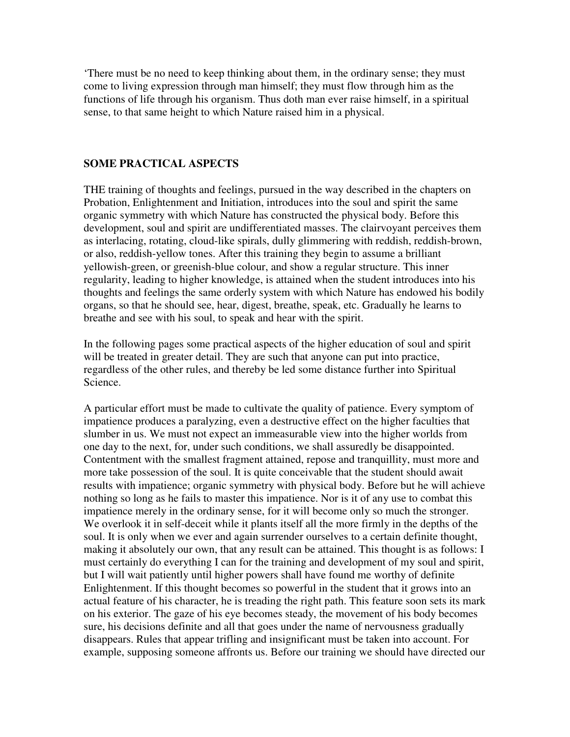<span id="page-35-0"></span>'There must be no need to keep thinking about them, in the ordinary sense; they must come to living expression through man himself; they must flow through him as the functions of life through his organism. Thus doth man ever raise himself, in a spiritual sense, to that same height to which Nature raised him in a physical.

## **SOME PRACTICAL ASPECTS**

THE training of thoughts and feelings, pursued in the way described in the chapters on Probation, Enlightenment and Initiation, introduces into the soul and spirit the same organic symmetry with which Nature has constructed the physical body. Before this development, soul and spirit are undifferentiated masses. The clairvoyant perceives them as interlacing, rotating, cloud-like spirals, dully glimmering with reddish, reddish-brown, or also, reddish-yellow tones. After this training they begin to assume a brilliant yellowish-green, or greenish-blue colour, and show a regular structure. This inner regularity, leading to higher knowledge, is attained when the student introduces into his thoughts and feelings the same orderly system with which Nature has endowed his bodily organs, so that he should see, hear, digest, breathe, speak, etc. Gradually he learns to breathe and see with his soul, to speak and hear with the spirit.

In the following pages some practical aspects of the higher education of soul and spirit will be treated in greater detail. They are such that anyone can put into practice, regardless of the other rules, and thereby be led some distance further into Spiritual Science.

A particular effort must be made to cultivate the quality of patience. Every symptom of impatience produces a paralyzing, even a destructive effect on the higher faculties that slumber in us. We must not expect an immeasurable view into the higher worlds from one day to the next, for, under such conditions, we shall assuredly be disappointed. Contentment with the smallest fragment attained, repose and tranquillity, must more and more take possession of the soul. It is quite conceivable that the student should await results with impatience; organic symmetry with physical body. Before but he will achieve nothing so long as he fails to master this impatience. Nor is it of any use to combat this impatience merely in the ordinary sense, for it will become only so much the stronger. We overlook it in self-deceit while it plants itself all the more firmly in the depths of the soul. It is only when we ever and again surrender ourselves to a certain definite thought, making it absolutely our own, that any result can be attained. This thought is as follows: I must certainly do everything I can for the training and development of my soul and spirit, but I will wait patiently until higher powers shall have found me worthy of definite Enlightenment. If this thought becomes so powerful in the student that it grows into an actual feature of his character, he is treading the right path. This feature soon sets its mark on his exterior. The gaze of his eye becomes steady, the movement of his body becomes sure, his decisions definite and all that goes under the name of nervousness gradually disappears. Rules that appear trifling and insignificant must be taken into account. For example, supposing someone affronts us. Before our training we should have directed our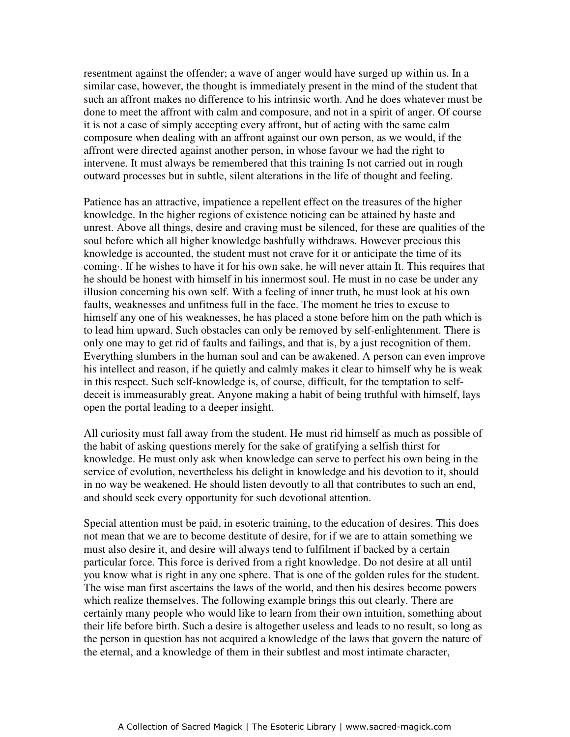resentment against the offender; a wave of anger would have surged up within us. In a similar case, however, the thought is immediately present in the mind of the student that such an affront makes no difference to his intrinsic worth. And he does whatever must be done to meet the affront with calm and composure, and not in a spirit of anger. Of course it is not a case of simply accepting every affront, but of acting with the same calm composure when dealing with an affront against our own person, as we would, if the affront were directed against another person, in whose favour we had the right to intervene. It must always be remembered that this training Is not carried out in rough outward processes but in subtle, silent alterations in the life of thought and feeling. -

Patience has an attractive, impatience a repellent effect on the treasures of the higher knowledge. In the higher regions of existence noticing can be attained by haste and unrest. Above all things, desire and craving must be silenced, for these are qualities of the soul before which all higher knowledge bashfully withdraws. However precious this knowledge is accounted, the student must not crave for it or anticipate the time of its coming·. If he wishes to have it for his own sake, he will never attain It. This requires that he should be honest with himself in his innermost soul. He must in no case be under any illusion concerning his own self. With a feeling of inner truth, he must look at his own faults, weaknesses and unfitness full in the face. The moment he tries to excuse to himself any one of his weaknesses, he has placed a stone before him on the path which is to lead him upward. Such obstacles can only be removed by self-enlightenment. There is only one may to get rid of faults and failings, and that is, by a just recognition of them. Everything slumbers in the human soul and can be awakened. A person can even improve his intellect and reason, if he quietly and calmly makes it clear to himself why he is weak in this respect. Such self-knowledge is, of course, difficult, for the temptation to selfdeceit is immeasurably great. Anyone making a habit of being truthful with himself, lays open the portal leading to a deeper insight.

All curiosity must fall away from the student. He must rid himself as much as possible of the habit of asking questions merely for the sake of gratifying a selfish thirst for knowledge. He must only ask when knowledge can serve to perfect his own being in the service of evolution, nevertheless his delight in knowledge and his devotion to it, should in no way be weakened. He should listen devoutly to all that contributes to such an end, and should seek every opportunity for such devotional attention.

Special attention must be paid, in esoteric training, to the education of desires. This does not mean that we are to become destitute of desire, for if we are to attain something we must also desire it, and desire will always tend to fulfilment if backed by a certain particular force. This force is derived from a right knowledge. Do not desire at all until you know what is right in any one sphere. That is one of the golden rules for the student. The wise man first ascertains the laws of the world, and then his desires become powers which realize themselves. The following example brings this out clearly. There are certainly many people who would like to learn from their own intuition, something about their life before birth. Such a desire is altogether useless and leads to no result, so long as the person in question has not acquired a knowledge of the laws that govern the nature of the eternal, and a knowledge of them in their subtlest and most intimate character,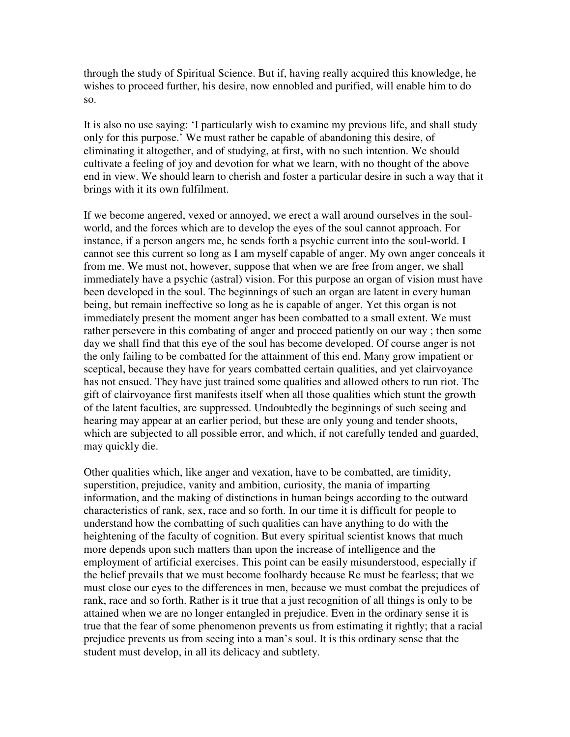through the study of Spiritual Science. But if, having really acquired this knowledge, he wishes to proceed further, his desire, now ennobled and purified, will enable him to do so.

It is also no use saying: 'I particularly wish to examine my previous life, and shall study only for this purpose.' We must rather be capable of abandoning this desire, of eliminating it altogether, and of studying, at first, with no such intention. We should cultivate a feeling of joy and devotion for what we learn, with no thought of the above end in view. We should learn to cherish and foster a particular desire in such a way that it brings with it its own fulfilment.

If we become angered, vexed or annoyed, we erect a wall around ourselves in the soulworld, and the forces which are to develop the eyes of the soul cannot approach. For instance, if a person angers me, he sends forth a psychic current into the soul-world. I cannot see this current so long as I am myself capable of anger. My own anger conceals it from me. We must not, however, suppose that when we are free from anger, we shall immediately have a psychic (astral) vision. For this purpose an organ of vision must have been developed in the soul. The beginnings of such an organ are latent in every human being, but remain ineffective so long as he is capable of anger. Yet this organ is not immediately present the moment anger has been combatted to a small extent. We must rather persevere in this combating of anger and proceed patiently on our way ; then some day we shall find that this eye of the soul has become developed. Of course anger is not the only failing to be combatted for the attainment of this end. Many grow impatient or sceptical, because they have for years combatted certain qualities, and yet clairvoyance has not ensued. They have just trained some qualities and allowed others to run riot. The gift of clairvoyance first manifests itself when all those qualities which stunt the growth of the latent faculties, are suppressed. Undoubtedly the beginnings of such seeing and hearing may appear at an earlier period, but these are only young and tender shoots, which are subjected to all possible error, and which, if not carefully tended and guarded, may quickly die.

Other qualities which, like anger and vexation, have to be combatted, are timidity, superstition, prejudice, vanity and ambition, curiosity, the mania of imparting information, and the making of distinctions in human beings according to the outward characteristics of rank, sex, race and so forth. In our time it is difficult for people to understand how the combatting of such qualities can have anything to do with the heightening of the faculty of cognition. But every spiritual scientist knows that much more depends upon such matters than upon the increase of intelligence and the employment of artificial exercises. This point can be easily misunderstood, especially if the belief prevails that we must become foolhardy because Re must be fearless; that we must close our eyes to the differences in men, because we must combat the prejudices of rank, race and so forth. Rather is it true that a just recognition of all things is only to be attained when we are no longer entangled in prejudice. Even in the ordinary sense it is true that the fear of some phenomenon prevents us from estimating it rightly; that a racial prejudice prevents us from seeing into a man's soul. It is this ordinary sense that the student must develop, in all its delicacy and subtlety.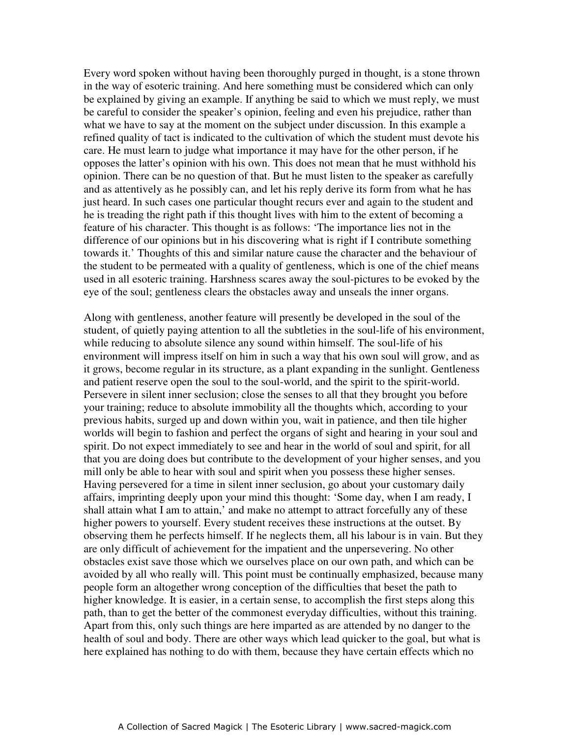Every word spoken without having been thoroughly purged in thought, is a stone thrown in the way of esoteric training. And here something must be considered which can only be explained by giving an example. If anything be said to which we must reply, we must be careful to consider the speaker's opinion, feeling and even his prejudice, rather than what we have to say at the moment on the subject under discussion. In this example a refined quality of tact is indicated to the cultivation of which the student must devote his care. He must learn to judge what importance it may have for the other person, if he opposes the latter's opinion with his own. This does not mean that he must withhold his opinion. There can be no question of that. But he must listen to the speaker as carefully and as attentively as he possibly can, and let his reply derive its form from what he has just heard. In such cases one particular thought recurs ever and again to the student and he is treading the right path if this thought lives with him to the extent of becoming a feature of his character. This thought is as follows: 'The importance lies not in the difference of our opinions but in his discovering what is right if I contribute something towards it.' Thoughts of this and similar nature cause the character and the behaviour of the student to be permeated with a quality of gentleness, which is one of the chief means used in all esoteric training. Harshness scares away the soul-pictures to be evoked by the eye of the soul; gentleness clears the obstacles away and unseals the inner organs.

Along with gentleness, another feature will presently be developed in the soul of the student, of quietly paying attention to all the subtleties in the soul-life of his environment, while reducing to absolute silence any sound within himself. The soul-life of his environment will impress itself on him in such a way that his own soul will grow, and as it grows, become regular in its structure, as a plant expanding in the sunlight. Gentleness and patient reserve open the soul to the soul-world, and the spirit to the spirit-world. Persevere in silent inner seclusion; close the senses to all that they brought you before your training; reduce to absolute immobility all the thoughts which, according to your previous habits, surged up and down within you, wait in patience, and then tile higher worlds will begin to fashion and perfect the organs of sight and hearing in your soul and spirit. Do not expect immediately to see and hear in the world of soul and spirit, for all that you are doing does but contribute to the development of your higher senses, and you mill only be able to hear with soul and spirit when you possess these higher senses. Having persevered for a time in silent inner seclusion, go about your customary daily affairs, imprinting deeply upon your mind this thought: 'Some day, when I am ready, I shall attain what I am to attain,' and make no attempt to attract forcefully any of these higher powers to yourself. Every student receives these instructions at the outset. By observing them he perfects himself. If he neglects them, all his labour is in vain. But they are only difficult of achievement for the impatient and the unpersevering. No other obstacles exist save those which we ourselves place on our own path, and which can be avoided by all who really will. This point must be continually emphasized, because many people form an altogether wrong conception of the difficulties that beset the path to higher knowledge. It is easier, in a certain sense, to accomplish the first steps along this path, than to get the better of the commonest everyday difficulties, without this training. Apart from this, only such things are here imparted as are attended by no danger to the health of soul and body. There are other ways which lead quicker to the goal, but what is here explained has nothing to do with them, because they have certain effects which no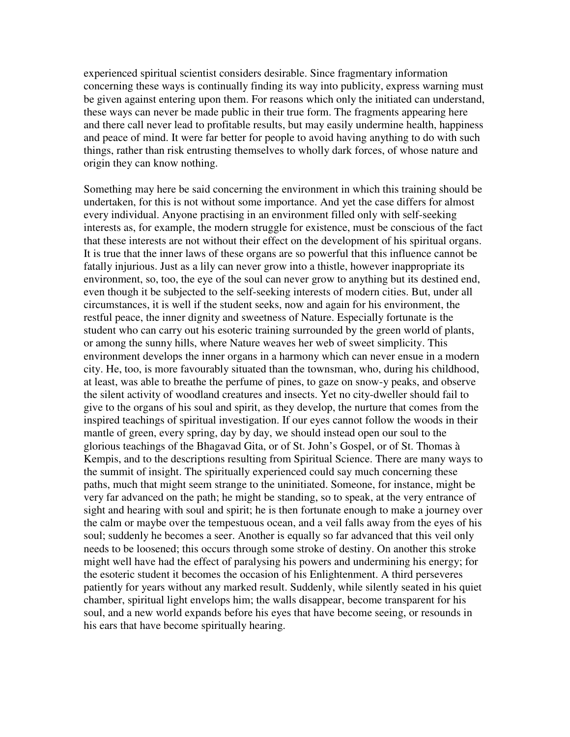experienced spiritual scientist considers desirable. Since fragmentary information concerning these ways is continually finding its way into publicity, express warning must be given against entering upon them. For reasons which only the initiated can understand, these ways can never be made public in their true form. The fragments appearing here and there call never lead to profitable results, but may easily undermine health, happiness and peace of mind. It were far better for people to avoid having anything to do with such things, rather than risk entrusting themselves to wholly dark forces, of whose nature and origin they can know nothing.

Something may here be said concerning the environment in which this training should be undertaken, for this is not without some importance. And yet the case differs for almost every individual. Anyone practising in an environment filled only with self-seeking interests as, for example, the modern struggle for existence, must be conscious of the fact that these interests are not without their effect on the development of his spiritual organs. It is true that the inner laws of these organs are so powerful that this influence cannot be fatally injurious. Just as a lily can never grow into a thistle, however inappropriate its environment, so, too, the eye of the soul can never grow to anything but its destined end, even though it be subjected to the self-seeking interests of modern cities. But, under all circumstances, it is well if the student seeks, now and again for his environment, the restful peace, the inner dignity and sweetness of Nature. Especially fortunate is the student who can carry out his esoteric training surrounded by the green world of plants, or among the sunny hills, where Nature weaves her web of sweet simplicity. This environment develops the inner organs in a harmony which can never ensue in a modern city. He, too, is more favourably situated than the townsman, who, during his childhood, at least, was able to breathe the perfume of pines, to gaze on snow-y peaks, and observe the silent activity of woodland creatures and insects. Yet no city-dweller should fail to give to the organs of his soul and spirit, as they develop, the nurture that comes from the inspired teachings of spiritual investigation. If our eyes cannot follow the woods in their mantle of green, every spring, day by day, we should instead open our soul to the glorious teachings of the Bhagavad Gita, or of St. John's Gospel, or of St. Thomas à Kempis, and to the descriptions resulting from Spiritual Science. There are many ways to the summit of insight. The spiritually experienced could say much concerning these paths, much that might seem strange to the uninitiated. Someone, for instance, might be very far advanced on the path; he might be standing, so to speak, at the very entrance of sight and hearing with soul and spirit; he is then fortunate enough to make a journey over the calm or maybe over the tempestuous ocean, and a veil falls away from the eyes of his soul; suddenly he becomes a seer. Another is equally so far advanced that this veil only needs to be loosened; this occurs through some stroke of destiny. On another this stroke might well have had the effect of paralysing his powers and undermining his energy; for the esoteric student it becomes the occasion of his Enlightenment. A third perseveres patiently for years without any marked result. Suddenly, while silently seated in his quiet chamber, spiritual light envelops him; the walls disappear, become transparent for his soul, and a new world expands before his eyes that have become seeing, or resounds in his ears that have become spiritually hearing.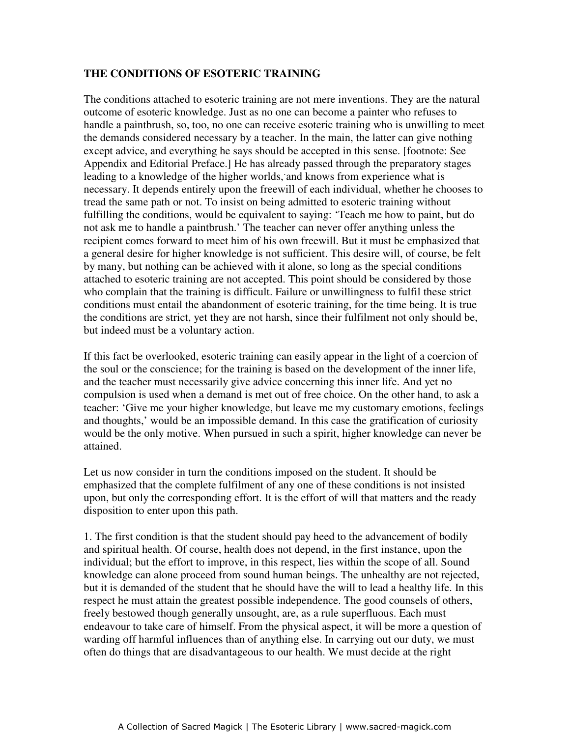### **THE CONDITIONS OF ESOTERIC TRAINING**

The conditions attached to esoteric training are not mere inventions. They are the natural outcome of esoteric knowledge. Just as no one can become a painter who refuses to handle a paintbrush, so, too, no one can receive esoteric training who is unwilling to meet the demands considered necessary by a teacher. In the main, the latter can give nothing except advice, and everything he says should be accepted in this sense. [footnote: See Appendix and Editorial Preface.] He has already passed through the preparatory stages leading to a knowledge of the higher worlds, and knows from experience what is necessary. It depends entirely upon the freewill of each individual, whether he chooses to tread the same path or not. To insist on being admitted to esoteric training without fulfilling the conditions, would be equivalent to saying: 'Teach me how to paint, but do not ask me to handle a paintbrush.' The teacher can never offer anything unless the recipient comes forward to meet him of his own freewill. But it must be emphasized that a general desire for higher knowledge is not sufficient. This desire will, of course, be felt by many, but nothing can be achieved with it alone, so long as the special conditions attached to esoteric training are not accepted. This point should be considered by those who complain that the training is difficult. Failure or unwillingness to fulfil these strict conditions must entail the abandonment of esoteric training, for the time being. It is true the conditions are strict, yet they are not harsh, since their fulfilment not only should be, but indeed must be a voluntary action.

If this fact be overlooked, esoteric training can easily appear in the light of a coercion of the soul or the conscience; for the training is based on the development of the inner life, and the teacher must necessarily give advice concerning this inner life. And yet no compulsion is used when a demand is met out of free choice. On the other hand, to ask a teacher: 'Give me your higher knowledge, but leave me my customary emotions, feelings and thoughts,' would be an impossible demand. In this case the gratification of curiosity would be the only motive. When pursued in such a spirit, higher knowledge can never be attained.

Let us now consider in turn the conditions imposed on the student. It should be emphasized that the complete fulfilment of any one of these conditions is not insisted upon, but only the corresponding effort. It is the effort of will that matters and the ready disposition to enter upon this path.

1. The first condition is that the student should pay heed to the advancement of bodily and spiritual health. Of course, health does not depend, in the first instance, upon the individual; but the effort to improve, in this respect, lies within the scope of all. Sound knowledge can alone proceed from sound human beings. The unhealthy are not rejected, but it is demanded of the student that he should have the will to lead a healthy life. In this respect he must attain the greatest possible independence. The good counsels of others, freely bestowed though generally unsought, are, as a rule superfluous. Each must endeavour to take care of himself. From the physical aspect, it will be more a question of warding off harmful influences than of anything else. In carrying out our duty, we must often do things that are disadvantageous to our health. We must decide at the right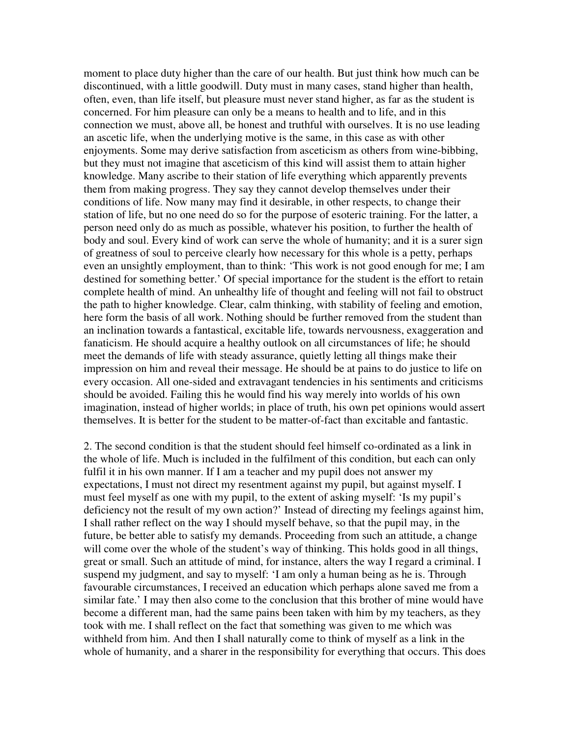moment to place duty higher than the care of our health. But just think how much can be discontinued, with a little goodwill. Duty must in many cases, stand higher than health, often, even, than life itself, but pleasure must never stand higher, as far as the student is concerned. For him pleasure can only be a means to health and to life, and in this connection we must, above all, be honest and truthful with ourselves. It is no use leading an ascetic life, when the underlying motive is the same, in this case as with other enjoyments. Some may derive satisfaction from asceticism as others from wine-bibbing, but they must not imagine that asceticism of this kind will assist them to attain higher knowledge. Many ascribe to their station of life everything which apparently prevents them from making progress. They say they cannot develop themselves under their conditions of life. Now many may find it desirable, in other respects, to change their station of life, but no one need do so for the purpose of esoteric training. For the latter, a person need only do as much as possible, whatever his position, to further the health of body and soul. Every kind of work can serve the whole of humanity; and it is a surer sign of greatness of soul to perceive clearly how necessary for this whole is a petty, perhaps even an unsightly employment, than to think: 'This work is not good enough for me; I am destined for something better.' Of special importance for the student is the effort to retain complete health of mind. An unhealthy life of thought and feeling will not fail to obstruct the path to higher knowledge. Clear, calm thinking, with stability of feeling and emotion, here form the basis of all work. Nothing should be further removed from the student than an inclination towards a fantastical, excitable life, towards nervousness, exaggeration and fanaticism. He should acquire a healthy outlook on all circumstances of life; he should meet the demands of life with steady assurance, quietly letting all things make their impression on him and reveal their message. He should be at pains to do justice to life on every occasion. All one-sided and extravagant tendencies in his sentiments and criticisms should be avoided. Failing this he would find his way merely into worlds of his own imagination, instead of higher worlds; in place of truth, his own pet opinions would assert themselves. It is better for the student to be matter-of-fact than excitable and fantastic.

2. The second condition is that the student should feel himself co-ordinated as a link in the whole of life. Much is included in the fulfilment of this condition, but each can only fulfil it in his own manner. If I am a teacher and my pupil does not answer my expectations, I must not direct my resentment against my pupil, but against myself. I must feel myself as one with my pupil, to the extent of asking myself: 'Is my pupil's deficiency not the result of my own action?' Instead of directing my feelings against him, I shall rather reflect on the way I should myself behave, so that the pupil may, in the future, be better able to satisfy my demands. Proceeding from such an attitude, a change will come over the whole of the student's way of thinking. This holds good in all things, great or small. Such an attitude of mind, for instance, alters the way I regard a criminal. I suspend my judgment, and say to myself: 'I am only a human being as he is. Through favourable circumstances, I received an education which perhaps alone saved me from a similar fate.' I may then also come to the conclusion that this brother of mine would have become a different man, had the same pains been taken with him by my teachers, as they took with me. I shall reflect on the fact that something was given to me which was withheld from him. And then I shall naturally come to think of myself as a link in the whole of humanity, and a sharer in the responsibility for everything that occurs. This does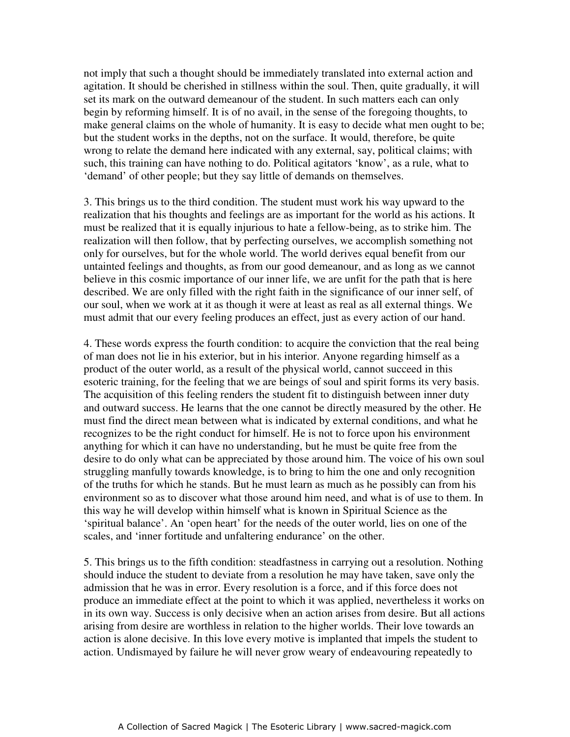not imply that such a thought should be immediately translated into external action and agitation. It should be cherished in stillness within the soul. Then, quite gradually, it will set its mark on the outward demeanour of the student. In such matters each can only begin by reforming himself. It is of no avail, in the sense of the foregoing thoughts, to make general claims on the whole of humanity. It is easy to decide what men ought to be; but the student works in the depths, not on the surface. It would, therefore, be quite wrong to relate the demand here indicated with any external, say, political claims; with such, this training can have nothing to do. Political agitators 'know', as a rule, what to 'demand' of other people; but they say little of demands on themselves. -

3. This brings us to the third condition. The student must work his way upward to the realization that his thoughts and feelings are as important for the world as his actions. It must be realized that it is equally injurious to hate a fellow-being, as to strike him. The realization will then follow, that by perfecting ourselves, we accomplish something not only for ourselves, but for the whole world. The world derives equal benefit from our untainted feelings and thoughts, as from our good demeanour, and as long as we cannot believe in this cosmic importance of our inner life, we are unfit for the path that is here described. We are only filled with the right faith in the significance of our inner self, of our soul, when we work at it as though it were at least as real as all external things. We must admit that our every feeling produces an effect, just as every action of our hand.

4. These words express the fourth condition: to acquire the conviction that the real being of man does not lie in his exterior, but in his interior. Anyone regarding himself as a product of the outer world, as a result of the physical world, cannot succeed in this esoteric training, for the feeling that we are beings of soul and spirit forms its very basis. The acquisition of this feeling renders the student fit to distinguish between inner duty and outward success. He learns that the one cannot be directly measured by the other. He must find the direct mean between what is indicated by external conditions, and what he recognizes to be the right conduct for himself. He is not to force upon his environment anything for which it can have no understanding, but he must be quite free from the desire to do only what can be appreciated by those around him. The voice of his own soul struggling manfully towards knowledge, is to bring to him the one and only recognition of the truths for which he stands. But he must learn as much as he possibly can from his environment so as to discover what those around him need, and what is of use to them. In this way he will develop within himself what is known in Spiritual Science as the 'spiritual balance'. An 'open heart' for the needs of the outer world, lies on one of the scales, and 'inner fortitude and unfaltering endurance' on the other.

5. This brings us to the fifth condition: steadfastness in carrying out a resolution. Nothing should induce the student to deviate from a resolution he may have taken, save only the admission that he was in error. Every resolution is a force, and if this force does not produce an immediate effect at the point to which it was applied, nevertheless it works on in its own way. Success is only decisive when an action arises from desire. But all actions arising from desire are worthless in relation to the higher worlds. Their love towards an action is alone decisive. In this love every motive is implanted that impels the student to action. Undismayed by failure he will never grow weary of endeavouring repeatedly to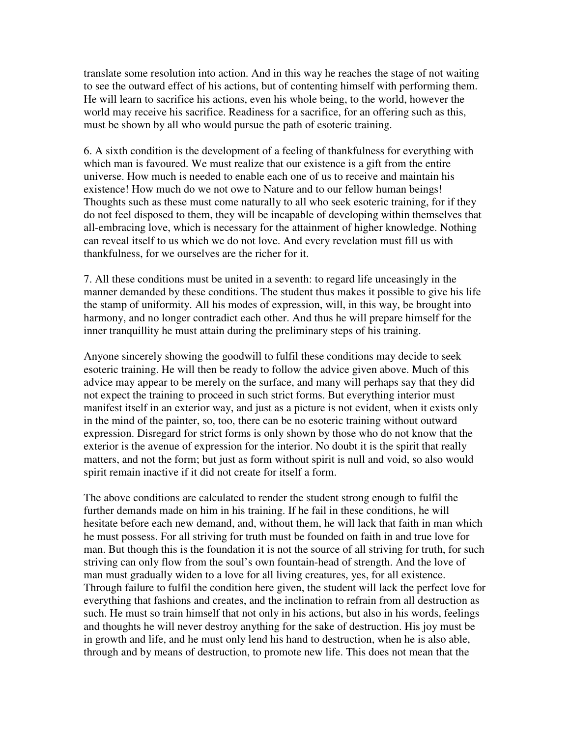translate some resolution into action. And in this way he reaches the stage of not waiting to see the outward effect of his actions, but of contenting himself with performing them. He will learn to sacrifice his actions, even his whole being, to the world, however the world may receive his sacrifice. Readiness for a sacrifice, for an offering such as this, must be shown by all who would pursue the path of esoteric training.

6. A sixth condition is the development of a feeling of thankfulness for everything with which man is favoured. We must realize that our existence is a gift from the entire universe. How much is needed to enable each one of us to receive and maintain his existence! How much do we not owe to Nature and to our fellow human beings! Thoughts such as these must come naturally to all who seek esoteric training, for if they do not feel disposed to them, they will be incapable of developing within themselves that all-embracing love, which is necessary for the attainment of higher knowledge. Nothing can reveal itself to us which we do not love. And every revelation must fill us with thankfulness, for we ourselves are the richer for it.

7. All these conditions must be united in a seventh: to regard life unceasingly in the manner demanded by these conditions. The student thus makes it possible to give his life the stamp of uniformity. All his modes of expression, will, in this way, be brought into harmony, and no longer contradict each other. And thus he will prepare himself for the inner tranquillity he must attain during the preliminary steps of his training.

Anyone sincerely showing the goodwill to fulfil these conditions may decide to seek esoteric training. He will then be ready to follow the advice given above. Much of this advice may appear to be merely on the surface, and many will perhaps say that they did not expect the training to proceed in such strict forms. But everything interior must manifest itself in an exterior way, and just as a picture is not evident, when it exists only in the mind of the painter, so, too, there can be no esoteric training without outward expression. Disregard for strict forms is only shown by those who do not know that the exterior is the avenue of expression for the interior. No doubt it is the spirit that really matters, and not the form; but just as form without spirit is null and void, so also would spirit remain inactive if it did not create for itself a form.

The above conditions are calculated to render the student strong enough to fulfil the further demands made on him in his training. If he fail in these conditions, he will hesitate before each new demand, and, without them, he will lack that faith in man which he must possess. For all striving for truth must be founded on faith in and true love for man. But though this is the foundation it is not the source of all striving for truth, for such striving can only flow from the soul's own fountain-head of strength. And the love of man must gradually widen to a love for all living creatures, yes, for all existence. Through failure to fulfil the condition here given, the student will lack the perfect love for everything that fashions and creates, and the inclination to refrain from all destruction as such. He must so train himself that not only in his actions, but also in his words, feelings and thoughts he will never destroy anything for the sake of destruction. His joy must be in growth and life, and he must only lend his hand to destruction, when he is also able, through and by means of destruction, to promote new life. This does not mean that the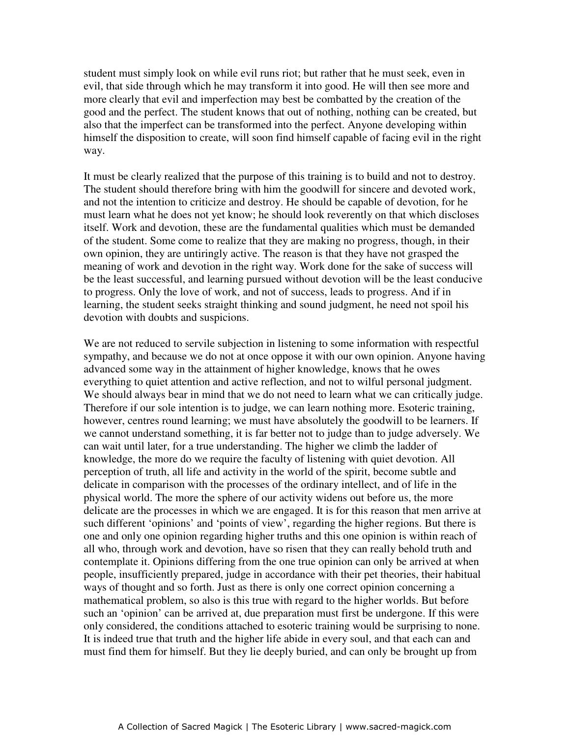student must simply look on while evil runs riot; but rather that he must seek, even in evil, that side through which he may transform it into good. He will then see more and more clearly that evil and imperfection may best be combatted by the creation of the good and the perfect. The student knows that out of nothing, nothing can be created, but also that the imperfect can be transformed into the perfect. Anyone developing within himself the disposition to create, will soon find himself capable of facing evil in the right way.

It must be clearly realized that the purpose of this training is to build and not to destroy. - The student should therefore bring with him the goodwill for sincere and devoted work, and not the intention to criticize and destroy. He should be capable of devotion, for he must learn what he does not yet know; he should look reverently on that which discloses itself. Work and devotion, these are the fundamental qualities which must be demanded of the student. Some come to realize that they are making no progress, though, in their own opinion, they are untiringly active. The reason is that they have not grasped the meaning of work and devotion in the right way. Work done for the sake of success will be the least successful, and learning pursued without devotion will be the least conducive to progress. Only the love of work, and not of success, leads to progress. And if in learning, the student seeks straight thinking and sound judgment, he need not spoil his devotion with doubts and suspicions.

We are not reduced to servile subjection in listening to some information with respectful sympathy, and because we do not at once oppose it with our own opinion. Anyone having advanced some way in the attainment of higher knowledge, knows that he owes everything to quiet attention and active reflection, and not to wilful personal judgment. We should always bear in mind that we do not need to learn what we can critically judge. Therefore if our sole intention is to judge, we can learn nothing more. Esoteric training, however, centres round learning; we must have absolutely the goodwill to be learners. If we cannot understand something, it is far better not to judge than to judge adversely. We can wait until later, for a true understanding. The higher we climb the ladder of knowledge, the more do we require the faculty of listening with quiet devotion. All perception of truth, all life and activity in the world of the spirit, become subtle and delicate in comparison with the processes of the ordinary intellect, and of life in the physical world. The more the sphere of our activity widens out before us, the more delicate are the processes in which we are engaged. It is for this reason that men arrive at such different 'opinions' and 'points of view', regarding the higher regions. But there is one and only one opinion regarding higher truths and this one opinion is within reach of all who, through work and devotion, have so risen that they can really behold truth and contemplate it. Opinions differing from the one true opinion can only be arrived at when people, insufficiently prepared, judge in accordance with their pet theories, their habitual ways of thought and so forth. Just as there is only one correct opinion concerning a mathematical problem, so also is this true with regard to the higher worlds. But before such an 'opinion' can be arrived at, due preparation must first be undergone. If this were only considered, the conditions attached to esoteric training would be surprising to none. It is indeed true that truth and the higher life abide in every soul, and that each can and must find them for himself. But they lie deeply buried, and can only be brought up from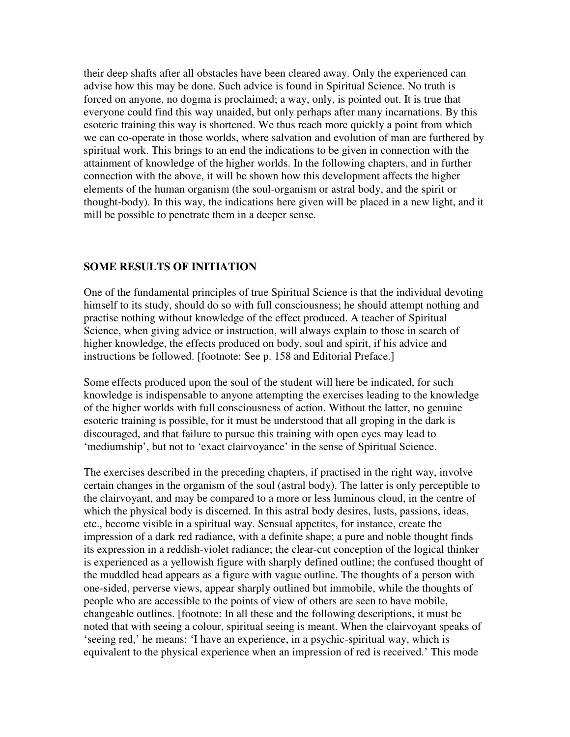their deep shafts after all obstacles have been cleared away. Only the experienced can advise how this may be done. Such advice is found in Spiritual Science. No truth is forced on anyone, no dogma is proclaimed; a way, only, is pointed out. It is true that everyone could find this way unaided, but only perhaps after many incarnations. By this esoteric training this way is shortened. We thus reach more quickly a point from which we can co-operate in those worlds, where salvation and evolution of man are furthered by spiritual work. This brings to an end the indications to be given in connection with the attainment of knowledge of the higher worlds. In the following chapters, and in further connection with the above, it will be shown how this development affects the higher elements of the human organism (the soul-organism or astral body, and the spirit or thought-body). In this way, the indications here given will be placed in a new light, and it mill be possible to penetrate them in a deeper sense.

# **SOME RESULTS OF INITIATION**

One of the fundamental principles of true Spiritual Science is that the individual devoting himself to its study, should do so with full consciousness; he should attempt nothing and practise nothing without knowledge of the effect produced. A teacher of Spiritual Science, when giving advice or instruction, will always explain to those in search of higher knowledge, the effects produced on body, soul and spirit, if his advice and instructions be followed. [footnote: See p. 158 and Editorial Preface.]

Some effects produced upon the soul of the student will here be indicated, for such knowledge is indispensable to anyone attempting the exercises leading to the knowledge of the higher worlds with full consciousness of action. Without the latter, no genuine esoteric training is possible, for it must be understood that all groping in the dark is discouraged, and that failure to pursue this training with open eyes may lead to 'mediumship', but not to 'exact clairvoyance' in the sense of Spiritual Science.

The exercises described in the preceding chapters, if practised in the right way, involve certain changes in the organism of the soul (astral body). The latter is only perceptible to the clairvoyant, and may be compared to a more or less luminous cloud, in the centre of which the physical body is discerned. In this astral body desires, lusts, passions, ideas, etc., become visible in a spiritual way. Sensual appetites, for instance, create the impression of a dark red radiance, with a definite shape; a pure and noble thought finds its expression in a reddish-violet radiance; the clear-cut conception of the logical thinker is experienced as a yellowish figure with sharply defined outline; the confused thought of the muddled head appears as a figure with vague outline. The thoughts of a person with one-sided, perverse views, appear sharply outlined but immobile, while the thoughts of people who are accessible to the points of view of others are seen to have mobile, changeable outlines. [footnote: In all these and the following descriptions, it must be noted that with seeing a colour, spiritual seeing is meant. When the clairvoyant speaks of 'seeing red,' he means: 'I have an experience, in a psychic-spiritual way, which is equivalent to the physical experience when an impression of red is received.' This mode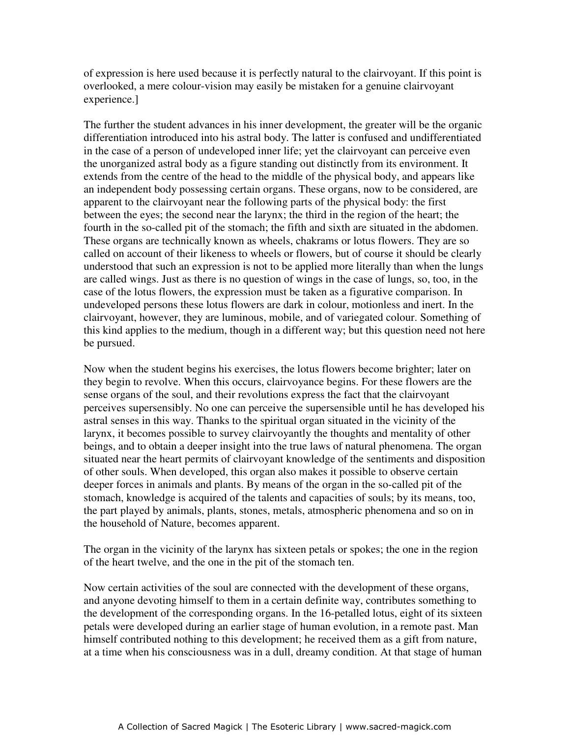of expression is here used because it is perfectly natural to the clairvoyant. If this point is overlooked, a mere colour-vision may easily be mistaken for a genuine clairvoyant experience.]

The further the student advances in his inner development, the greater will be the organic differentiation introduced into his astral body. The latter is confused and undifferentiated in the case of a person of undeveloped inner life; yet the clairvoyant can perceive even the unorganized astral body as a figure standing out distinctly from its environment. It extends from the centre of the head to the middle of the physical body, and appears like an independent body possessing certain organs. These organs, now to be considered, are apparent to the clairvoyant near the following parts of the physical body: the first between the eyes; the second near the larynx; the third in the region of the heart; the fourth in the so-called pit of the stomach; the fifth and sixth are situated in the abdomen. These organs are technically known as wheels, chakrams or lotus flowers. They are so called on account of their likeness to wheels or flowers, but of course it should be clearly understood that such an expression is not to be applied more literally than when the lungs are called wings. Just as there is no question of wings in the case of lungs, so, too, in the case of the lotus flowers, the expression must be taken as a figurative comparison. In undeveloped persons these lotus flowers are dark in colour, motionless and inert. In the clairvoyant, however, they are luminous, mobile, and of variegated colour. Something of this kind applies to the medium, though in a different way; but this question need not here be pursued.

Now when the student begins his exercises, the lotus flowers become brighter; later on they begin to revolve. When this occurs, clairvoyance begins. For these flowers are the sense organs of the soul, and their revolutions express the fact that the clairvoyant perceives supersensibly. No one can perceive the supersensible until he has developed his astral senses in this way. Thanks to the spiritual organ situated in the vicinity of the larynx, it becomes possible to survey clairvoyantly the thoughts and mentality of other beings, and to obtain a deeper insight into the true laws of natural phenomena. The organ situated near the heart permits of clairvoyant knowledge of the sentiments and disposition of other souls. When developed, this organ also makes it possible to observe certain deeper forces in animals and plants. By means of the organ in the so-called pit of the stomach, knowledge is acquired of the talents and capacities of souls; by its means, too, the part played by animals, plants, stones, metals, atmospheric phenomena and so on in the household of Nature, becomes apparent.

The organ in the vicinity of the larynx has sixteen petals or spokes; the one in the region of the heart twelve, and the one in the pit of the stomach ten.

Now certain activities of the soul are connected with the development of these organs, and anyone devoting himself to them in a certain definite way, contributes something to the development of the corresponding organs. In the 16-petalled lotus, eight of its sixteen petals were developed during an earlier stage of human evolution, in a remote past. Man himself contributed nothing to this development; he received them as a gift from nature, at a time when his consciousness was in a dull, dreamy condition. At that stage of human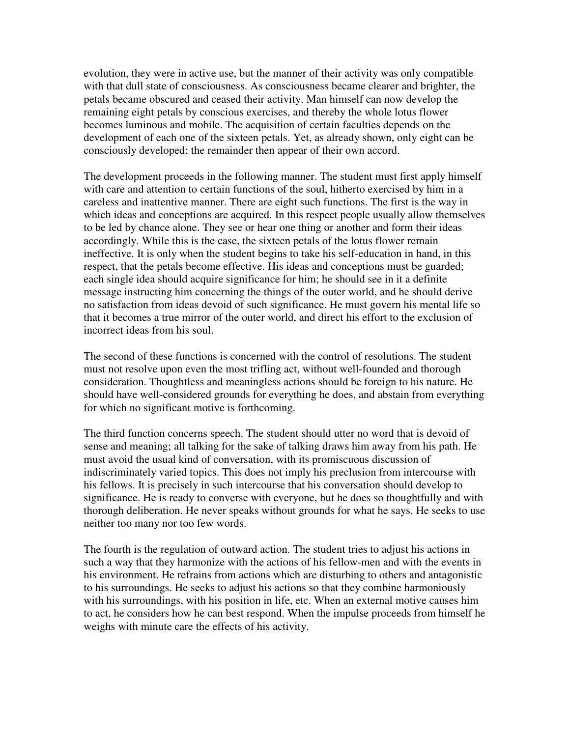evolution, they were in active use, but the manner of their activity was only compatible with that dull state of consciousness. As consciousness became clearer and brighter, the petals became obscured and ceased their activity. Man himself can now develop the remaining eight petals by conscious exercises, and thereby the whole lotus flower becomes luminous and mobile. The acquisition of certain faculties depends on the development of each one of the sixteen petals. Yet, as already shown, only eight can be consciously developed; the remainder then appear of their own accord.

The development proceeds in the following manner. The student must first apply himself with care and attention to certain functions of the soul, hitherto exercised by him in a careless and inattentive manner. There are eight such functions. The first is the way in which ideas and conceptions are acquired. In this respect people usually allow themselves to be led by chance alone. They see or hear one thing or another and form their ideas accordingly. While this is the case, the sixteen petals of the lotus flower remain ineffective. It is only when the student begins to take his self-education in hand, in this respect, that the petals become effective. His ideas and conceptions must be guarded; each single idea should acquire significance for him; he should see in it a definite message instructing him concerning the things of the outer world, and he should derive no satisfaction from ideas devoid of such significance. He must govern his mental life so that it becomes a true mirror of the outer world, and direct his effort to the exclusion of incorrect ideas from his soul.

The second of these functions is concerned with the control of resolutions. The student must not resolve upon even the most trifling act, without well-founded and thorough consideration. Thoughtless and meaningless actions should be foreign to his nature. He should have well-considered grounds for everything he does, and abstain from everything for which no significant motive is forthcoming.

The third function concerns speech. The student should utter no word that is devoid of sense and meaning; all talking for the sake of talking draws him away from his path. He must avoid the usual kind of conversation, with its promiscuous discussion of indiscriminately varied topics. This does not imply his preclusion from intercourse with his fellows. It is precisely in such intercourse that his conversation should develop to significance. He is ready to converse with everyone, but he does so thoughtfully and with thorough deliberation. He never speaks without grounds for what he says. He seeks to use neither too many nor too few words.

The fourth is the regulation of outward action. The student tries to adjust his actions in such a way that they harmonize with the actions of his fellow-men and with the events in his environment. He refrains from actions which are disturbing to others and antagonistic to his surroundings. He seeks to adjust his actions so that they combine harmoniously with his surroundings, with his position in life, etc. When an external motive causes him to act, he considers how he can best respond. When the impulse proceeds from himself he weighs with minute care the effects of his activity.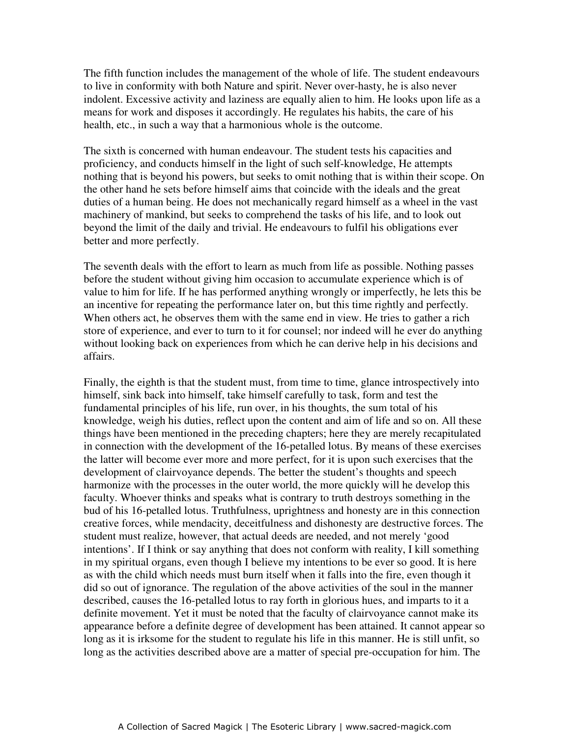The fifth function includes the management of the whole of life. The student endeavours to live in conformity with both Nature and spirit. Never over-hasty, he is also never indolent. Excessive activity and laziness are equally alien to him. He looks upon life as a means for work and disposes it accordingly. He regulates his habits, the care of his health, etc., in such a way that a harmonious whole is the outcome.

The sixth is concerned with human endeavour. The student tests his capacities and proficiency, and conducts himself in the light of such self-knowledge, He attempts nothing that is beyond his powers, but seeks to omit nothing that is within their scope. On the other hand he sets before himself aims that coincide with the ideals and the great duties of a human being. He does not mechanically regard himself as a wheel in the vast machinery of mankind, but seeks to comprehend the tasks of his life, and to look out beyond the limit of the daily and trivial. He endeavours to fulfil his obligations ever better and more perfectly.

The seventh deals with the effort to learn as much from life as possible. Nothing passes before the student without giving him occasion to accumulate experience which is of value to him for life. If he has performed anything wrongly or imperfectly, he lets this be an incentive for repeating the performance later on, but this time rightly and perfectly. When others act, he observes them with the same end in view. He tries to gather a rich store of experience, and ever to turn to it for counsel; nor indeed will he ever do anything without looking back on experiences from which he can derive help in his decisions and affairs.

Finally, the eighth is that the student must, from time to time, glance introspectively into himself, sink back into himself, take himself carefully to task, form and test the fundamental principles of his life, run over, in his thoughts, the sum total of his knowledge, weigh his duties, reflect upon the content and aim of life and so on. All these things have been mentioned in the preceding chapters; here they are merely recapitulated in connection with the development of the 16-petalled lotus. By means of these exercises the latter will become ever more and more perfect, for it is upon such exercises that the development of clairvoyance depends. The better the student's thoughts and speech harmonize with the processes in the outer world, the more quickly will he develop this faculty. Whoever thinks and speaks what is contrary to truth destroys something in the bud of his 16-petalled lotus. Truthfulness, uprightness and honesty are in this connection creative forces, while mendacity, deceitfulness and dishonesty are destructive forces. The student must realize, however, that actual deeds are needed, and not merely 'good intentions'. If I think or say anything that does not conform with reality, I kill something in my spiritual organs, even though I believe my intentions to be ever so good. It is here as with the child which needs must burn itself when it falls into the fire, even though it did so out of ignorance. The regulation of the above activities of the soul in the manner described, causes the 16-petalled lotus to ray forth in glorious hues, and imparts to it a definite movement. Yet it must be noted that the faculty of clairvoyance cannot make its appearance before a definite degree of development has been attained. It cannot appear so long as it is irksome for the student to regulate his life in this manner. He is still unfit, so long as the activities described above are a matter of special pre-occupation for him. The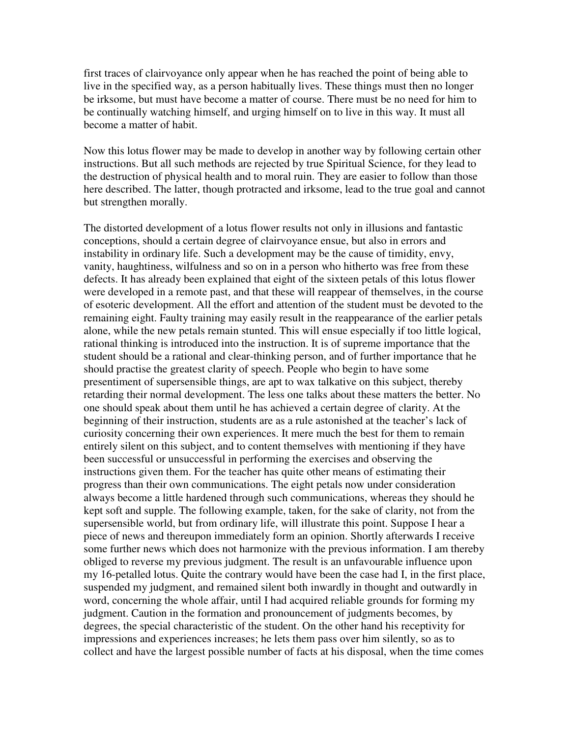first traces of clairvoyance only appear when he has reached the point of being able to live in the specified way, as a person habitually lives. These things must then no longer be irksome, but must have become a matter of course. There must be no need for him to be continually watching himself, and urging himself on to live in this way. It must all become a matter of habit.

Now this lotus flower may be made to develop in another way by following certain other instructions. But all such methods are rejected by true Spiritual Science, for they lead to the destruction of physical health and to moral ruin. They are easier to follow than those here described. The latter, though protracted and irksome, lead to the true goal and cannot but strengthen morally.

The distorted development of a lotus flower results not only in illusions and fantastic conceptions, should a certain degree of clairvoyance ensue, but also in errors and instability in ordinary life. Such a development may be the cause of timidity, envy, vanity, haughtiness, wilfulness and so on in a person who hitherto was free from these defects. It has already been explained that eight of the sixteen petals of this lotus flower were developed in a remote past, and that these will reappear of themselves, in the course of esoteric development. All the effort and attention of the student must be devoted to the remaining eight. Faulty training may easily result in the reappearance of the earlier petals alone, while the new petals remain stunted. This will ensue especially if too little logical, rational thinking is introduced into the instruction. It is of supreme importance that the student should be a rational and clear-thinking person, and of further importance that he should practise the greatest clarity of speech. People who begin to have some presentiment of supersensible things, are apt to wax talkative on this subject, thereby retarding their normal development. The less one talks about these matters the better. No one should speak about them until he has achieved a certain degree of clarity. At the beginning of their instruction, students are as a rule astonished at the teacher's lack of curiosity concerning their own experiences. It mere much the best for them to remain entirely silent on this subject, and to content themselves with mentioning if they have been successful or unsuccessful in performing the exercises and observing the instructions given them. For the teacher has quite other means of estimating their progress than their own communications. The eight petals now under consideration always become a little hardened through such communications, whereas they should he kept soft and supple. The following example, taken, for the sake of clarity, not from the supersensible world, but from ordinary life, will illustrate this point. Suppose I hear a piece of news and thereupon immediately form an opinion. Shortly afterwards I receive some further news which does not harmonize with the previous information. I am thereby obliged to reverse my previous judgment. The result is an unfavourable influence upon my 16-petalled lotus. Quite the contrary would have been the case had I, in the first place, suspended my judgment, and remained silent both inwardly in thought and outwardly in word, concerning the whole affair, until I had acquired reliable grounds for forming my judgment. Caution in the formation and pronouncement of judgments becomes, by degrees, the special characteristic of the student. On the other hand his receptivity for impressions and experiences increases; he lets them pass over him silently, so as to collect and have the largest possible number of facts at his disposal, when the time comes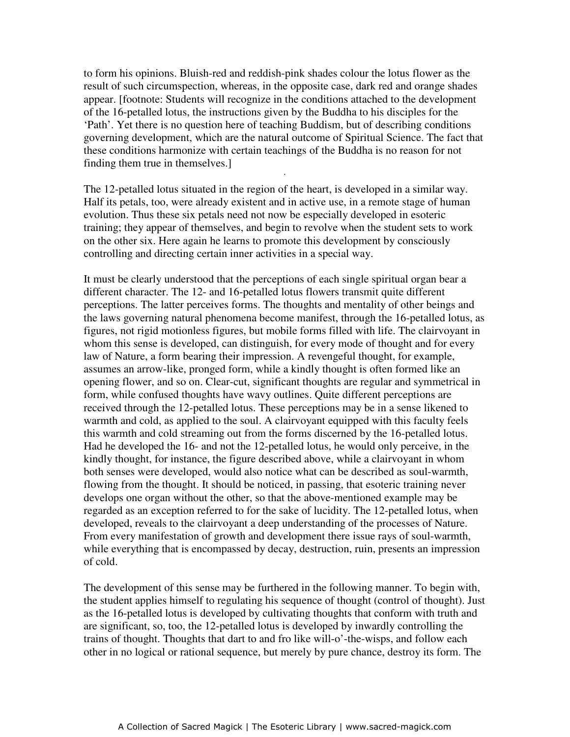to form his opinions. Bluish-red and reddish-pink shades colour the lotus flower as the result of such circumspection, whereas, in the opposite case, dark red and orange shades appear. [footnote: Students will recognize in the conditions attached to the development of the 16-petalled lotus, the instructions given by the Buddha to his disciples for the 'Path'. Yet there is no question here of teaching Buddism, but of describing conditions governing development, which are the natural outcome of Spiritual Science. The fact that these conditions harmonize with certain teachings of the Buddha is no reason for not finding them true in themselves.] -

The 12-petalled lotus situated in the region of the heart, is developed in a similar way. Half its petals, too, were already existent and in active use, in a remote stage of human evolution. Thus these six petals need not now be especially developed in esoteric training; they appear of themselves, and begin to revolve when the student sets to work on the other six. Here again he learns to promote this development by consciously controlling and directing certain inner activities in a special way.

It must be clearly understood that the perceptions of each single spiritual organ bear a different character. The 12- and 16-petalled lotus flowers transmit quite different perceptions. The latter perceives forms. The thoughts and mentality of other beings and the laws governing natural phenomena become manifest, through the 16-petalled lotus, as figures, not rigid motionless figures, but mobile forms filled with life. The clairvoyant in whom this sense is developed, can distinguish, for every mode of thought and for every law of Nature, a form bearing their impression. A revengeful thought, for example, assumes an arrow-like, pronged form, while a kindly thought is often formed like an opening flower, and so on. Clear-cut, significant thoughts are regular and symmetrical in form, while confused thoughts have wavy outlines. Quite different perceptions are received through the 12-petalled lotus. These perceptions may be in a sense likened to warmth and cold, as applied to the soul. A clairvoyant equipped with this faculty feels this warmth and cold streaming out from the forms discerned by the 16-petalled lotus. Had he developed the 16- and not the 12-petalled lotus, he would only perceive, in the kindly thought, for instance, the figure described above, while a clairvoyant in whom both senses were developed, would also notice what can be described as soul-warmth, flowing from the thought. It should be noticed, in passing, that esoteric training never develops one organ without the other, so that the above-mentioned example may be regarded as an exception referred to for the sake of lucidity. The 12-petalled lotus, when developed, reveals to the clairvoyant a deep understanding of the processes of Nature. From every manifestation of growth and development there issue rays of soul-warmth, while everything that is encompassed by decay, destruction, ruin, presents an impression of cold.

The development of this sense may be furthered in the following manner. To begin with, the student applies himself to regulating his sequence of thought (control of thought). Just as the 16-petalled lotus is developed by cultivating thoughts that conform with truth and are significant, so, too, the 12-petalled lotus is developed by inwardly controlling the trains of thought. Thoughts that dart to and fro like will-o'-the-wisps, and follow each other in no logical or rational sequence, but merely by pure chance, destroy its form. The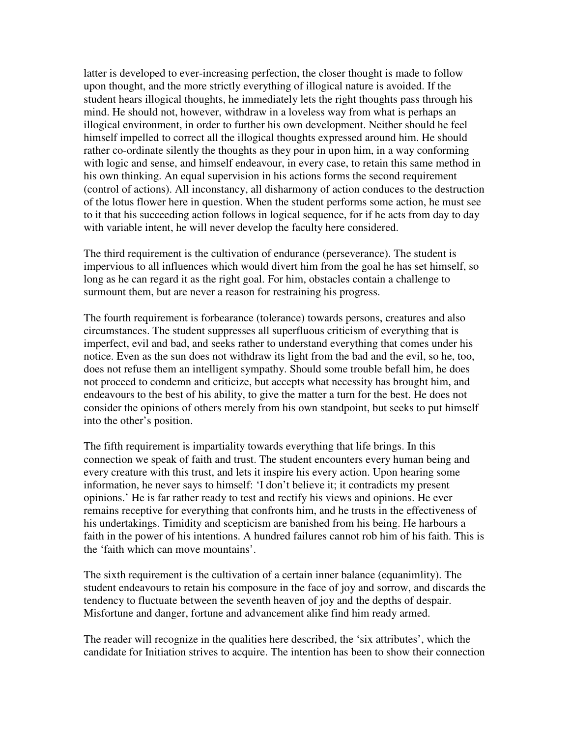latter is developed to ever-increasing perfection, the closer thought is made to follow upon thought, and the more strictly everything of illogical nature is avoided. If the student hears illogical thoughts, he immediately lets the right thoughts pass through his mind. He should not, however, withdraw in a loveless way from what is perhaps an illogical environment, in order to further his own development. Neither should he feel himself impelled to correct all the illogical thoughts expressed around him. He should rather co-ordinate silently the thoughts as they pour in upon him, in a way conforming with logic and sense, and himself endeavour, in every case, to retain this same method in his own thinking. An equal supervision in his actions forms the second requirement (control of actions). All inconstancy, all disharmony of action conduces to the destruction of the lotus flower here in question. When the student performs some action, he must see to it that his succeeding action follows in logical sequence, for if he acts from day to day with variable intent, he will never develop the faculty here considered.

The third requirement is the cultivation of endurance (perseverance). The student is impervious to all influences which would divert him from the goal he has set himself, so long as he can regard it as the right goal. For him, obstacles contain a challenge to surmount them, but are never a reason for restraining his progress.

The fourth requirement is forbearance (tolerance) towards persons, creatures and also circumstances. The student suppresses all superfluous criticism of everything that is imperfect, evil and bad, and seeks rather to understand everything that comes under his notice. Even as the sun does not withdraw its light from the bad and the evil, so he, too, does not refuse them an intelligent sympathy. Should some trouble befall him, he does not proceed to condemn and criticize, but accepts what necessity has brought him, and endeavours to the best of his ability, to give the matter a turn for the best. He does not consider the opinions of others merely from his own standpoint, but seeks to put himself into the other's position.

The fifth requirement is impartiality towards everything that life brings. In this connection we speak of faith and trust. The student encounters every human being and every creature with this trust, and lets it inspire his every action. Upon hearing some information, he never says to himself: 'I don't believe it; it contradicts my present opinions.' He is far rather ready to test and rectify his views and opinions. He ever remains receptive for everything that confronts him, and he trusts in the effectiveness of his undertakings. Timidity and scepticism are banished from his being. He harbours a faith in the power of his intentions. A hundred failures cannot rob him of his faith. This is the 'faith which can move mountains'.

The sixth requirement is the cultivation of a certain inner balance (equanimlity). The student endeavours to retain his composure in the face of joy and sorrow, and discards the tendency to fluctuate between the seventh heaven of joy and the depths of despair. Misfortune and danger, fortune and advancement alike find him ready armed.

The reader will recognize in the qualities here described, the 'six attributes', which the candidate for Initiation strives to acquire. The intention has been to show their connection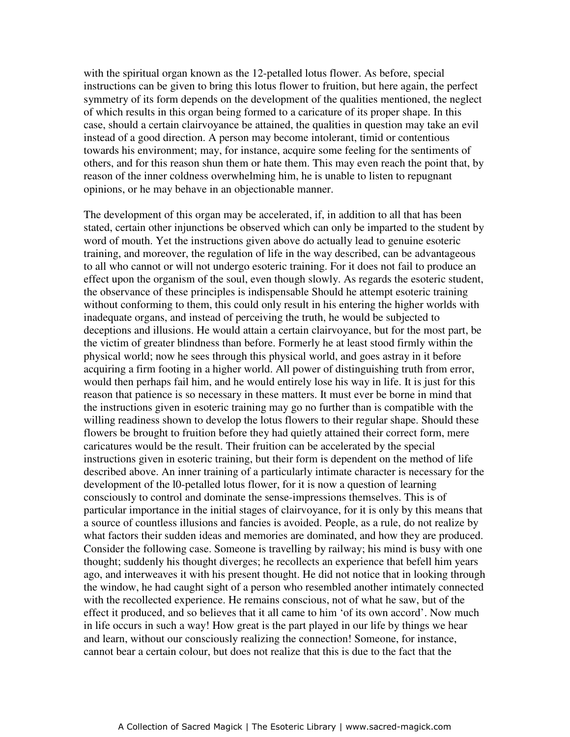with the spiritual organ known as the 12-petalled lotus flower. As before, special instructions can be given to bring this lotus flower to fruition, but here again, the perfect symmetry of its form depends on the development of the qualities mentioned, the neglect of which results in this organ being formed to a caricature of its proper shape. In this case, should a certain clairvoyance be attained, the qualities in question may take an evil instead of a good direction. A person may become intolerant, timid or contentious towards his environment; may, for instance, acquire some feeling for the sentiments of others, and for this reason shun them or hate them. This may even reach the point that, by reason of the inner coldness overwhelming him, he is unable to listen to repugnant opinions, or he may behave in an objectionable manner.

The development of this organ may be accelerated, if, in addition to all that has been stated, certain other injunctions be observed which can only be imparted to the student by word of mouth. Yet the instructions given above do actually lead to genuine esoteric training, and moreover, the regulation of life in the way described, can be advantageous to all who cannot or will not undergo esoteric training. For it does not fail to produce an effect upon the organism of the soul, even though slowly. As regards the esoteric student, the observance of these principles is indispensable Should he attempt esoteric training without conforming to them, this could only result in his entering the higher worlds with inadequate organs, and instead of perceiving the truth, he would be subjected to deceptions and illusions. He would attain a certain clairvoyance, but for the most part, be the victim of greater blindness than before. Formerly he at least stood firmly within the physical world; now he sees through this physical world, and goes astray in it before acquiring a firm footing in a higher world. All power of distinguishing truth from error, would then perhaps fail him, and he would entirely lose his way in life. It is just for this reason that patience is so necessary in these matters. It must ever be borne in mind that the instructions given in esoteric training may go no further than is compatible with the willing readiness shown to develop the lotus flowers to their regular shape. Should these flowers be brought to fruition before they had quietly attained their correct form, mere caricatures would be the result. Their fruition can be accelerated by the special instructions given in esoteric training, but their form is dependent on the method of life described above. An inner training of a particularly intimate character is necessary for the development of the l0-petalled lotus flower, for it is now a question of learning consciously to control and dominate the sense-impressions themselves. This is of particular importance in the initial stages of clairvoyance, for it is only by this means that a source of countless illusions and fancies is avoided. People, as a rule, do not realize by what factors their sudden ideas and memories are dominated, and how they are produced. Consider the following case. Someone is travelling by railway; his mind is busy with one thought; suddenly his thought diverges; he recollects an experience that befell him years ago, and interweaves it with his present thought. He did not notice that in looking through the window, he had caught sight of a person who resembled another intimately connected with the recollected experience. He remains conscious, not of what he saw, but of the effect it produced, and so believes that it all came to him 'of its own accord'. Now much in life occurs in such a way! How great is the part played in our life by things we hear and learn, without our consciously realizing the connection! Someone, for instance, cannot bear a certain colour, but does not realize that this is due to the fact that the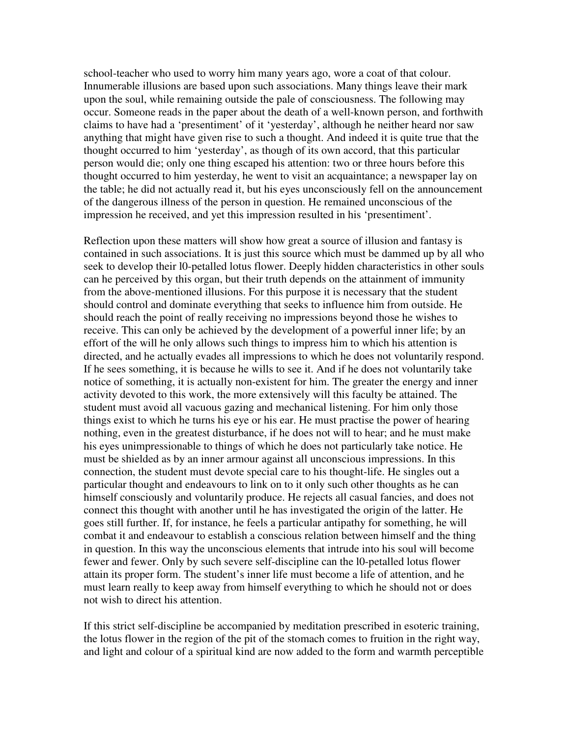school-teacher who used to worry him many years ago, wore a coat of that colour. Innumerable illusions are based upon such associations. Many things leave their mark upon the soul, while remaining outside the pale of consciousness. The following may occur. Someone reads in the paper about the death of a well-known person, and forthwith claims to have had a 'presentiment' of it 'yesterday', although he neither heard nor saw anything that might have given rise to such a thought. And indeed it is quite true that the thought occurred to him 'yesterday', as though of its own accord, that this particular person would die; only one thing escaped his attention: two or three hours before this thought occurred to him yesterday, he went to visit an acquaintance; a newspaper lay on the table; he did not actually read it, but his eyes unconsciously fell on the announcement of the dangerous illness of the person in question. He remained unconscious of the impression he received, and yet this impression resulted in his 'presentiment'.

Reflection upon these matters will show how great a source of illusion and fantasy is contained in such associations. It is just this source which must be dammed up by all who seek to develop their l0-petalled lotus flower. Deeply hidden characteristics in other souls can he perceived by this organ, but their truth depends on the attainment of immunity from the above-mentioned illusions. For this purpose it is necessary that the student should control and dominate everything that seeks to influence him from outside. He should reach the point of really receiving no impressions beyond those he wishes to receive. This can only be achieved by the development of a powerful inner life; by an effort of the will he only allows such things to impress him to which his attention is directed, and he actually evades all impressions to which he does not voluntarily respond. If he sees something, it is because he wills to see it. And if he does not voluntarily take notice of something, it is actually non-existent for him. The greater the energy and inner activity devoted to this work, the more extensively will this faculty be attained. The student must avoid all vacuous gazing and mechanical listening. For him only those things exist to which he turns his eye or his ear. He must practise the power of hearing nothing, even in the greatest disturbance, if he does not will to hear; and he must make his eyes unimpressionable to things of which he does not particularly take notice. He must be shielded as by an inner armour against all unconscious impressions. In this connection, the student must devote special care to his thought-life. He singles out a particular thought and endeavours to link on to it only such other thoughts as he can himself consciously and voluntarily produce. He rejects all casual fancies, and does not connect this thought with another until he has investigated the origin of the latter. He goes still further. If, for instance, he feels a particular antipathy for something, he will combat it and endeavour to establish a conscious relation between himself and the thing in question. In this way the unconscious elements that intrude into his soul will become fewer and fewer. Only by such severe self-discipline can the l0-petalled lotus flower attain its proper form. The student's inner life must become a life of attention, and he must learn really to keep away from himself everything to which he should not or does not wish to direct his attention.

If this strict self-discipline be accompanied by meditation prescribed in esoteric training, the lotus flower in the region of the pit of the stomach comes to fruition in the right way, and light and colour of a spiritual kind are now added to the form and warmth perceptible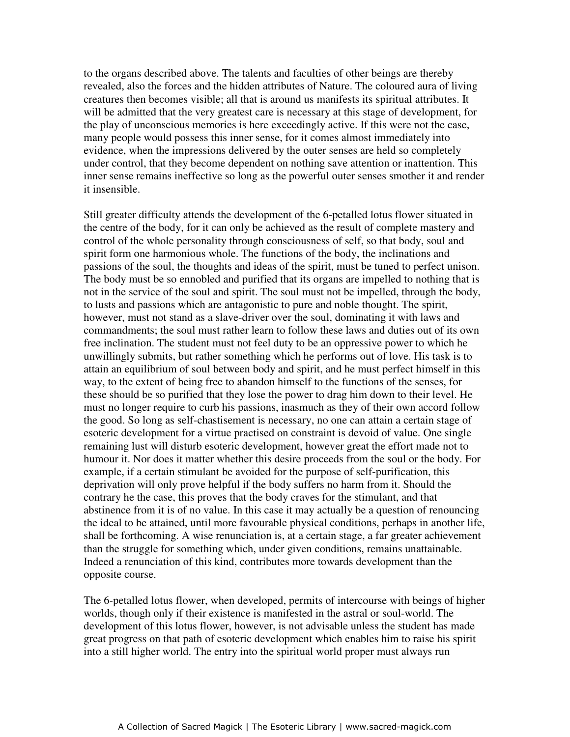to the organs described above. The talents and faculties of other beings are thereby revealed, also the forces and the hidden attributes of Nature. The coloured aura of living creatures then becomes visible; all that is around us manifests its spiritual attributes. It will be admitted that the very greatest care is necessary at this stage of development, for the play of unconscious memories is here exceedingly active. If this were not the case, many people would possess this inner sense, for it comes almost immediately into evidence, when the impressions delivered by the outer senses are held so completely under control, that they become dependent on nothing save attention or inattention. This inner sense remains ineffective so long as the powerful outer senses smother it and render it insensible.

Still greater difficulty attends the development of the 6-petalled lotus flower situated in the centre of the body, for it can only be achieved as the result of complete mastery and control of the whole personality through consciousness of self, so that body, soul and spirit form one harmonious whole. The functions of the body, the inclinations and passions of the soul, the thoughts and ideas of the spirit, must be tuned to perfect unison. The body must be so ennobled and purified that its organs are impelled to nothing that is not in the service of the soul and spirit. The soul must not be impelled, through the body, to lusts and passions which are antagonistic to pure and noble thought. The spirit, however, must not stand as a slave-driver over the soul, dominating it with laws and commandments; the soul must rather learn to follow these laws and duties out of its own free inclination. The student must not feel duty to be an oppressive power to which he unwillingly submits, but rather something which he performs out of love. His task is to attain an equilibrium of soul between body and spirit, and he must perfect himself in this way, to the extent of being free to abandon himself to the functions of the senses, for these should be so purified that they lose the power to drag him down to their level. He must no longer require to curb his passions, inasmuch as they of their own accord follow the good. So long as self-chastisement is necessary, no one can attain a certain stage of esoteric development for a virtue practised on constraint is devoid of value. One single remaining lust will disturb esoteric development, however great the effort made not to humour it. Nor does it matter whether this desire proceeds from the soul or the body. For example, if a certain stimulant be avoided for the purpose of self-purification, this deprivation will only prove helpful if the body suffers no harm from it. Should the contrary he the case, this proves that the body craves for the stimulant, and that abstinence from it is of no value. In this case it may actually be a question of renouncing the ideal to be attained, until more favourable physical conditions, perhaps in another life, shall be forthcoming. A wise renunciation is, at a certain stage, a far greater achievement than the struggle for something which, under given conditions, remains unattainable. Indeed a renunciation of this kind, contributes more towards development than the opposite course.

The 6-petalled lotus flower, when developed, permits of intercourse with beings of higher worlds, though only if their existence is manifested in the astral or soul-world. The development of this lotus flower, however, is not advisable unless the student has made great progress on that path of esoteric development which enables him to raise his spirit into a still higher world. The entry into the spiritual world proper must always run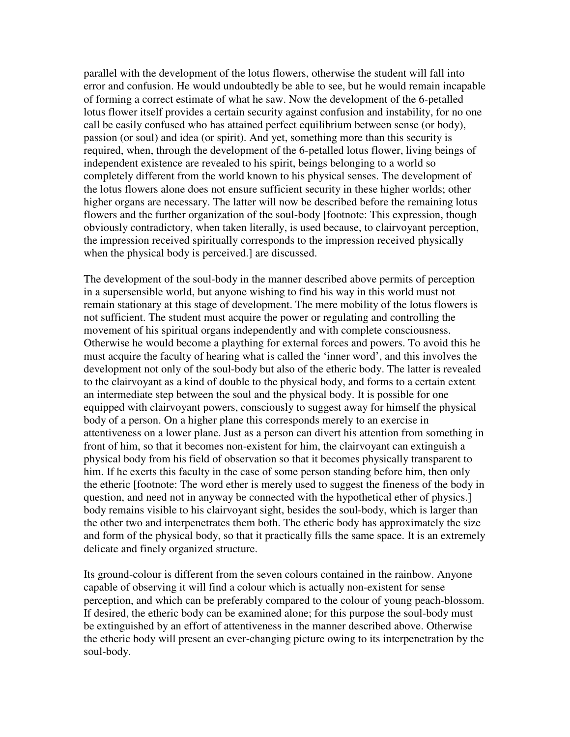parallel with the development of the lotus flowers, otherwise the student will fall into error and confusion. He would undoubtedly be able to see, but he would remain incapable of forming a correct estimate of what he saw. Now the development of the 6-petalled lotus flower itself provides a certain security against confusion and instability, for no one call be easily confused who has attained perfect equilibrium between sense (or body), passion (or soul) and idea (or spirit). And yet, something more than this security is required, when, through the development of the 6-petalled lotus flower, living beings of independent existence are revealed to his spirit, beings belonging to a world so completely different from the world known to his physical senses. The development of the lotus flowers alone does not ensure sufficient security in these higher worlds; other higher organs are necessary. The latter will now be described before the remaining lotus flowers and the further organization of the soul-body [footnote: This expression, though obviously contradictory, when taken literally, is used because, to clairvoyant perception, the impression received spiritually corresponds to the impression received physically when the physical body is perceived.] are discussed.

The development of the soul-body in the manner described above permits of perception in a supersensible world, but anyone wishing to find his way in this world must not remain stationary at this stage of development. The mere mobility of the lotus flowers is not sufficient. The student must acquire the power or regulating and controlling the movement of his spiritual organs independently and with complete consciousness. Otherwise he would become a plaything for external forces and powers. To avoid this he must acquire the faculty of hearing what is called the 'inner word', and this involves the development not only of the soul-body but also of the etheric body. The latter is revealed to the clairvoyant as a kind of double to the physical body, and forms to a certain extent an intermediate step between the soul and the physical body. It is possible for one equipped with clairvoyant powers, consciously to suggest away for himself the physical body of a person. On a higher plane this corresponds merely to an exercise in attentiveness on a lower plane. Just as a person can divert his attention from something in front of him, so that it becomes non-existent for him, the clairvoyant can extinguish a physical body from his field of observation so that it becomes physically transparent to him. If he exerts this faculty in the case of some person standing before him, then only the etheric [footnote: The word ether is merely used to suggest the fineness of the body in question, and need not in anyway be connected with the hypothetical ether of physics.] body remains visible to his clairvoyant sight, besides the soul-body, which is larger than the other two and interpenetrates them both. The etheric body has approximately the size and form of the physical body, so that it practically fills the same space. It is an extremely delicate and finely organized structure.

Its ground-colour is different from the seven colours contained in the rainbow. Anyone capable of observing it will find a colour which is actually non-existent for sense perception, and which can be preferably compared to the colour of young peach-blossom. If desired, the etheric body can be examined alone; for this purpose the soul-body must be extinguished by an effort of attentiveness in the manner described above. Otherwise the etheric body will present an ever-changing picture owing to its interpenetration by the soul-body.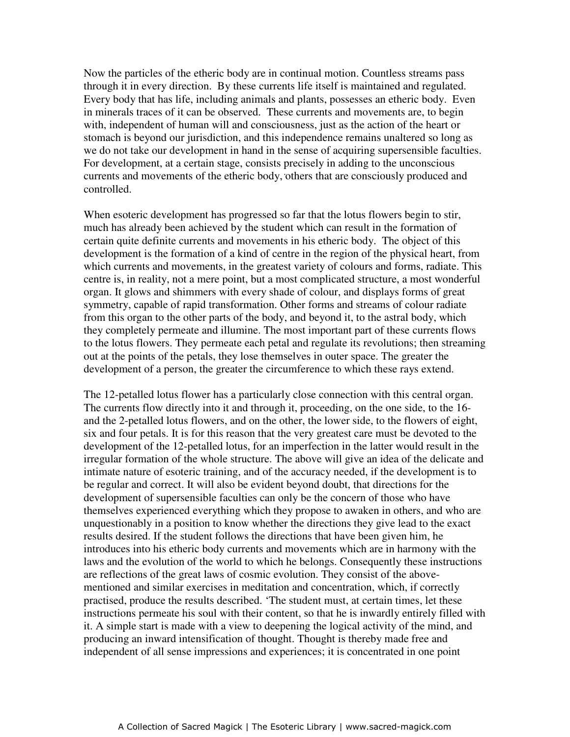Now the particles of the etheric body are in continual motion. Countless streams pass through it in every direction. By these currents life itself is maintained and regulated. Every body that has life, including animals and plants, possesses an etheric body. Even in minerals traces of it can be observed. These currents and movements are, to begin with, independent of human will and consciousness, just as the action of the heart or stomach is beyond our jurisdiction, and this independence remains unaltered so long as we do not take our development in hand in the sense of acquiring supersensible faculties. For development, at a certain stage, consists precisely in adding to the unconscious currents and movements of the etheric body, others that are consciously produced and controlled.

When esoteric development has progressed so far that the lotus flowers begin to stir, much has already been achieved by the student which can result in the formation of certain quite definite currents and movements in his etheric body. The object of this development is the formation of a kind of centre in the region of the physical heart, from which currents and movements, in the greatest variety of colours and forms, radiate. This centre is, in reality, not a mere point, but a most complicated structure, a most wonderful organ. It glows and shimmers with every shade of colour, and displays forms of great symmetry, capable of rapid transformation. Other forms and streams of colour radiate from this organ to the other parts of the body, and beyond it, to the astral body, which they completely permeate and illumine. The most important part of these currents flows to the lotus flowers. They permeate each petal and regulate its revolutions; then streaming out at the points of the petals, they lose themselves in outer space. The greater the development of a person, the greater the circumference to which these rays extend.

The 12-petalled lotus flower has a particularly close connection with this central organ. The currents flow directly into it and through it, proceeding, on the one side, to the 16 and the 2-petalled lotus flowers, and on the other, the lower side, to the flowers of eight, six and four petals. It is for this reason that the very greatest care must be devoted to the development of the 12-petalled lotus, for an imperfection in the latter would result in the irregular formation of the whole structure. The above will give an idea of the delicate and intimate nature of esoteric training, and of the accuracy needed, if the development is to be regular and correct. It will also be evident beyond doubt, that directions for the development of supersensible faculties can only be the concern of those who have themselves experienced everything which they propose to awaken in others, and who are unquestionably in a position to know whether the directions they give lead to the exact results desired. If the student follows the directions that have been given him, he introduces into his etheric body currents and movements which are in harmony with the laws and the evolution of the world to which he belongs. Consequently these instructions are reflections of the great laws of cosmic evolution. They consist of the abovementioned and similar exercises in meditation and concentration, which, if correctly practised, produce the results described. 'The student must, at certain times, let these instructions permeate his soul with their content, so that he is inwardly entirely filled with it. A simple start is made with a view to deepening the logical activity of the mind, and producing an inward intensification of thought. Thought is thereby made free and independent of all sense impressions and experiences; it is concentrated in one point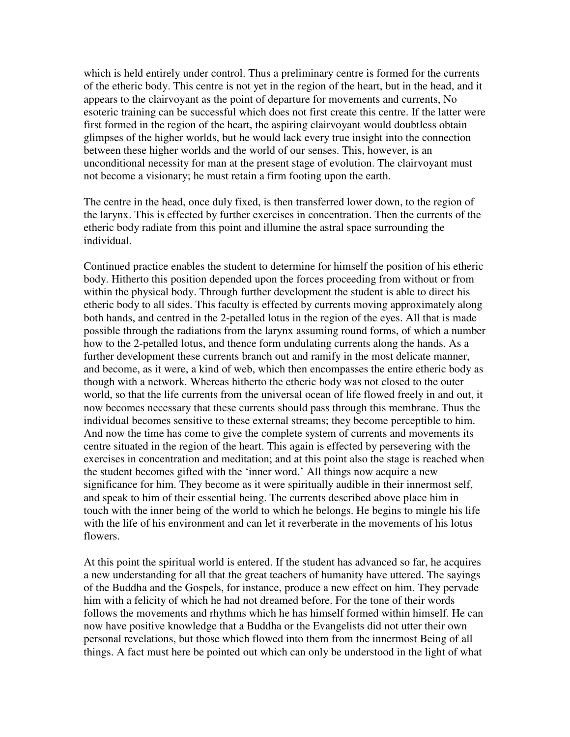which is held entirely under control. Thus a preliminary centre is formed for the currents of the etheric body. This centre is not yet in the region of the heart, but in the head, and it appears to the clairvoyant as the point of departure for movements and currents, No esoteric training can be successful which does not first create this centre. If the latter were first formed in the region of the heart, the aspiring clairvoyant would doubtless obtain glimpses of the higher worlds, but he would lack every true insight into the connection between these higher worlds and the world of our senses. This, however, is an unconditional necessity for man at the present stage of evolution. The clairvoyant must not become a visionary; he must retain a firm footing upon the earth.

The centre in the head, once duly fixed, is then transferred lower down, to the region of the larynx. This is effected by further exercises in concentration. Then the currents of the etheric body radiate from this point and illumine the astral space surrounding the individual.

Continued practice enables the student to determine for himself the position of his etheric body. Hitherto this position depended upon the forces proceeding from without or from within the physical body. Through further development the student is able to direct his etheric body to all sides. This faculty is effected by currents moving approximately along both hands, and centred in the 2-petalled lotus in the region of the eyes. All that is made possible through the radiations from the larynx assuming round forms, of which a number how to the 2-petalled lotus, and thence form undulating currents along the hands. As a further development these currents branch out and ramify in the most delicate manner, and become, as it were, a kind of web, which then encompasses the entire etheric body as though with a network. Whereas hitherto the etheric body was not closed to the outer world, so that the life currents from the universal ocean of life flowed freely in and out, it now becomes necessary that these currents should pass through this membrane. Thus the individual becomes sensitive to these external streams; they become perceptible to him. And now the time has come to give the complete system of currents and movements its centre situated in the region of the heart. This again is effected by persevering with the exercises in concentration and meditation; and at this point also the stage is reached when the student becomes gifted with the 'inner word.' All things now acquire a new significance for him. They become as it were spiritually audible in their innermost self, and speak to him of their essential being. The currents described above place him in touch with the inner being of the world to which he belongs. He begins to mingle his life with the life of his environment and can let it reverberate in the movements of his lotus flowers.

At this point the spiritual world is entered. If the student has advanced so far, he acquires a new understanding for all that the great teachers of humanity have uttered. The sayings of the Buddha and the Gospels, for instance, produce a new effect on him. They pervade him with a felicity of which he had not dreamed before. For the tone of their words follows the movements and rhythms which he has himself formed within himself. He can now have positive knowledge that a Buddha or the Evangelists did not utter their own personal revelations, but those which flowed into them from the innermost Being of all things. A fact must here be pointed out which can only be understood in the light of what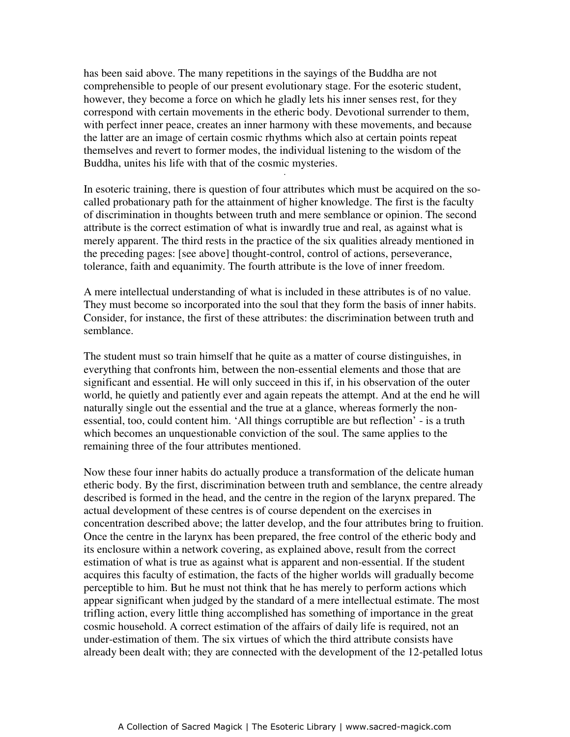has been said above. The many repetitions in the sayings of the Buddha are not comprehensible to people of our present evolutionary stage. For the esoteric student, however, they become a force on which he gladly lets his inner senses rest, for they correspond with certain movements in the etheric body. Devotional surrender to them, with perfect inner peace, creates an inner harmony with these movements, and because the latter are an image of certain cosmic rhythms which also at certain points repeat themselves and revert to former modes, the individual listening to the wisdom of the Buddha, unites his life with that of the cosmic mysteries. -

In esoteric training, there is question of four attributes which must be acquired on the socalled probationary path for the attainment of higher knowledge. The first is the faculty of discrimination in thoughts between truth and mere semblance or opinion. The second attribute is the correct estimation of what is inwardly true and real, as against what is merely apparent. The third rests in the practice of the six qualities already mentioned in the preceding pages: [see above] thought-control, control of actions, perseverance, tolerance, faith and equanimity. The fourth attribute is the love of inner freedom.

A mere intellectual understanding of what is included in these attributes is of no value. They must become so incorporated into the soul that they form the basis of inner habits. Consider, for instance, the first of these attributes: the discrimination between truth and semblance.

The student must so train himself that he quite as a matter of course distinguishes, in everything that confronts him, between the non-essential elements and those that are significant and essential. He will only succeed in this if, in his observation of the outer world, he quietly and patiently ever and again repeats the attempt. And at the end he will naturally single out the essential and the true at a glance, whereas formerly the nonessential, too, could content him. 'All things corruptible are but reflection' - is a truth which becomes an unquestionable conviction of the soul. The same applies to the remaining three of the four attributes mentioned.

Now these four inner habits do actually produce a transformation of the delicate human etheric body. By the first, discrimination between truth and semblance, the centre already described is formed in the head, and the centre in the region of the larynx prepared. The actual development of these centres is of course dependent on the exercises in concentration described above; the latter develop, and the four attributes bring to fruition. Once the centre in the larynx has been prepared, the free control of the etheric body and its enclosure within a network covering, as explained above, result from the correct estimation of what is true as against what is apparent and non-essential. If the student acquires this faculty of estimation, the facts of the higher worlds will gradually become perceptible to him. But he must not think that he has merely to perform actions which appear significant when judged by the standard of a mere intellectual estimate. The most trifling action, every little thing accomplished has something of importance in the great cosmic household. A correct estimation of the affairs of daily life is required, not an under-estimation of them. The six virtues of which the third attribute consists have already been dealt with; they are connected with the development of the 12-petalled lotus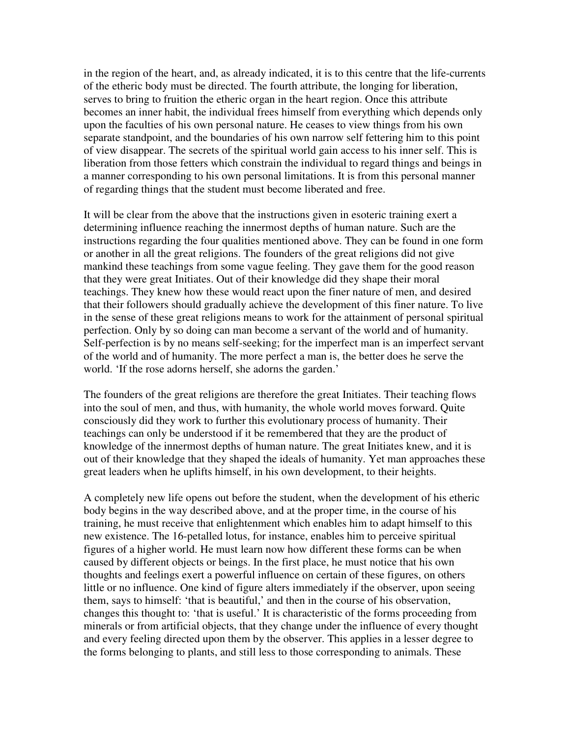in the region of the heart, and, as already indicated, it is to this centre that the life-currents of the etheric body must be directed. The fourth attribute, the longing for liberation, serves to bring to fruition the etheric organ in the heart region. Once this attribute becomes an inner habit, the individual frees himself from everything which depends only upon the faculties of his own personal nature. He ceases to view things from his own separate standpoint, and the boundaries of his own narrow self fettering him to this point of view disappear. The secrets of the spiritual world gain access to his inner self. This is liberation from those fetters which constrain the individual to regard things and beings in a manner corresponding to his own personal limitations. It is from this personal manner of regarding things that the student must become liberated and free.

It will be clear from the above that the instructions given in esoteric training exert a determining influence reaching the innermost depths of human nature. Such are the instructions regarding the four qualities mentioned above. They can be found in one form or another in all the great religions. The founders of the great religions did not give mankind these teachings from some vague feeling. They gave them for the good reason that they were great Initiates. Out of their knowledge did they shape their moral teachings. They knew how these would react upon the finer nature of men, and desired that their followers should gradually achieve the development of this finer nature. To live in the sense of these great religions means to work for the attainment of personal spiritual perfection. Only by so doing can man become a servant of the world and of humanity. Self-perfection is by no means self-seeking; for the imperfect man is an imperfect servant of the world and of humanity. The more perfect a man is, the better does he serve the world. 'If the rose adorns herself, she adorns the garden.'

The founders of the great religions are therefore the great Initiates. Their teaching flows into the soul of men, and thus, with humanity, the whole world moves forward. Quite consciously did they work to further this evolutionary process of humanity. Their teachings can only be understood if it be remembered that they are the product of knowledge of the innermost depths of human nature. The great Initiates knew, and it is out of their knowledge that they shaped the ideals of humanity. Yet man approaches these great leaders when he uplifts himself, in his own development, to their heights.

A completely new life opens out before the student, when the development of his etheric body begins in the way described above, and at the proper time, in the course of his training, he must receive that enlightenment which enables him to adapt himself to this new existence. The 16-petalled lotus, for instance, enables him to perceive spiritual figures of a higher world. He must learn now how different these forms can be when caused by different objects or beings. In the first place, he must notice that his own thoughts and feelings exert a powerful influence on certain of these figures, on others little or no influence. One kind of figure alters immediately if the observer, upon seeing them, says to himself: 'that is beautiful,' and then in the course of his observation, changes this thought to: 'that is useful.' It is characteristic of the forms proceeding from minerals or from artificial objects, that they change under the influence of every thought and every feeling directed upon them by the observer. This applies in a lesser degree to the forms belonging to plants, and still less to those corresponding to animals. These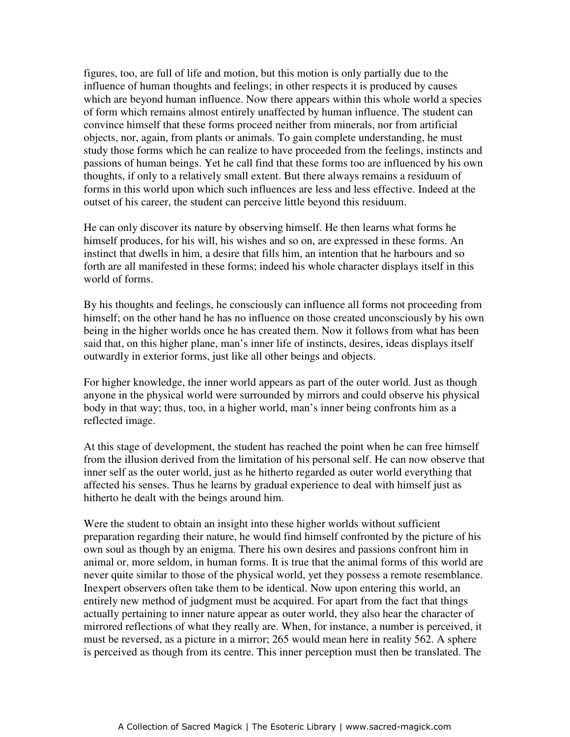figures, too, are full of life and motion, but this motion is only partially due to the influence of human thoughts and feelings; in other respects it is produced by causes which are beyond human influence. Now there appears within this whole world a species of form which remains almost entirely unaffected by human influence. The student can convince himself that these forms proceed neither from minerals, nor from artificial objects, nor, again, from plants or animals. To gain complete understanding, he must study those forms which he can realize to have proceeded from the feelings, instincts and passions of human beings. Yet he call find that these forms too are influenced by his own passions of namal semger. The can thin that these forms too are immedied by the thoughts, if only to a relatively small extent. But there always remains a residuum of forms in this world upon which such influences are less and less effective. Indeed at the outset of his career, the student can perceive little beyond this residuum.

He can only discover its nature by observing himself. He then learns what forms he himself produces, for his will, his wishes and so on, are expressed in these forms. An instinct that dwells in him, a desire that fills him, an intention that he harbours and so forth are all manifested in these forms; indeed his whole character displays itself in this world of forms.

By his thoughts and feelings, he consciously can influence all forms not proceeding from himself; on the other hand he has no influence on those created unconsciously by his own being in the higher worlds once he has created them. Now it follows from what has been said that, on this higher plane, man's inner life of instincts, desires, ideas displays itself outwardly in exterior forms, just like all other beings and objects.

For higher knowledge, the inner world appears as part of the outer world. Just as though anyone in the physical world were surrounded by mirrors and could observe his physical body in that way; thus, too, in a higher world, man's inner being confronts him as a reflected image.

At this stage of development, the student has reached the point when he can free himself from the illusion derived from the limitation of his personal self. He can now observe that inner self as the outer world, just as he hitherto regarded as outer world everything that affected his senses. Thus he learns by gradual experience to deal with himself just as hitherto he dealt with the beings around him.

Were the student to obtain an insight into these higher worlds without sufficient preparation regarding their nature, he would find himself confronted by the picture of his own soul as though by an enigma. There his own desires and passions confront him in animal or, more seldom, in human forms. It is true that the animal forms of this world are never quite similar to those of the physical world, yet they possess a remote resemblance. Inexpert observers often take them to be identical. Now upon entering this world, an entirely new method of judgment must be acquired. For apart from the fact that things actually pertaining to inner nature appear as outer world, they also hear the character of mirrored reflections of what they really are. When, for instance, a number is perceived, it must be reversed, as a picture in a mirror; 265 would mean here in reality 562. A sphere is perceived as though from its centre. This inner perception must then be translated. The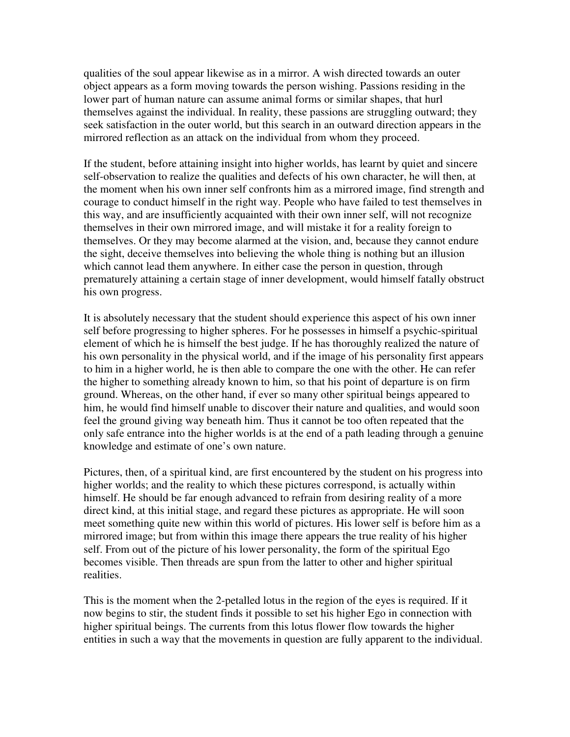qualities of the soul appear likewise as in a mirror. A wish directed towards an outer object appears as a form moving towards the person wishing. Passions residing in the lower part of human nature can assume animal forms or similar shapes, that hurl themselves against the individual. In reality, these passions are struggling outward; they seek satisfaction in the outer world, but this search in an outward direction appears in the mirrored reflection as an attack on the individual from whom they proceed.

If the student, before attaining insight into higher worlds, has learnt by quiet and sincere self-observation to realize the qualities and defects of his own character, he will then, at the moment when his own inner self confronts him as a mirrored image, find strength and courage to conduct himself in the right way. People who have failed to test themselves in this way, and are insufficiently acquainted with their own inner self, will not recognize themselves in their own mirrored image, and will mistake it for a reality foreign to themselves. Or they may become alarmed at the vision, and, because they cannot endure the sight, deceive themselves into believing the whole thing is nothing but an illusion which cannot lead them anywhere. In either case the person in question, through prematurely attaining a certain stage of inner development, would himself fatally obstruct his own progress.

It is absolutely necessary that the student should experience this aspect of his own inner self before progressing to higher spheres. For he possesses in himself a psychic-spiritual element of which he is himself the best judge. If he has thoroughly realized the nature of his own personality in the physical world, and if the image of his personality first appears to him in a higher world, he is then able to compare the one with the other. He can refer the higher to something already known to him, so that his point of departure is on firm ground. Whereas, on the other hand, if ever so many other spiritual beings appeared to him, he would find himself unable to discover their nature and qualities, and would soon feel the ground giving way beneath him. Thus it cannot be too often repeated that the only safe entrance into the higher worlds is at the end of a path leading through a genuine knowledge and estimate of one's own nature.

Pictures, then, of a spiritual kind, are first encountered by the student on his progress into higher worlds; and the reality to which these pictures correspond, is actually within himself. He should be far enough advanced to refrain from desiring reality of a more direct kind, at this initial stage, and regard these pictures as appropriate. He will soon meet something quite new within this world of pictures. His lower self is before him as a mirrored image; but from within this image there appears the true reality of his higher self. From out of the picture of his lower personality, the form of the spiritual Ego becomes visible. Then threads are spun from the latter to other and higher spiritual realities.

This is the moment when the 2-petalled lotus in the region of the eyes is required. If it now begins to stir, the student finds it possible to set his higher Ego in connection with higher spiritual beings. The currents from this lotus flower flow towards the higher entities in such a way that the movements in question are fully apparent to the individual.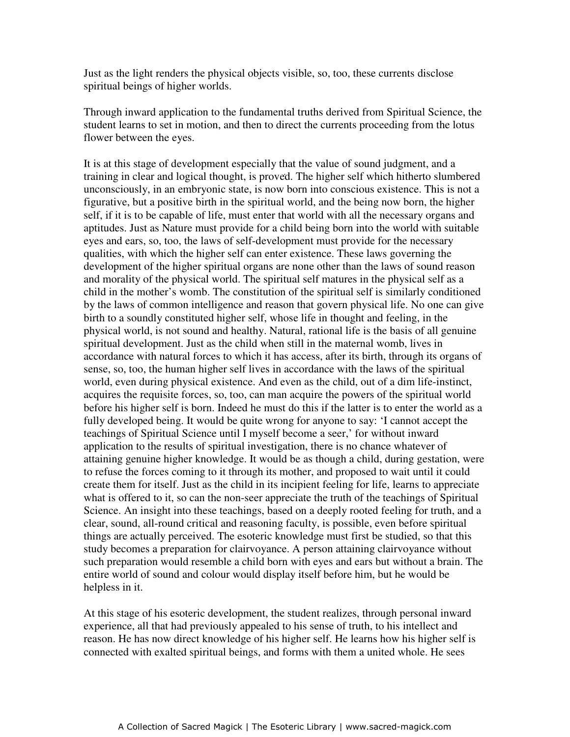Just as the light renders the physical objects visible, so, too, these currents disclose spiritual beings of higher worlds.

Through inward application to the fundamental truths derived from Spiritual Science, the student learns to set in motion, and then to direct the currents proceeding from the lotus flower between the eyes.

It is at this stage of development especially that the value of sound judgment, and a training in clear and logical thought, is proved. The higher self which hitherto slumbered unconsciously, in an embryonic state, is now born into conscious existence. This is not a figurative, but a positive birth in the spiritual world, and the being now born, the higher self, if it is to be capable of life, must enter that world with all the necessary organs and aptitudes. Just as Nature must provide for a child being born into the world with suitable eyes and ears, so, too, the laws of self-development must provide for the necessary qualities, with which the higher self can enter existence. These laws governing the development of the higher spiritual organs are none other than the laws of sound reason and morality of the physical world. The spiritual self matures in the physical self as a child in the mother's womb. The constitution of the spiritual self is similarly conditioned by the laws of common intelligence and reason that govern physical life. No one can give birth to a soundly constituted higher self, whose life in thought and feeling, in the physical world, is not sound and healthy. Natural, rational life is the basis of all genuine spiritual development. Just as the child when still in the maternal womb, lives in accordance with natural forces to which it has access, after its birth, through its organs of sense, so, too, the human higher self lives in accordance with the laws of the spiritual world, even during physical existence. And even as the child, out of a dim life-instinct, acquires the requisite forces, so, too, can man acquire the powers of the spiritual world before his higher self is born. Indeed he must do this if the latter is to enter the world as a fully developed being. It would be quite wrong for anyone to say: 'I cannot accept the teachings of Spiritual Science until I myself become a seer,' for without inward application to the results of spiritual investigation, there is no chance whatever of attaining genuine higher knowledge. It would be as though a child, during gestation, were to refuse the forces coming to it through its mother, and proposed to wait until it could create them for itself. Just as the child in its incipient feeling for life, learns to appreciate what is offered to it, so can the non-seer appreciate the truth of the teachings of Spiritual Science. An insight into these teachings, based on a deeply rooted feeling for truth, and a clear, sound, all-round critical and reasoning faculty, is possible, even before spiritual things are actually perceived. The esoteric knowledge must first be studied, so that this study becomes a preparation for clairvoyance. A person attaining clairvoyance without such preparation would resemble a child born with eyes and ears but without a brain. The entire world of sound and colour would display itself before him, but he would be helpless in it.

At this stage of his esoteric development, the student realizes, through personal inward experience, all that had previously appealed to his sense of truth, to his intellect and reason. He has now direct knowledge of his higher self. He learns how his higher self is connected with exalted spiritual beings, and forms with them a united whole. He sees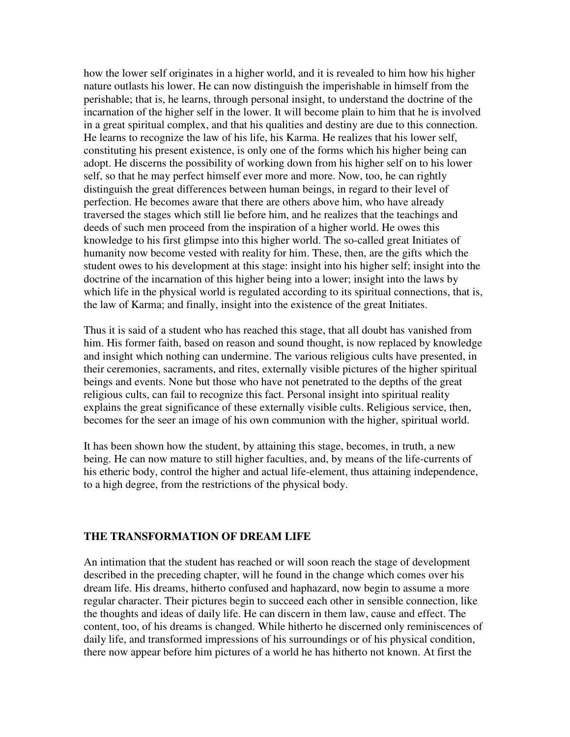how the lower self originates in a higher world, and it is revealed to him how his higher nature outlasts his lower. He can now distinguish the imperishable in himself from the perishable; that is, he learns, through personal insight, to understand the doctrine of the incarnation of the higher self in the lower. It will become plain to him that he is involved in a great spiritual complex, and that his qualities and destiny are due to this connection. He learns to recognize the law of his life, his Karma. He realizes that his lower self, constituting his present existence, is only one of the forms which his higher being can adopt. He discerns the possibility of working down from his higher self on to his lower self, so that he may perfect himself ever more and more. Now, too, he can rightly distinguish the great differences between human beings, in regard to their level of perfection. He becomes aware that there are others above him, who have already traversed the stages which still lie before him, and he realizes that the teachings and deeds of such men proceed from the inspiration of a higher world. He owes this knowledge to his first glimpse into this higher world. The so-called great Initiates of humanity now become vested with reality for him. These, then, are the gifts which the student owes to his development at this stage: insight into his higher self; insight into the doctrine of the incarnation of this higher being into a lower; insight into the laws by which life in the physical world is regulated according to its spiritual connections, that is, the law of Karma; and finally, insight into the existence of the great Initiates.

Thus it is said of a student who has reached this stage, that all doubt has vanished from him. His former faith, based on reason and sound thought, is now replaced by knowledge and insight which nothing can undermine. The various religious cults have presented, in their ceremonies, sacraments, and rites, externally visible pictures of the higher spiritual beings and events. None but those who have not penetrated to the depths of the great religious cults, can fail to recognize this fact. Personal insight into spiritual reality explains the great significance of these externally visible cults. Religious service, then, becomes for the seer an image of his own communion with the higher, spiritual world.

It has been shown how the student, by attaining this stage, becomes, in truth, a new being. He can now mature to still higher faculties, and, by means of the life-currents of his etheric body, control the higher and actual life-element, thus attaining independence, to a high degree, from the restrictions of the physical body.

#### **THE TRANSFORMATION OF DREAM LIFE**

An intimation that the student has reached or will soon reach the stage of development described in the preceding chapter, will he found in the change which comes over his dream life. His dreams, hitherto confused and haphazard, now begin to assume a more regular character. Their pictures begin to succeed each other in sensible connection, like the thoughts and ideas of daily life. He can discern in them law, cause and effect. The content, too, of his dreams is changed. While hitherto he discerned only reminiscences of daily life, and transformed impressions of his surroundings or of his physical condition, there now appear before him pictures of a world he has hitherto not known. At first the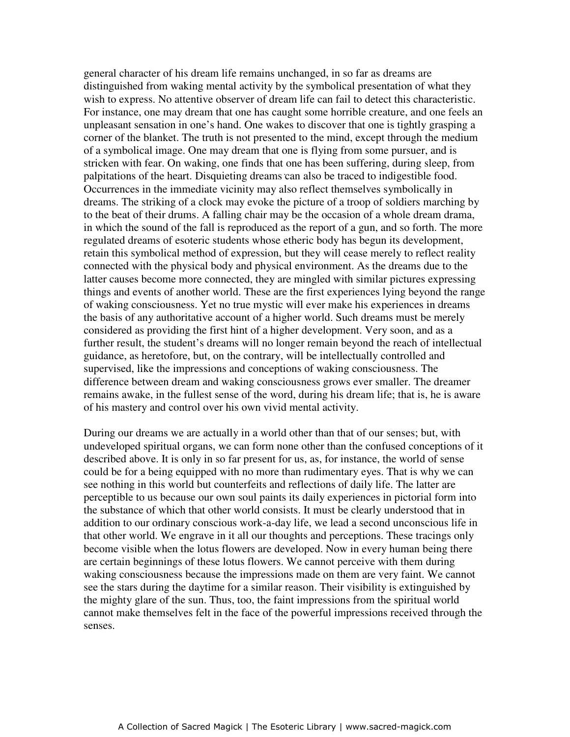general character of his dream life remains unchanged, in so far as dreams are distinguished from waking mental activity by the symbolical presentation of what they wish to express. No attentive observer of dream life can fail to detect this characteristic. For instance, one may dream that one has caught some horrible creature, and one feels an unpleasant sensation in one's hand. One wakes to discover that one is tightly grasping a corner of the blanket. The truth is not presented to the mind, except through the medium of a symbolical image. One may dream that one is flying from some pursuer, and is stricken with fear. On waking, one finds that one has been suffering, during sleep, from palpitations of the heart. Disquieting dreams can also be traced to indigestible food. Occurrences in the immediate vicinity may also reflect themselves symbolically in dreams. The striking of a clock may evoke the picture of a troop of soldiers marching by to the beat of their drums. A falling chair may be the occasion of a whole dream drama, in which the sound of the fall is reproduced as the report of a gun, and so forth. The more regulated dreams of esoteric students whose etheric body has begun its development, retain this symbolical method of expression, but they will cease merely to reflect reality connected with the physical body and physical environment. As the dreams due to the latter causes become more connected, they are mingled with similar pictures expressing things and events of another world. These are the first experiences lying beyond the range of waking consciousness. Yet no true mystic will ever make his experiences in dreams the basis of any authoritative account of a higher world. Such dreams must be merely considered as providing the first hint of a higher development. Very soon, and as a further result, the student's dreams will no longer remain beyond the reach of intellectual guidance, as heretofore, but, on the contrary, will be intellectually controlled and supervised, like the impressions and conceptions of waking consciousness. The difference between dream and waking consciousness grows ever smaller. The dreamer remains awake, in the fullest sense of the word, during his dream life; that is, he is aware of his mastery and control over his own vivid mental activity.

During our dreams we are actually in a world other than that of our senses; but, with undeveloped spiritual organs, we can form none other than the confused conceptions of it described above. It is only in so far present for us, as, for instance, the world of sense could be for a being equipped with no more than rudimentary eyes. That is why we can see nothing in this world but counterfeits and reflections of daily life. The latter are perceptible to us because our own soul paints its daily experiences in pictorial form into the substance of which that other world consists. It must be clearly understood that in addition to our ordinary conscious work-a-day life, we lead a second unconscious life in that other world. We engrave in it all our thoughts and perceptions. These tracings only become visible when the lotus flowers are developed. Now in every human being there are certain beginnings of these lotus flowers. We cannot perceive with them during waking consciousness because the impressions made on them are very faint. We cannot see the stars during the daytime for a similar reason. Their visibility is extinguished by the mighty glare of the sun. Thus, too, the faint impressions from the spiritual world cannot make themselves felt in the face of the powerful impressions received through the senses.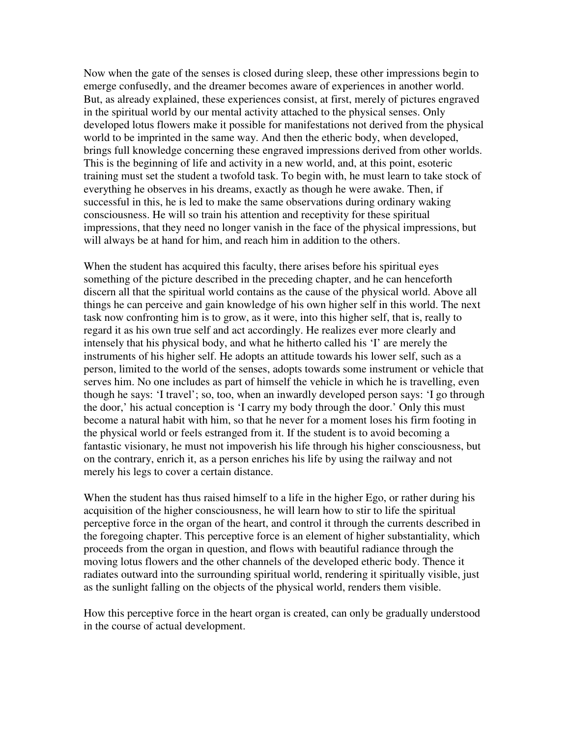Now when the gate of the senses is closed during sleep, these other impressions begin to emerge confusedly, and the dreamer becomes aware of experiences in another world. But, as already explained, these experiences consist, at first, merely of pictures engraved in the spiritual world by our mental activity attached to the physical senses. Only developed lotus flowers make it possible for manifestations not derived from the physical world to be imprinted in the same way. And then the etheric body, when developed, brings full knowledge concerning these engraved impressions derived from other worlds. This is the beginning of life and activity in a new world, and, at this point, esoteric training must set the student a twofold task. To begin with, he must learn to take stock of everything he observes in his dreams, exactly as though he were awake. Then, if successful in this, he is led to make the same observations during ordinary waking consciousness. He will so train his attention and receptivity for these spiritual impressions, that they need no longer vanish in the face of the physical impressions, but will always be at hand for him, and reach him in addition to the others.

When the student has acquired this faculty, there arises before his spiritual eyes something of the picture described in the preceding chapter, and he can henceforth discern all that the spiritual world contains as the cause of the physical world. Above all things he can perceive and gain knowledge of his own higher self in this world. The next task now confronting him is to grow, as it were, into this higher self, that is, really to regard it as his own true self and act accordingly. He realizes ever more clearly and intensely that his physical body, and what he hitherto called his 'I' are merely the instruments of his higher self. He adopts an attitude towards his lower self, such as a person, limited to the world of the senses, adopts towards some instrument or vehicle that serves him. No one includes as part of himself the vehicle in which he is travelling, even though he says: 'I travel'; so, too, when an inwardly developed person says: 'I go through the door,' his actual conception is 'I carry my body through the door.' Only this must become a natural habit with him, so that he never for a moment loses his firm footing in the physical world or feels estranged from it. If the student is to avoid becoming a fantastic visionary, he must not impoverish his life through his higher consciousness, but on the contrary, enrich it, as a person enriches his life by using the railway and not merely his legs to cover a certain distance.

When the student has thus raised himself to a life in the higher Ego, or rather during his acquisition of the higher consciousness, he will learn how to stir to life the spiritual perceptive force in the organ of the heart, and control it through the currents described in the foregoing chapter. This perceptive force is an element of higher substantiality, which proceeds from the organ in question, and flows with beautiful radiance through the moving lotus flowers and the other channels of the developed etheric body. Thence it radiates outward into the surrounding spiritual world, rendering it spiritually visible, just as the sunlight falling on the objects of the physical world, renders them visible.

How this perceptive force in the heart organ is created, can only be gradually understood in the course of actual development.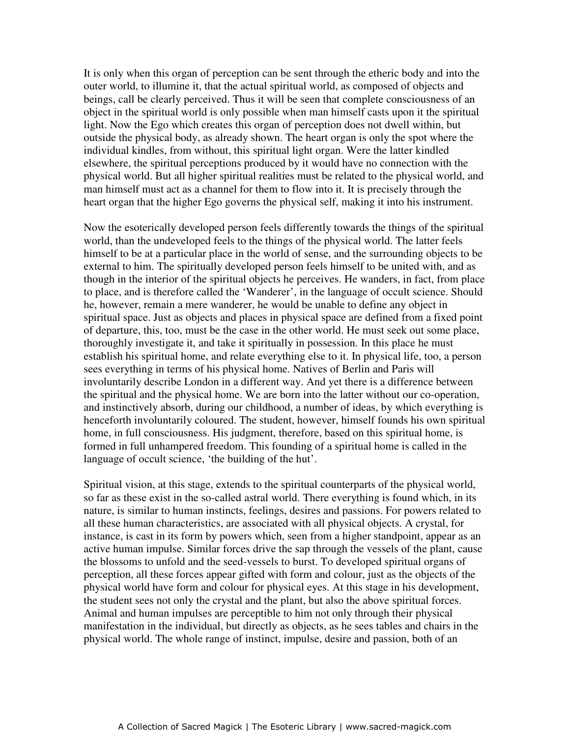It is only when this organ of perception can be sent through the etheric body and into the outer world, to illumine it, that the actual spiritual world, as composed of objects and beings, call be clearly perceived. Thus it will be seen that complete consciousness of an object in the spiritual world is only possible when man himself casts upon it the spiritual light. Now the Ego which creates this organ of perception does not dwell within, but outside the physical body, as already shown. The heart organ is only the spot where the individual kindles, from without, this spiritual light organ. Were the latter kindled elsewhere, the spiritual perceptions produced by it would have no connection with the physical world. But all higher spiritual realities must be related to the physical world, and man himself must act as a channel for them to flow into it. It is precisely through the heart organ that the higher Ego governs the physical self, making it into his instrument.

Now the esoterically developed person feels differently towards the things of the spiritual world, than the undeveloped feels to the things of the physical world. The latter feels himself to be at a particular place in the world of sense, and the surrounding objects to be external to him. The spiritually developed person feels himself to be united with, and as though in the interior of the spiritual objects he perceives. He wanders, in fact, from place to place, and is therefore called the 'Wanderer', in the language of occult science. Should he, however, remain a mere wanderer, he would be unable to define any object in spiritual space. Just as objects and places in physical space are defined from a fixed point of departure, this, too, must be the case in the other world. He must seek out some place, thoroughly investigate it, and take it spiritually in possession. In this place he must establish his spiritual home, and relate everything else to it. In physical life, too, a person sees everything in terms of his physical home. Natives of Berlin and Paris will involuntarily describe London in a different way. And yet there is a difference between the spiritual and the physical home. We are born into the latter without our co-operation, and instinctively absorb, during our childhood, a number of ideas, by which everything is henceforth involuntarily coloured. The student, however, himself founds his own spiritual home, in full consciousness. His judgment, therefore, based on this spiritual home, is formed in full unhampered freedom. This founding of a spiritual home is called in the language of occult science, 'the building of the hut'.

Spiritual vision, at this stage, extends to the spiritual counterparts of the physical world, so far as these exist in the so-called astral world. There everything is found which, in its nature, is similar to human instincts, feelings, desires and passions. For powers related to all these human characteristics, are associated with all physical objects. A crystal, for instance, is cast in its form by powers which, seen from a higher standpoint, appear as an active human impulse. Similar forces drive the sap through the vessels of the plant, cause the blossoms to unfold and the seed-vessels to burst. To developed spiritual organs of perception, all these forces appear gifted with form and colour, just as the objects of the physical world have form and colour for physical eyes. At this stage in his development, the student sees not only the crystal and the plant, but also the above spiritual forces. Animal and human impulses are perceptible to him not only through their physical manifestation in the individual, but directly as objects, as he sees tables and chairs in the physical world. The whole range of instinct, impulse, desire and passion, both of an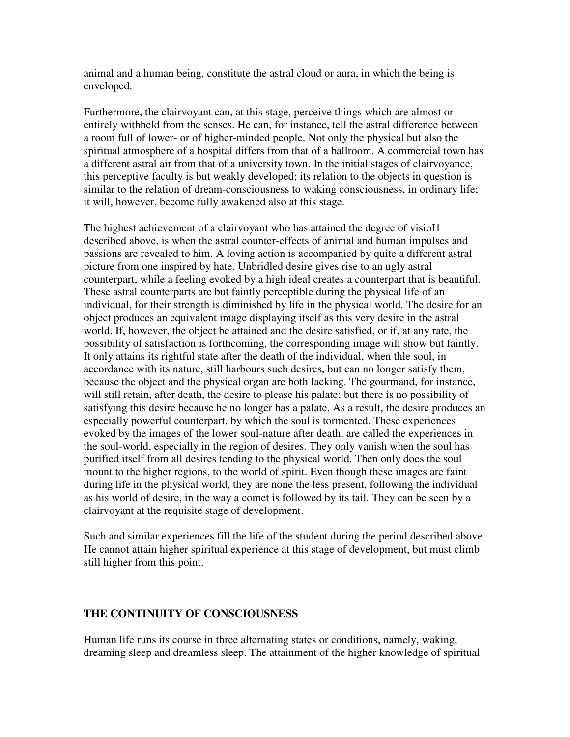animal and a human being, constitute the astral cloud or aura, in which the being is enveloped.

Furthermore, the clairvoyant can, at this stage, perceive things which are almost or entirely withheld from the senses. He can, for instance, tell the astral difference between a room full of lower- or of higher-minded people. Not only the physical but also the spiritual atmosphere of a hospital differs from that of a ballroom. A commercial town has a different astral air from that of a university town. In the initial stages of clairvoyance, this perceptive faculty is but weakly developed; its relation to the objects in question is similar to the relation of dream-consciousness to waking consciousness, in ordinary life; it will, however, become fully awakened also at this stage.

The highest achievement of a clairvoyant who has attained the degree of visioI1 described above, is when the astral counter-effects of animal and human impulses and passions are revealed to him. A loving action is accompanied by quite a different astral picture from one inspired by hate. Unbridled desire gives rise to an ugly astral counterpart, while a feeling evoked by a high ideal creates a counterpart that is beautiful. These astral counterparts are but faintly perceptible during the physical life of an individual, for their strength is diminished by life in the physical world. The desire for an object produces an equivalent image displaying itself as this very desire in the astral world. If, however, the object be attained and the desire satisfied, or if, at any rate, the possibility of satisfaction is forthcoming, the corresponding image will show but faintly. It only attains its rightful state after the death of the individual, when thle soul, in accordance with its nature, still harbours such desires, but can no longer satisfy them, because the object and the physical organ are both lacking. The gourmand, for instance, will still retain, after death, the desire to please his palate; but there is no possibility of satisfying this desire because he no longer has a palate. As a result, the desire produces an especially powerful counterpart, by which the soul is tormented. These experiences evoked by the images of the lower soul-nature after death, are called the experiences in the soul-world, especially in the region of desires. They only vanish when the soul has purified itself from all desires tending to the physical world. Then only does the soul mount to the higher regions, to the world of spirit. Even though these images are faint during life in the physical world, they are none the less present, following the individual as his world of desire, in the way a comet is followed by its tail. They can be seen by a clairvoyant at the requisite stage of development.

Such and similar experiences fill the life of the student during the period described above. He cannot attain higher spiritual experience at this stage of development, but must climb still higher from this point.

# **THE CONTINUITY OF CONSCIOUSNESS**

Human life runs its course in three alternating states or conditions, namely, waking, dreaming sleep and dreamless sleep. The attainment of the higher knowledge of spiritual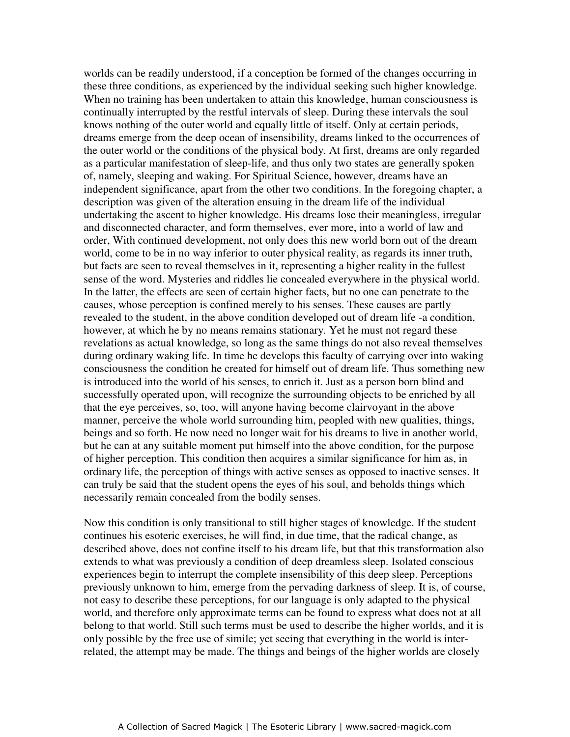worlds can be readily understood, if a conception be formed of the changes occurring in these three conditions, as experienced by the individual seeking such higher knowledge. When no training has been undertaken to attain this knowledge, human consciousness is continually interrupted by the restful intervals of sleep. During these intervals the soul knows nothing of the outer world and equally little of itself. Only at certain periods, dreams emerge from the deep ocean of insensibility, dreams linked to the occurrences of the outer world or the conditions of the physical body. At first, dreams are only regarded as a particular manifestation of sleep-life, and thus only two states are generally spoken as a particular mannestation of steep me, and that only two states are generally by of, namely, sleeping and waking. For Spiritual Science, however, dreams have an independent significance, apart from the other two conditions. In the foregoing chapter, a description was given of the alteration ensuing in the dream life of the individual undertaking the ascent to higher knowledge. His dreams lose their meaningless, irregular and disconnected character, and form themselves, ever more, into a world of law and order, With continued development, not only does this new world born out of the dream world, come to be in no way inferior to outer physical reality, as regards its inner truth, but facts are seen to reveal themselves in it, representing a higher reality in the fullest sense of the word. Mysteries and riddles lie concealed everywhere in the physical world. In the latter, the effects are seen of certain higher facts, but no one can penetrate to the causes, whose perception is confined merely to his senses. These causes are partly revealed to the student, in the above condition developed out of dream life -a condition, however, at which he by no means remains stationary. Yet he must not regard these revelations as actual knowledge, so long as the same things do not also reveal themselves during ordinary waking life. In time he develops this faculty of carrying over into waking consciousness the condition he created for himself out of dream life. Thus something new is introduced into the world of his senses, to enrich it. Just as a person born blind and successfully operated upon, will recognize the surrounding objects to be enriched by all that the eye perceives, so, too, will anyone having become clairvoyant in the above manner, perceive the whole world surrounding him, peopled with new qualities, things, beings and so forth. He now need no longer wait for his dreams to live in another world, but he can at any suitable moment put himself into the above condition, for the purpose of higher perception. This condition then acquires a similar significance for him as, in ordinary life, the perception of things with active senses as opposed to inactive senses. It can truly be said that the student opens the eyes of his soul, and beholds things which necessarily remain concealed from the bodily senses.

Now this condition is only transitional to still higher stages of knowledge. If the student continues his esoteric exercises, he will find, in due time, that the radical change, as described above, does not confine itself to his dream life, but that this transformation also extends to what was previously a condition of deep dreamless sleep. Isolated conscious experiences begin to interrupt the complete insensibility of this deep sleep. Perceptions previously unknown to him, emerge from the pervading darkness of sleep. It is, of course, not easy to describe these perceptions, for our language is only adapted to the physical world, and therefore only approximate terms can be found to express what does not at all belong to that world. Still such terms must be used to describe the higher worlds, and it is only possible by the free use of simile; yet seeing that everything in the world is interrelated, the attempt may be made. The things and beings of the higher worlds are closely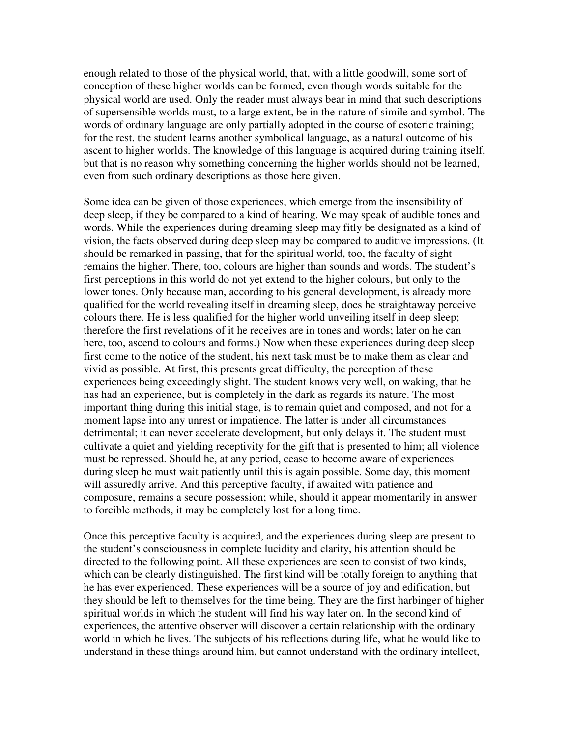enough related to those of the physical world, that, with a little goodwill, some sort of conception of these higher worlds can be formed, even though words suitable for the physical world are used. Only the reader must always bear in mind that such descriptions of supersensible worlds must, to a large extent, be in the nature of simile and symbol. The words of ordinary language are only partially adopted in the course of esoteric training; for the rest, the student learns another symbolical language, as a natural outcome of his ascent to higher worlds. The knowledge of this language is acquired during training itself, but that is no reason why something concerning the higher worlds should not be learned, even from such ordinary descriptions as those here given.

Some idea can be given of those experiences, which emerge from the insensibility of deep sleep, if they be compared to a kind of hearing. We may speak of audible tones and words. While the experiences during dreaming sleep may fitly be designated as a kind of vision, the facts observed during deep sleep may be compared to auditive impressions. (It should be remarked in passing, that for the spiritual world, too, the faculty of sight remains the higher. There, too, colours are higher than sounds and words. The student's first perceptions in this world do not yet extend to the higher colours, but only to the lower tones. Only because man, according to his general development, is already more qualified for the world revealing itself in dreaming sleep, does he straightaway perceive colours there. He is less qualified for the higher world unveiling itself in deep sleep; therefore the first revelations of it he receives are in tones and words; later on he can here, too, ascend to colours and forms.) Now when these experiences during deep sleep first come to the notice of the student, his next task must be to make them as clear and vivid as possible. At first, this presents great difficulty, the perception of these experiences being exceedingly slight. The student knows very well, on waking, that he has had an experience, but is completely in the dark as regards its nature. The most important thing during this initial stage, is to remain quiet and composed, and not for a moment lapse into any unrest or impatience. The latter is under all circumstances detrimental; it can never accelerate development, but only delays it. The student must cultivate a quiet and yielding receptivity for the gift that is presented to him; all violence must be repressed. Should he, at any period, cease to become aware of experiences during sleep he must wait patiently until this is again possible. Some day, this moment will assuredly arrive. And this perceptive faculty, if awaited with patience and composure, remains a secure possession; while, should it appear momentarily in answer to forcible methods, it may be completely lost for a long time.

Once this perceptive faculty is acquired, and the experiences during sleep are present to the student's consciousness in complete lucidity and clarity, his attention should be directed to the following point. All these experiences are seen to consist of two kinds, which can be clearly distinguished. The first kind will be totally foreign to anything that he has ever experienced. These experiences will be a source of joy and edification, but they should be left to themselves for the time being. They are the first harbinger of higher spiritual worlds in which the student will find his way later on. In the second kind of experiences, the attentive observer will discover a certain relationship with the ordinary world in which he lives. The subjects of his reflections during life, what he would like to understand in these things around him, but cannot understand with the ordinary intellect,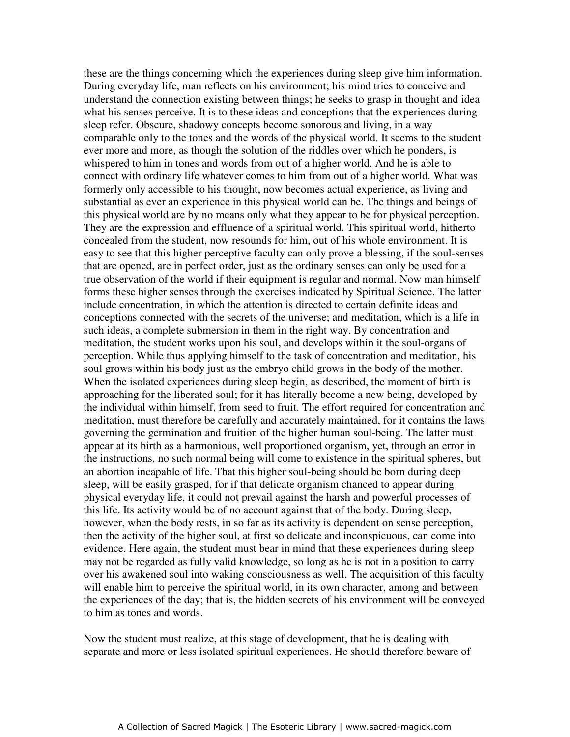these are the things concerning which the experiences during sleep give him information. During everyday life, man reflects on his environment; his mind tries to conceive and understand the connection existing between things; he seeks to grasp in thought and idea what his senses perceive. It is to these ideas and conceptions that the experiences during sleep refer. Obscure, shadowy concepts become sonorous and living, in a way comparable only to the tones and the words of the physical world. It seems to the student ever more and more, as though the solution of the riddles over which he ponders, is whispered to him in tones and words from out of a higher world. And he is able to connect with ordinary life whatever comes to him from out of a higher world. What was formerly only accessible to his thought, now becomes actual experience, as living and substantial as ever an experience in this physical world can be. The things and beings of this physical world are by no means only what they appear to be for physical perception. They are the expression and effluence of a spiritual world. This spiritual world, hitherto concealed from the student, now resounds for him, out of his whole environment. It is easy to see that this higher perceptive faculty can only prove a blessing, if the soul-senses that are opened, are in perfect order, just as the ordinary senses can only be used for a true observation of the world if their equipment is regular and normal. Now man himself forms these higher senses through the exercises indicated by Spiritual Science. The latter include concentration, in which the attention is directed to certain definite ideas and conceptions connected with the secrets of the universe; and meditation, which is a life in such ideas, a complete submersion in them in the right way. By concentration and meditation, the student works upon his soul, and develops within it the soul-organs of perception. While thus applying himself to the task of concentration and meditation, his soul grows within his body just as the embryo child grows in the body of the mother. When the isolated experiences during sleep begin, as described, the moment of birth is approaching for the liberated soul; for it has literally become a new being, developed by the individual within himself, from seed to fruit. The effort required for concentration and meditation, must therefore be carefully and accurately maintained, for it contains the laws governing the germination and fruition of the higher human soul-being. The latter must appear at its birth as a harmonious, well proportioned organism, yet, through an error in the instructions, no such normal being will come to existence in the spiritual spheres, but an abortion incapable of life. That this higher soul-being should be born during deep sleep, will be easily grasped, for if that delicate organism chanced to appear during physical everyday life, it could not prevail against the harsh and powerful processes of this life. Its activity would be of no account against that of the body. During sleep, however, when the body rests, in so far as its activity is dependent on sense perception, then the activity of the higher soul, at first so delicate and inconspicuous, can come into evidence. Here again, the student must bear in mind that these experiences during sleep may not be regarded as fully valid knowledge, so long as he is not in a position to carry over his awakened soul into waking consciousness as well. The acquisition of this faculty will enable him to perceive the spiritual world, in its own character, among and between the experiences of the day; that is, the hidden secrets of his environment will be conveyed to him as tones and words.

Now the student must realize, at this stage of development, that he is dealing with separate and more or less isolated spiritual experiences. He should therefore beware of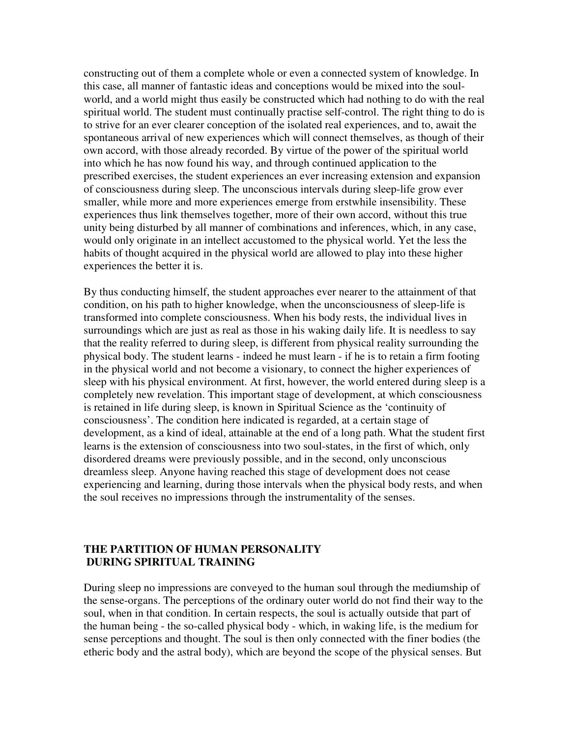constructing out of them a complete whole or even a connected system of knowledge. In this case, all manner of fantastic ideas and conceptions would be mixed into the soulworld, and a world might thus easily be constructed which had nothing to do with the real spiritual world. The student must continually practise self-control. The right thing to do is to strive for an ever clearer conception of the isolated real experiences, and to, await the spontaneous arrival of new experiences which will connect themselves, as though of their own accord, with those already recorded. By virtue of the power of the spiritual world into which he has now found his way, and through continued application to the prescribed exercises, the student experiences an ever increasing extension and expansion of consciousness during sleep. The unconscious intervals during sleep-life grow ever smaller, while more and more experiences emerge from erstwhile insensibility. These experiences thus link themselves together, more of their own accord, without this true unity being disturbed by all manner of combinations and inferences, which, in any case, would only originate in an intellect accustomed to the physical world. Yet the less the habits of thought acquired in the physical world are allowed to play into these higher experiences the better it is.

By thus conducting himself, the student approaches ever nearer to the attainment of that condition, on his path to higher knowledge, when the unconsciousness of sleep-life is transformed into complete consciousness. When his body rests, the individual lives in surroundings which are just as real as those in his waking daily life. It is needless to say that the reality referred to during sleep, is different from physical reality surrounding the physical body. The student learns - indeed he must learn - if he is to retain a firm footing in the physical world and not become a visionary, to connect the higher experiences of sleep with his physical environment. At first, however, the world entered during sleep is a completely new revelation. This important stage of development, at which consciousness is retained in life during sleep, is known in Spiritual Science as the 'continuity of consciousness'. The condition here indicated is regarded, at a certain stage of development, as a kind of ideal, attainable at the end of a long path. What the student first learns is the extension of consciousness into two soul-states, in the first of which, only disordered dreams were previously possible, and in the second, only unconscious dreamless sleep. Anyone having reached this stage of development does not cease experiencing and learning, during those intervals when the physical body rests, and when the soul receives no impressions through the instrumentality of the senses.

### **THE PARTITION OF HUMAN PERSONALITY DURING SPIRITUAL TRAINING**

During sleep no impressions are conveyed to the human soul through the mediumship of the sense-organs. The perceptions of the ordinary outer world do not find their way to the soul, when in that condition. In certain respects, the soul is actually outside that part of the human being - the so-called physical body - which, in waking life, is the medium for sense perceptions and thought. The soul is then only connected with the finer bodies (the etheric body and the astral body), which are beyond the scope of the physical senses. But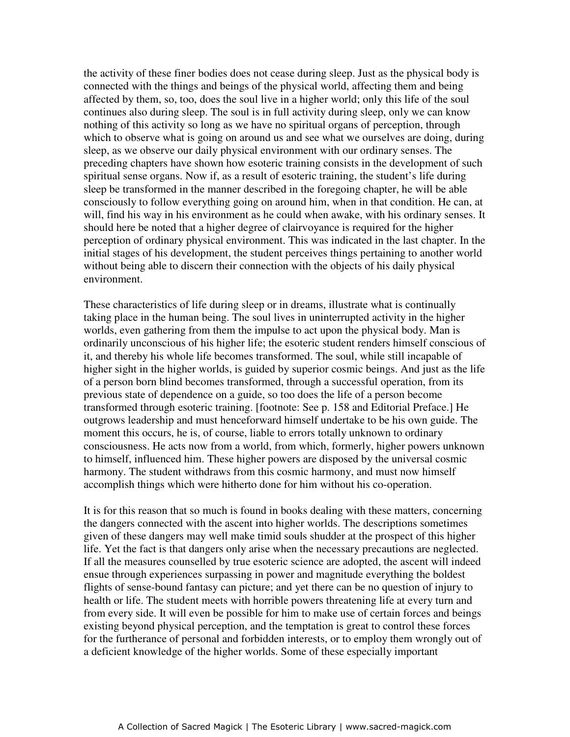the activity of these finer bodies does not cease during sleep. Just as the physical body is connected with the things and beings of the physical world, affecting them and being affected by them, so, too, does the soul live in a higher world; only this life of the soul continues also during sleep. The soul is in full activity during sleep, only we can know nothing of this activity so long as we have no spiritual organs of perception, through which to observe what is going on around us and see what we ourselves are doing, during sleep, as we observe our daily physical environment with our ordinary senses. The preceding chapters have shown how esoteric training consists in the development of such spiritual sense organs. Now if, as a result of esoteric training, the student's life during sleep be transformed in the manner described in the foregoing chapter, he will be able consciously to follow everything going on around him, when in that condition. He can, at will, find his way in his environment as he could when awake, with his ordinary senses. It should here be noted that a higher degree of clairvoyance is required for the higher perception of ordinary physical environment. This was indicated in the last chapter. In the initial stages of his development, the student perceives things pertaining to another world without being able to discern their connection with the objects of his daily physical environment.

These characteristics of life during sleep or in dreams, illustrate what is continually taking place in the human being. The soul lives in uninterrupted activity in the higher worlds, even gathering from them the impulse to act upon the physical body. Man is ordinarily unconscious of his higher life; the esoteric student renders himself conscious of it, and thereby his whole life becomes transformed. The soul, while still incapable of higher sight in the higher worlds, is guided by superior cosmic beings. And just as the life of a person born blind becomes transformed, through a successful operation, from its previous state of dependence on a guide, so too does the life of a person become transformed through esoteric training. [footnote: See p. 158 and Editorial Preface.] He outgrows leadership and must henceforward himself undertake to be his own guide. The moment this occurs, he is, of course, liable to errors totally unknown to ordinary consciousness. He acts now from a world, from which, formerly, higher powers unknown to himself, influenced him. These higher powers are disposed by the universal cosmic harmony. The student withdraws from this cosmic harmony, and must now himself accomplish things which were hitherto done for him without his co-operation.

It is for this reason that so much is found in books dealing with these matters, concerning the dangers connected with the ascent into higher worlds. The descriptions sometimes given of these dangers may well make timid souls shudder at the prospect of this higher life. Yet the fact is that dangers only arise when the necessary precautions are neglected. If all the measures counselled by true esoteric science are adopted, the ascent will indeed ensue through experiences surpassing in power and magnitude everything the boldest flights of sense-bound fantasy can picture; and yet there can be no question of injury to health or life. The student meets with horrible powers threatening life at every turn and from every side. It will even be possible for him to make use of certain forces and beings existing beyond physical perception, and the temptation is great to control these forces for the furtherance of personal and forbidden interests, or to employ them wrongly out of a deficient knowledge of the higher worlds. Some of these especially important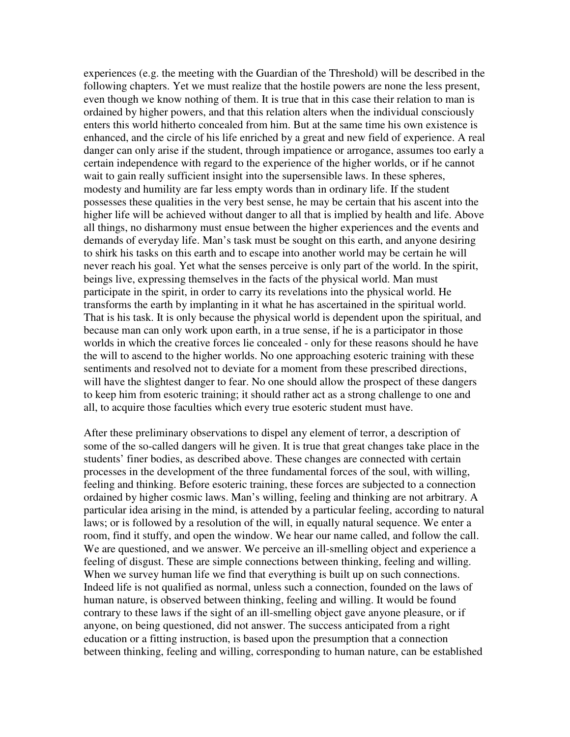experiences (e.g. the meeting with the Guardian of the Threshold) will be described in the following chapters. Yet we must realize that the hostile powers are none the less present, even though we know nothing of them. It is true that in this case their relation to man is ordained by higher powers, and that this relation alters when the individual consciously enters this world hitherto concealed from him. But at the same time his own existence is enhanced, and the circle of his life enriched by a great and new field of experience. A real danger can only arise if the student, through impatience or arrogance, assumes too early a certain independence with regard to the experience of the higher worlds, or if he cannot wait to gain really sufficient insight into the supersensible laws. In these spheres, modesty and humility are far less empty words than in ordinary life. If the student possesses these qualities in the very best sense, he may be certain that his ascent into the higher life will be achieved without danger to all that is implied by health and life. Above all things, no disharmony must ensue between the higher experiences and the events and demands of everyday life. Man's task must be sought on this earth, and anyone desiring to shirk his tasks on this earth and to escape into another world may be certain he will never reach his goal. Yet what the senses perceive is only part of the world. In the spirit, beings live, expressing themselves in the facts of the physical world. Man must participate in the spirit, in order to carry its revelations into the physical world. He transforms the earth by implanting in it what he has ascertained in the spiritual world. That is his task. It is only because the physical world is dependent upon the spiritual, and because man can only work upon earth, in a true sense, if he is a participator in those worlds in which the creative forces lie concealed - only for these reasons should he have the will to ascend to the higher worlds. No one approaching esoteric training with these sentiments and resolved not to deviate for a moment from these prescribed directions, will have the slightest danger to fear. No one should allow the prospect of these dangers to keep him from esoteric training; it should rather act as a strong challenge to one and all, to acquire those faculties which every true esoteric student must have.

After these preliminary observations to dispel any element of terror, a description of some of the so-called dangers will he given. It is true that great changes take place in the students' finer bodies, as described above. These changes are connected with certain processes in the development of the three fundamental forces of the soul, with willing, feeling and thinking. Before esoteric training, these forces are subjected to a connection ordained by higher cosmic laws. Man's willing, feeling and thinking are not arbitrary. A particular idea arising in the mind, is attended by a particular feeling, according to natural laws; or is followed by a resolution of the will, in equally natural sequence. We enter a room, find it stuffy, and open the window. We hear our name called, and follow the call. We are questioned, and we answer. We perceive an ill-smelling object and experience a feeling of disgust. These are simple connections between thinking, feeling and willing. When we survey human life we find that everything is built up on such connections. Indeed life is not qualified as normal, unless such a connection, founded on the laws of human nature, is observed between thinking, feeling and willing. It would be found contrary to these laws if the sight of an ill-smelling object gave anyone pleasure, or if anyone, on being questioned, did not answer. The success anticipated from a right education or a fitting instruction, is based upon the presumption that a connection between thinking, feeling and willing, corresponding to human nature, can be established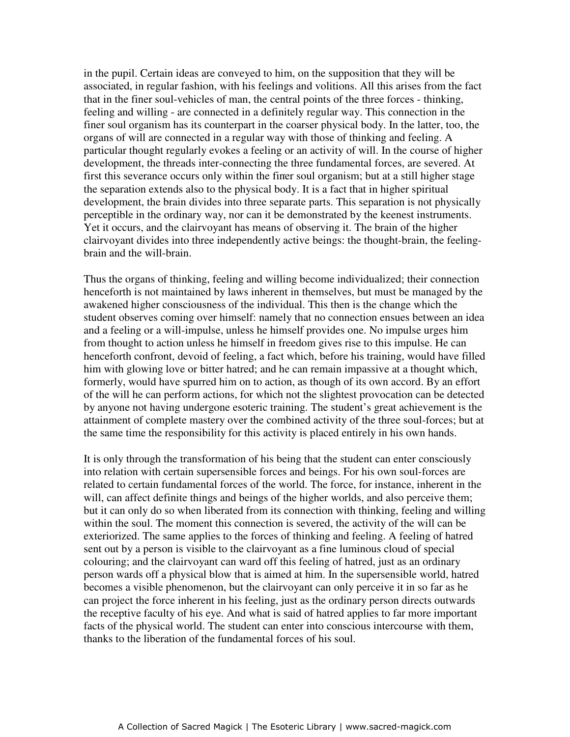in the pupil. Certain ideas are conveyed to him, on the supposition that they will be associated, in regular fashion, with his feelings and volitions. All this arises from the fact that in the finer soul-vehicles of man, the central points of the three forces - thinking, feeling and willing - are connected in a definitely regular way. This connection in the finer soul organism has its counterpart in the coarser physical body. In the latter, too, the organs of will are connected in a regular way with those of thinking and feeling. A particular thought regularly evokes a feeling or an activity of will. In the course of higher development, the threads inter-connecting the three fundamental forces, are severed. At first this severance occurs only within the finer soul organism; but at a still higher stage the separation extends also to the physical body. It is a fact that in higher spiritual development, the brain divides into three separate parts. This separation is not physically perceptible in the ordinary way, nor can it be demonstrated by the keenest instruments. Yet it occurs, and the clairvoyant has means of observing it. The brain of the higher clairvoyant divides into three independently active beings: the thought-brain, the feelingbrain and the will-brain.

Thus the organs of thinking, feeling and willing become individualized; their connection henceforth is not maintained by laws inherent in themselves, but must be managed by the awakened higher consciousness of the individual. This then is the change which the student observes coming over himself: namely that no connection ensues between an idea and a feeling or a will-impulse, unless he himself provides one. No impulse urges him from thought to action unless he himself in freedom gives rise to this impulse. He can henceforth confront, devoid of feeling, a fact which, before his training, would have filled him with glowing love or bitter hatred; and he can remain impassive at a thought which, formerly, would have spurred him on to action, as though of its own accord. By an effort of the will he can perform actions, for which not the slightest provocation can be detected by anyone not having undergone esoteric training. The student's great achievement is the attainment of complete mastery over the combined activity of the three soul-forces; but at the same time the responsibility for this activity is placed entirely in his own hands.

It is only through the transformation of his being that the student can enter consciously into relation with certain supersensible forces and beings. For his own soul-forces are related to certain fundamental forces of the world. The force, for instance, inherent in the will, can affect definite things and beings of the higher worlds, and also perceive them; but it can only do so when liberated from its connection with thinking, feeling and willing within the soul. The moment this connection is severed, the activity of the will can be exteriorized. The same applies to the forces of thinking and feeling. A feeling of hatred sent out by a person is visible to the clairvoyant as a fine luminous cloud of special colouring; and the clairvoyant can ward off this feeling of hatred, just as an ordinary person wards off a physical blow that is aimed at him. In the supersensible world, hatred becomes a visible phenomenon, but the clairvoyant can only perceive it in so far as he can project the force inherent in his feeling, just as the ordinary person directs outwards the receptive faculty of his eye. And what is said of hatred applies to far more important facts of the physical world. The student can enter into conscious intercourse with them, thanks to the liberation of the fundamental forces of his soul.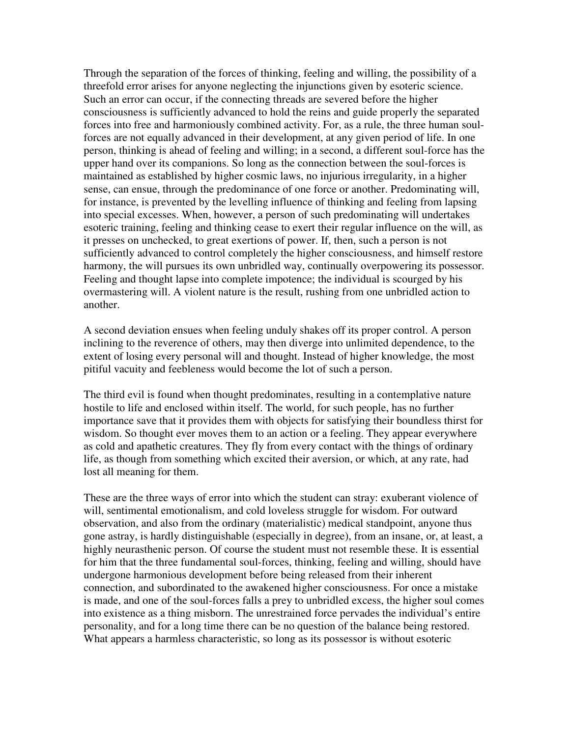Through the separation of the forces of thinking, feeling and willing, the possibility of a threefold error arises for anyone neglecting the injunctions given by esoteric science. Such an error can occur, if the connecting threads are severed before the higher consciousness is sufficiently advanced to hold the reins and guide properly the separated forces into free and harmoniously combined activity. For, as a rule, the three human soulforces are not equally advanced in their development, at any given period of life. In one person, thinking is ahead of feeling and willing; in a second, a different soul-force has the upper hand over its companions. So long as the connection between the soul-forces is maintained as established by higher cosmic laws, no injurious irregularity, in a higher sense, can ensue, through the predominance of one force or another. Predominating will, for instance, is prevented by the levelling influence of thinking and feeling from lapsing into special excesses. When, however, a person of such predominating will undertakes esoteric training, feeling and thinking cease to exert their regular influence on the will, as it presses on unchecked, to great exertions of power. If, then, such a person is not sufficiently advanced to control completely the higher consciousness, and himself restore harmony, the will pursues its own unbridled way, continually overpowering its possessor. Feeling and thought lapse into complete impotence; the individual is scourged by his overmastering will. A violent nature is the result, rushing from one unbridled action to another.

A second deviation ensues when feeling unduly shakes off its proper control. A person inclining to the reverence of others, may then diverge into unlimited dependence, to the extent of losing every personal will and thought. Instead of higher knowledge, the most pitiful vacuity and feebleness would become the lot of such a person.

The third evil is found when thought predominates, resulting in a contemplative nature hostile to life and enclosed within itself. The world, for such people, has no further importance save that it provides them with objects for satisfying their boundless thirst for wisdom. So thought ever moves them to an action or a feeling. They appear everywhere as cold and apathetic creatures. They fly from every contact with the things of ordinary life, as though from something which excited their aversion, or which, at any rate, had lost all meaning for them.

These are the three ways of error into which the student can stray: exuberant violence of will, sentimental emotionalism, and cold loveless struggle for wisdom. For outward observation, and also from the ordinary (materialistic) medical standpoint, anyone thus gone astray, is hardly distinguishable (especially in degree), from an insane, or, at least, a highly neurasthenic person. Of course the student must not resemble these. It is essential for him that the three fundamental soul-forces, thinking, feeling and willing, should have undergone harmonious development before being released from their inherent connection, and subordinated to the awakened higher consciousness. For once a mistake is made, and one of the soul-forces falls a prey to unbridled excess, the higher soul comes into existence as a thing misborn. The unrestrained force pervades the individual's entire personality, and for a long time there can be no question of the balance being restored. What appears a harmless characteristic, so long as its possessor is without esoteric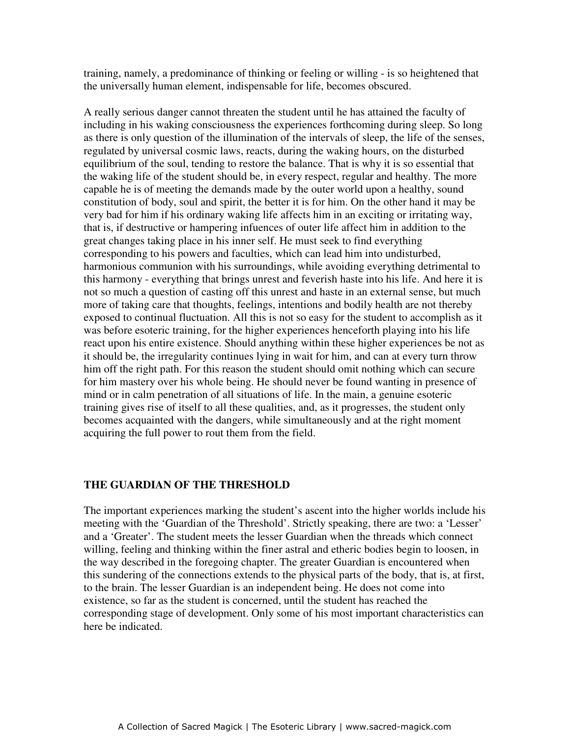training, namely, a predominance of thinking or feeling or willing - is so heightened that the universally human element, indispensable for life, becomes obscured.

A really serious danger cannot threaten the student until he has attained the faculty of including in his waking consciousness the experiences forthcoming during sleep. So long as there is only question of the illumination of the intervals of sleep, the life of the senses, regulated by universal cosmic laws, reacts, during the waking hours, on the disturbed equilibrium of the soul, tending to restore the balance. That is why it is so essential that Equinormally of the soul, tending to restore the statutive. That is why it is so essential that the waking life of the student should be, in every respect, regular and healthy. The more capable he is of meeting the demands made by the outer world upon a healthy, sound constitution of body, soul and spirit, the better it is for him. On the other hand it may be very bad for him if his ordinary waking life affects him in an exciting or irritating way, that is, if destructive or hampering infuences of outer life affect him in addition to the great changes taking place in his inner self. He must seek to find everything corresponding to his powers and faculties, which can lead him into undisturbed, harmonious communion with his surroundings, while avoiding everything detrimental to this harmony - everything that brings unrest and feverish haste into his life. And here it is not so much a question of casting off this unrest and haste in an external sense, but much more of taking care that thoughts, feelings, intentions and bodily health are not thereby exposed to continual fluctuation. All this is not so easy for the student to accomplish as it was before esoteric training, for the higher experiences henceforth playing into his life react upon his entire existence. Should anything within these higher experiences be not as it should be, the irregularity continues lying in wait for him, and can at every turn throw him off the right path. For this reason the student should omit nothing which can secure for him mastery over his whole being. He should never be found wanting in presence of mind or in calm penetration of all situations of life. In the main, a genuine esoteric training gives rise of itself to all these qualities, and, as it progresses, the student only becomes acquainted with the dangers, while simultaneously and at the right moment acquiring the full power to rout them from the field.

## **THE GUARDIAN OF THE THRESHOLD**

The important experiences marking the student's ascent into the higher worlds include his meeting with the 'Guardian of the Threshold'. Strictly speaking, there are two: a 'Lesser' and a 'Greater'. The student meets the lesser Guardian when the threads which connect willing, feeling and thinking within the finer astral and etheric bodies begin to loosen, in the way described in the foregoing chapter. The greater Guardian is encountered when this sundering of the connections extends to the physical parts of the body, that is, at first, to the brain. The lesser Guardian is an independent being. He does not come into existence, so far as the student is concerned, until the student has reached the corresponding stage of development. Only some of his most important characteristics can here be indicated.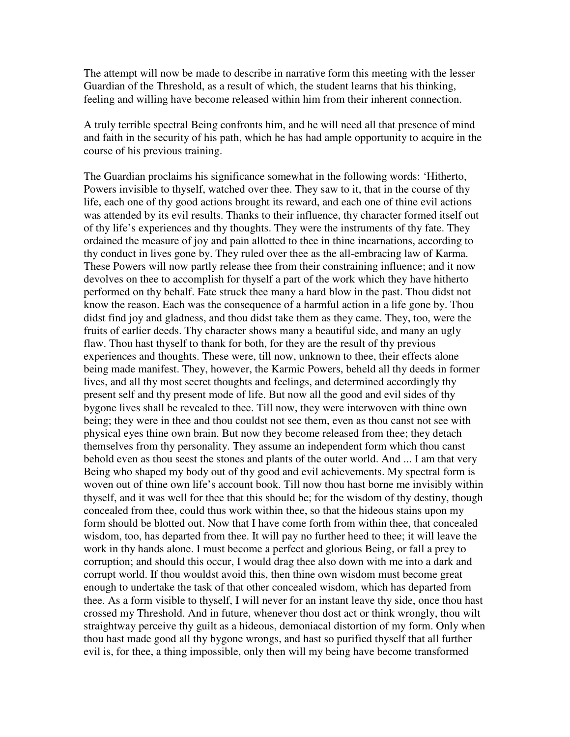The attempt will now be made to describe in narrative form this meeting with the lesser Guardian of the Threshold, as a result of which, the student learns that his thinking, feeling and willing have become released within him from their inherent connection.

A truly terrible spectral Being confronts him, and he will need all that presence of mind and faith in the security of his path, which he has had ample opportunity to acquire in the course of his previous training.

The Guardian proclaims his significance somewhat in the following words: 'Hitherto, Powers invisible to thyself, watched over thee. They saw to it, that in the course of thy life, each one of thy good actions brought its reward, and each one of thine evil actions was attended by its evil results. Thanks to their influence, thy character formed itself out of thy life's experiences and thy thoughts. They were the instruments of thy fate. They ordained the measure of joy and pain allotted to thee in thine incarnations, according to thy conduct in lives gone by. They ruled over thee as the all-embracing law of Karma. These Powers will now partly release thee from their constraining influence; and it now devolves on thee to accomplish for thyself a part of the work which they have hitherto performed on thy behalf. Fate struck thee many a hard blow in the past. Thou didst not know the reason. Each was the consequence of a harmful action in a life gone by. Thou didst find joy and gladness, and thou didst take them as they came. They, too, were the fruits of earlier deeds. Thy character shows many a beautiful side, and many an ugly flaw. Thou hast thyself to thank for both, for they are the result of thy previous experiences and thoughts. These were, till now, unknown to thee, their effects alone being made manifest. They, however, the Karmic Powers, beheld all thy deeds in former lives, and all thy most secret thoughts and feelings, and determined accordingly thy present self and thy present mode of life. But now all the good and evil sides of thy bygone lives shall be revealed to thee. Till now, they were interwoven with thine own being; they were in thee and thou couldst not see them, even as thou canst not see with physical eyes thine own brain. But now they become released from thee; they detach themselves from thy personality. They assume an independent form which thou canst behold even as thou seest the stones and plants of the outer world. And ... I am that very Being who shaped my body out of thy good and evil achievements. My spectral form is woven out of thine own life's account book. Till now thou hast borne me invisibly within thyself, and it was well for thee that this should be; for the wisdom of thy destiny, though concealed from thee, could thus work within thee, so that the hideous stains upon my form should be blotted out. Now that I have come forth from within thee, that concealed wisdom, too, has departed from thee. It will pay no further heed to thee; it will leave the work in thy hands alone. I must become a perfect and glorious Being, or fall a prey to corruption; and should this occur, I would drag thee also down with me into a dark and corrupt world. If thou wouldst avoid this, then thine own wisdom must become great enough to undertake the task of that other concealed wisdom, which has departed from thee. As a form visible to thyself, I will never for an instant leave thy side, once thou hast crossed my Threshold. And in future, whenever thou dost act or think wrongly, thou wilt straightway perceive thy guilt as a hideous, demoniacal distortion of my form. Only when thou hast made good all thy bygone wrongs, and hast so purified thyself that all further evil is, for thee, a thing impossible, only then will my being have become transformed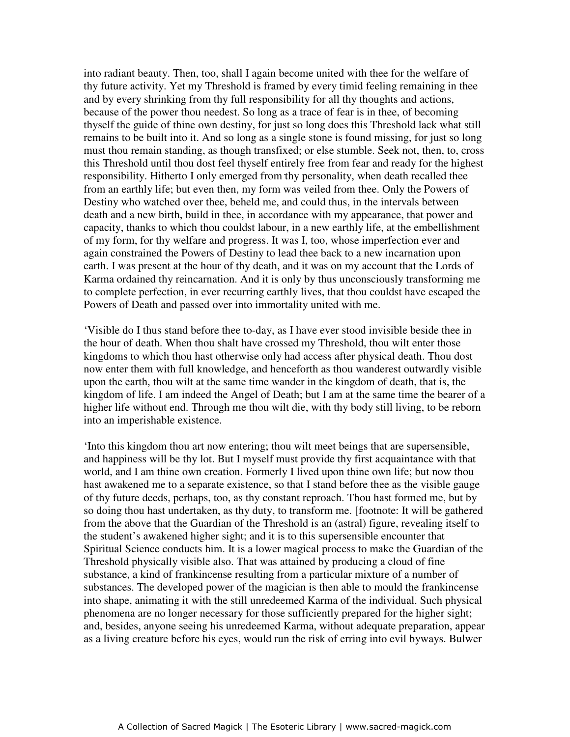into radiant beauty. Then, too, shall I again become united with thee for the welfare of thy future activity. Yet my Threshold is framed by every timid feeling remaining in thee and by every shrinking from thy full responsibility for all thy thoughts and actions, because of the power thou needest. So long as a trace of fear is in thee, of becoming thyself the guide of thine own destiny, for just so long does this Threshold lack what still remains to be built into it. And so long as a single stone is found missing, for just so long must thou remain standing, as though transfixed; or else stumble. Seek not, then, to, cross this Threshold until thou dost feel thyself entirely free from fear and ready for the highest responsibility. Hitherto I only emerged from thy personality, when death recalled thee from an earthly life; but even then, my form was veiled from thee. Only the Powers of Destiny who watched over thee, beheld me, and could thus, in the intervals between death and a new birth, build in thee, in accordance with my appearance, that power and capacity, thanks to which thou couldst labour, in a new earthly life, at the embellishment of my form, for thy welfare and progress. It was I, too, whose imperfection ever and again constrained the Powers of Destiny to lead thee back to a new incarnation upon earth. I was present at the hour of thy death, and it was on my account that the Lords of Karma ordained thy reincarnation. And it is only by thus unconsciously transforming me to complete perfection, in ever recurring earthly lives, that thou couldst have escaped the Powers of Death and passed over into immortality united with me.

'Visible do I thus stand before thee to-day, as I have ever stood invisible beside thee in the hour of death. When thou shalt have crossed my Threshold, thou wilt enter those kingdoms to which thou hast otherwise only had access after physical death. Thou dost now enter them with full knowledge, and henceforth as thou wanderest outwardly visible upon the earth, thou wilt at the same time wander in the kingdom of death, that is, the kingdom of life. I am indeed the Angel of Death; but I am at the same time the bearer of a higher life without end. Through me thou wilt die, with thy body still living, to be reborn into an imperishable existence.

'Into this kingdom thou art now entering; thou wilt meet beings that are supersensible, and happiness will be thy lot. But I myself must provide thy first acquaintance with that world, and I am thine own creation. Formerly I lived upon thine own life; but now thou hast awakened me to a separate existence, so that I stand before thee as the visible gauge of thy future deeds, perhaps, too, as thy constant reproach. Thou hast formed me, but by so doing thou hast undertaken, as thy duty, to transform me. [footnote: It will be gathered from the above that the Guardian of the Threshold is an (astral) figure, revealing itself to the student's awakened higher sight; and it is to this supersensible encounter that Spiritual Science conducts him. It is a lower magical process to make the Guardian of the Threshold physically visible also. That was attained by producing a cloud of fine substance, a kind of frankincense resulting from a particular mixture of a number of substances. The developed power of the magician is then able to mould the frankincense into shape, animating it with the still unredeemed Karma of the individual. Such physical phenomena are no longer necessary for those sufficiently prepared for the higher sight; and, besides, anyone seeing his unredeemed Karma, without adequate preparation, appear as a living creature before his eyes, would run the risk of erring into evil byways. Bulwer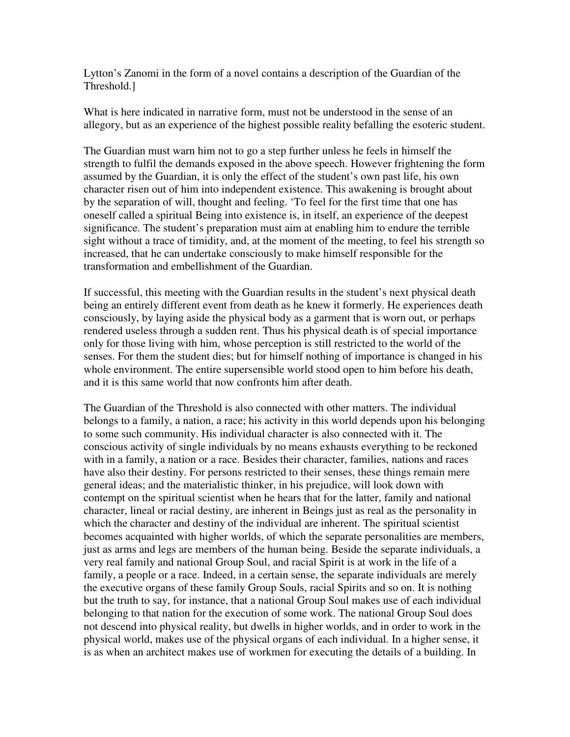Lytton's Zanomi in the form of a novel contains a description of the Guardian of the Threshold.]

What is here indicated in narrative form, must not be understood in the sense of an allegory, but as an experience of the highest possible reality befalling the esoteric student.

The Guardian must warn him not to go a step further unless he feels in himself the strength to fulfil the demands exposed in the above speech. However frightening the form assumed by the Guardian, it is only the effect of the student's own past life, his own character risen out of him into independent existence. This awakening is brought about by the separation of will, thought and feeling. 'To feel for the first time that one has oneself called a spiritual Being into existence is, in itself, an experience of the deepest significance. The student's preparation must aim at enabling him to endure the terrible sight without a trace of timidity, and, at the moment of the meeting, to feel his strength so increased, that he can undertake consciously to make himself responsible for the transformation and embellishment of the Guardian.

If successful, this meeting with the Guardian results in the student's next physical death being an entirely different event from death as he knew it formerly. He experiences death consciously, by laying aside the physical body as a garment that is worn out, or perhaps rendered useless through a sudden rent. Thus his physical death is of special importance only for those living with him, whose perception is still restricted to the world of the senses. For them the student dies; but for himself nothing of importance is changed in his whole environment. The entire supersensible world stood open to him before his death, and it is this same world that now confronts him after death.

The Guardian of the Threshold is also connected with other matters. The individual belongs to a family, a nation, a race; his activity in this world depends upon his belonging to some such community. His individual character is also connected with it. The conscious activity of single individuals by no means exhausts everything to be reckoned with in a family, a nation or a race. Besides their character, families, nations and races have also their destiny. For persons restricted to their senses, these things remain mere general ideas; and the materialistic thinker, in his prejudice, will look down with contempt on the spiritual scientist when he hears that for the latter, family and national character, lineal or racial destiny, are inherent in Beings just as real as the personality in which the character and destiny of the individual are inherent. The spiritual scientist becomes acquainted with higher worlds, of which the separate personalities are members, just as arms and legs are members of the human being. Beside the separate individuals, a very real family and national Group Soul, and racial Spirit is at work in the life of a family, a people or a race. Indeed, in a certain sense, the separate individuals are merely the executive organs of these family Group Souls, racial Spirits and so on. It is nothing but the truth to say, for instance, that a national Group Soul makes use of each individual belonging to that nation for the execution of some work. The national Group Soul does not descend into physical reality, but dwells in higher worlds, and in order to work in the physical world, makes use of the physical organs of each individual. In a higher sense, it is as when an architect makes use of workmen for executing the details of a building. In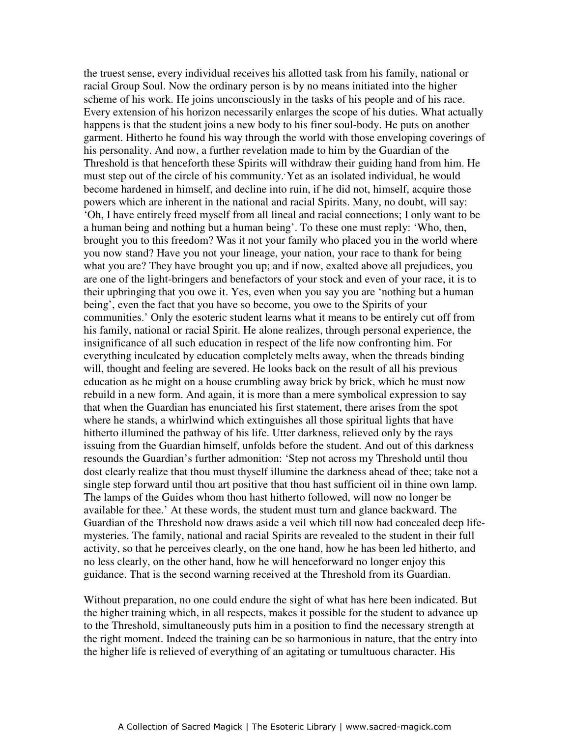the truest sense, every individual receives his allotted task from his family, national or racial Group Soul. Now the ordinary person is by no means initiated into the higher scheme of his work. He joins unconsciously in the tasks of his people and of his race. Every extension of his horizon necessarily enlarges the scope of his duties. What actually happens is that the student joins a new body to his finer soul-body. He puts on another garment. Hitherto he found his way through the world with those enveloping coverings of his personality. And now, a further revelation made to him by the Guardian of the Threshold is that henceforth these Spirits will withdraw their guiding hand from him. He must step out of the circle of his community. Yet as an isolated individual, he would become hardened in himself, and decline into ruin, if he did not, himself, acquire those powers which are inherent in the national and racial Spirits. Many, no doubt, will say: 'Oh, I have entirely freed myself from all lineal and racial connections; I only want to be a human being and nothing but a human being'. To these one must reply: 'Who, then, brought you to this freedom? Was it not your family who placed you in the world where you now stand? Have you not your lineage, your nation, your race to thank for being what you are? They have brought you up; and if now, exalted above all prejudices, you are one of the light-bringers and benefactors of your stock and even of your race, it is to their upbringing that you owe it. Yes, even when you say you are 'nothing but a human being', even the fact that you have so become, you owe to the Spirits of your communities.' Only the esoteric student learns what it means to be entirely cut off from his family, national or racial Spirit. He alone realizes, through personal experience, the insignificance of all such education in respect of the life now confronting him. For everything inculcated by education completely melts away, when the threads binding will, thought and feeling are severed. He looks back on the result of all his previous education as he might on a house crumbling away brick by brick, which he must now rebuild in a new form. And again, it is more than a mere symbolical expression to say that when the Guardian has enunciated his first statement, there arises from the spot where he stands, a whirlwind which extinguishes all those spiritual lights that have hitherto illumined the pathway of his life. Utter darkness, relieved only by the rays issuing from the Guardian himself, unfolds before the student. And out of this darkness resounds the Guardian's further admonition: 'Step not across my Threshold until thou dost clearly realize that thou must thyself illumine the darkness ahead of thee; take not a single step forward until thou art positive that thou hast sufficient oil in thine own lamp. The lamps of the Guides whom thou hast hitherto followed, will now no longer be available for thee.' At these words, the student must turn and glance backward. The Guardian of the Threshold now draws aside a veil which till now had concealed deep lifemysteries. The family, national and racial Spirits are revealed to the student in their full activity, so that he perceives clearly, on the one hand, how he has been led hitherto, and no less clearly, on the other hand, how he will henceforward no longer enjoy this guidance. That is the second warning received at the Threshold from its Guardian.

Without preparation, no one could endure the sight of what has here been indicated. But the higher training which, in all respects, makes it possible for the student to advance up to the Threshold, simultaneously puts him in a position to find the necessary strength at the right moment. Indeed the training can be so harmonious in nature, that the entry into the higher life is relieved of everything of an agitating or tumultuous character. His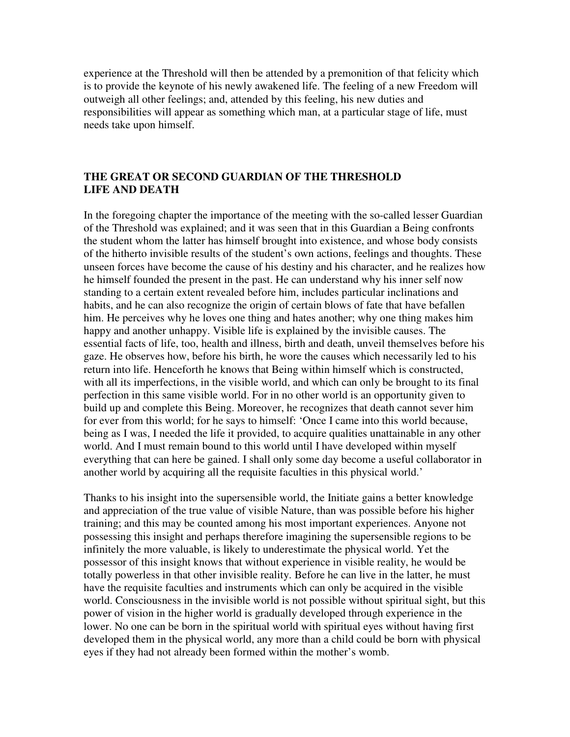experience at the Threshold will then be attended by a premonition of that felicity which is to provide the keynote of his newly awakened life. The feeling of a new Freedom will outweigh all other feelings; and, attended by this feeling, his new duties and responsibilities will appear as something which man, at a particular stage of life, must needs take upon himself.

## **THE GREAT OR SECOND GUARDIAN OF THE THRESHOLD LIFE AND DEATH**

In the foregoing chapter the importance of the meeting with the so-called lesser Guardian of the Threshold was explained; and it was seen that in this Guardian a Being confronts the student whom the latter has himself brought into existence, and whose body consists of the hitherto invisible results of the student's own actions, feelings and thoughts. These unseen forces have become the cause of his destiny and his character, and he realizes how he himself founded the present in the past. He can understand why his inner self now standing to a certain extent revealed before him, includes particular inclinations and habits, and he can also recognize the origin of certain blows of fate that have befallen him. He perceives why he loves one thing and hates another; why one thing makes him happy and another unhappy. Visible life is explained by the invisible causes. The essential facts of life, too, health and illness, birth and death, unveil themselves before his gaze. He observes how, before his birth, he wore the causes which necessarily led to his return into life. Henceforth he knows that Being within himself which is constructed, with all its imperfections, in the visible world, and which can only be brought to its final perfection in this same visible world. For in no other world is an opportunity given to build up and complete this Being. Moreover, he recognizes that death cannot sever him for ever from this world; for he says to himself: 'Once I came into this world because, being as I was, I needed the life it provided, to acquire qualities unattainable in any other world. And I must remain bound to this world until I have developed within myself everything that can here be gained. I shall only some day become a useful collaborator in another world by acquiring all the requisite faculties in this physical world.'

Thanks to his insight into the supersensible world, the Initiate gains a better knowledge and appreciation of the true value of visible Nature, than was possible before his higher training; and this may be counted among his most important experiences. Anyone not possessing this insight and perhaps therefore imagining the supersensible regions to be infinitely the more valuable, is likely to underestimate the physical world. Yet the possessor of this insight knows that without experience in visible reality, he would be totally powerless in that other invisible reality. Before he can live in the latter, he must have the requisite faculties and instruments which can only be acquired in the visible world. Consciousness in the invisible world is not possible without spiritual sight, but this power of vision in the higher world is gradually developed through experience in the lower. No one can be born in the spiritual world with spiritual eyes without having first developed them in the physical world, any more than a child could be born with physical eyes if they had not already been formed within the mother's womb.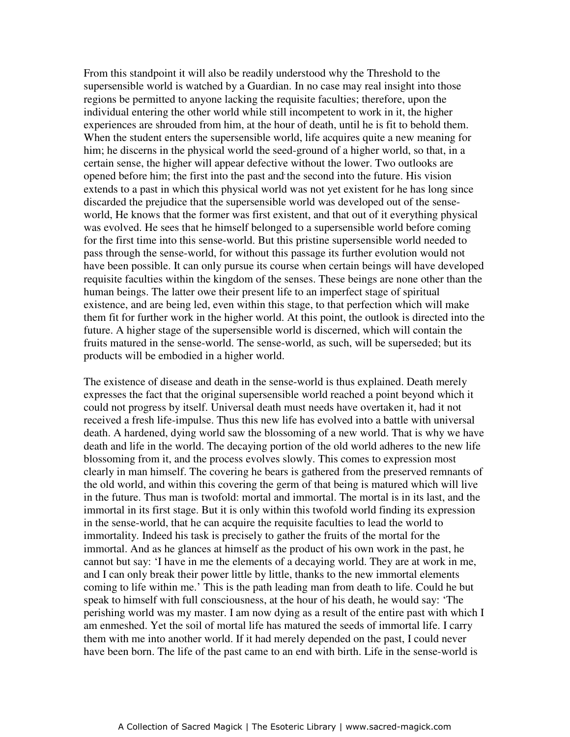From this standpoint it will also be readily understood why the Threshold to the supersensible world is watched by a Guardian. In no case may real insight into those regions be permitted to anyone lacking the requisite faculties; therefore, upon the individual entering the other world while still incompetent to work in it, the higher experiences are shrouded from him, at the hour of death, until he is fit to behold them. When the student enters the supersensible world, life acquires quite a new meaning for him; he discerns in the physical world the seed-ground of a higher world, so that, in a certain sense, the higher will appear defective without the lower. Two outlooks are opened before him; the first into the past and the second into the future. His vision extends to a past in which this physical world was not yet existent for he has long since discarded the prejudice that the supersensible world was developed out of the senseworld, He knows that the former was first existent, and that out of it everything physical was evolved. He sees that he himself belonged to a supersensible world before coming for the first time into this sense-world. But this pristine supersensible world needed to pass through the sense-world, for without this passage its further evolution would not have been possible. It can only pursue its course when certain beings will have developed requisite faculties within the kingdom of the senses. These beings are none other than the human beings. The latter owe their present life to an imperfect stage of spiritual existence, and are being led, even within this stage, to that perfection which will make them fit for further work in the higher world. At this point, the outlook is directed into the future. A higher stage of the supersensible world is discerned, which will contain the fruits matured in the sense-world. The sense-world, as such, will be superseded; but its products will be embodied in a higher world.

The existence of disease and death in the sense-world is thus explained. Death merely expresses the fact that the original supersensible world reached a point beyond which it could not progress by itself. Universal death must needs have overtaken it, had it not received a fresh life-impulse. Thus this new life has evolved into a battle with universal death. A hardened, dying world saw the blossoming of a new world. That is why we have death and life in the world. The decaying portion of the old world adheres to the new life blossoming from it, and the process evolves slowly. This comes to expression most clearly in man himself. The covering he bears is gathered from the preserved remnants of the old world, and within this covering the germ of that being is matured which will live in the future. Thus man is twofold: mortal and immortal. The mortal is in its last, and the immortal in its first stage. But it is only within this twofold world finding its expression in the sense-world, that he can acquire the requisite faculties to lead the world to immortality. Indeed his task is precisely to gather the fruits of the mortal for the immortal. And as he glances at himself as the product of his own work in the past, he cannot but say: 'I have in me the elements of a decaying world. They are at work in me, and I can only break their power little by little, thanks to the new immortal elements coming to life within me.' This is the path leading man from death to life. Could he but speak to himself with full consciousness, at the hour of his death, he would say: 'The perishing world was my master. I am now dying as a result of the entire past with which I am enmeshed. Yet the soil of mortal life has matured the seeds of immortal life. I carry them with me into another world. If it had merely depended on the past, I could never have been born. The life of the past came to an end with birth. Life in the sense-world is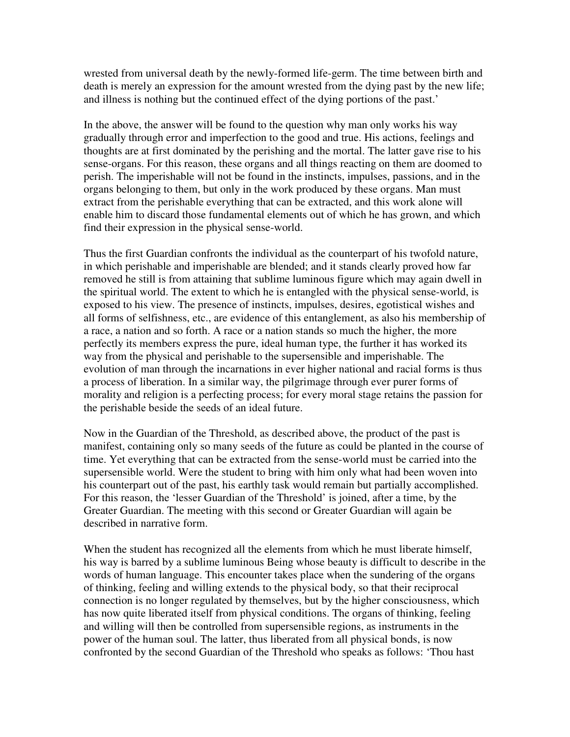wrested from universal death by the newly-formed life-germ. The time between birth and death is merely an expression for the amount wrested from the dying past by the new life; and illness is nothing but the continued effect of the dying portions of the past.'

In the above, the answer will be found to the question why man only works his way gradually through error and imperfection to the good and true. His actions, feelings and thoughts are at first dominated by the perishing and the mortal. The latter gave rise to his sense-organs. For this reason, these organs and all things reacting on them are doomed to perish. The imperishable will not be found in the instincts, impulses, passions, and in the organs belonging to them, but only in the work produced by these organs. Man must extract from the perishable everything that can be extracted, and this work alone will enable him to discard those fundamental elements out of which he has grown, and which find their expression in the physical sense-world.

Thus the first Guardian confronts the individual as the counterpart of his twofold nature, in which perishable and imperishable are blended; and it stands clearly proved how far removed he still is from attaining that sublime luminous figure which may again dwell in the spiritual world. The extent to which he is entangled with the physical sense-world, is exposed to his view. The presence of instincts, impulses, desires, egotistical wishes and all forms of selfishness, etc., are evidence of this entanglement, as also his membership of a race, a nation and so forth. A race or a nation stands so much the higher, the more perfectly its members express the pure, ideal human type, the further it has worked its way from the physical and perishable to the supersensible and imperishable. The evolution of man through the incarnations in ever higher national and racial forms is thus a process of liberation. In a similar way, the pilgrimage through ever purer forms of morality and religion is a perfecting process; for every moral stage retains the passion for the perishable beside the seeds of an ideal future.

Now in the Guardian of the Threshold, as described above, the product of the past is manifest, containing only so many seeds of the future as could be planted in the course of time. Yet everything that can be extracted from the sense-world must be carried into the supersensible world. Were the student to bring with him only what had been woven into his counterpart out of the past, his earthly task would remain but partially accomplished. For this reason, the 'lesser Guardian of the Threshold' is joined, after a time, by the Greater Guardian. The meeting with this second or Greater Guardian will again be described in narrative form.

When the student has recognized all the elements from which he must liberate himself, his way is barred by a sublime luminous Being whose beauty is difficult to describe in the words of human language. This encounter takes place when the sundering of the organs of thinking, feeling and willing extends to the physical body, so that their reciprocal connection is no longer regulated by themselves, but by the higher consciousness, which has now quite liberated itself from physical conditions. The organs of thinking, feeling and willing will then be controlled from supersensible regions, as instruments in the power of the human soul. The latter, thus liberated from all physical bonds, is now confronted by the second Guardian of the Threshold who speaks as follows: 'Thou hast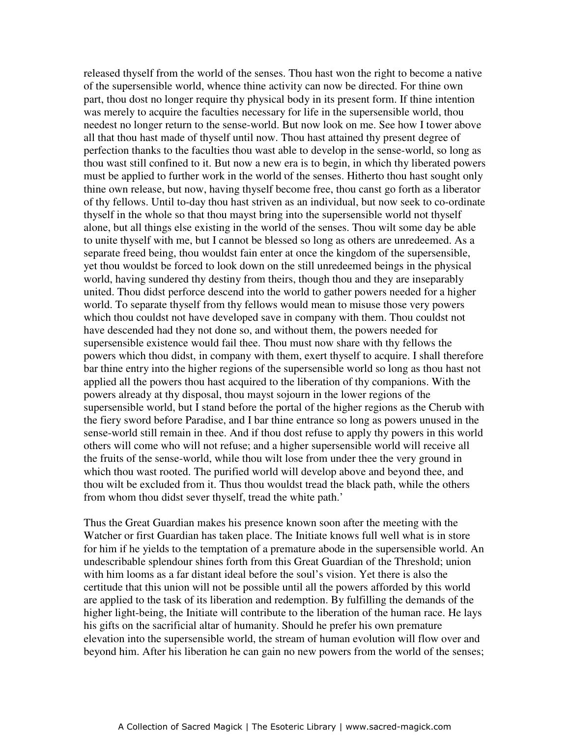released thyself from the world of the senses. Thou hast won the right to become a native of the supersensible world, whence thine activity can now be directed. For thine own part, thou dost no longer require thy physical body in its present form. If thine intention was merely to acquire the faculties necessary for life in the supersensible world, thou needest no longer return to the sense-world. But now look on me. See how I tower above all that thou hast made of thyself until now. Thou hast attained thy present degree of perfection thanks to the faculties thou wast able to develop in the sense-world, so long as thou wast still confined to it. But now a new era is to begin, in which thy liberated powers must be applied to further work in the world of the senses. Hitherto thou hast sought only thine own release, but now, having thyself become free, thou canst go forth as a liberator of thy fellows. Until to-day thou hast striven as an individual, but now seek to co-ordinate thyself in the whole so that thou mayst bring into the supersensible world not thyself alone, but all things else existing in the world of the senses. Thou wilt some day be able to unite thyself with me, but I cannot be blessed so long as others are unredeemed. As a separate freed being, thou wouldst fain enter at once the kingdom of the supersensible, yet thou wouldst be forced to look down on the still unredeemed beings in the physical world, having sundered thy destiny from theirs, though thou and they are inseparably united. Thou didst perforce descend into the world to gather powers needed for a higher world. To separate thyself from thy fellows would mean to misuse those very powers which thou couldst not have developed save in company with them. Thou couldst not have descended had they not done so, and without them, the powers needed for supersensible existence would fail thee. Thou must now share with thy fellows the powers which thou didst, in company with them, exert thyself to acquire. I shall therefore bar thine entry into the higher regions of the supersensible world so long as thou hast not applied all the powers thou hast acquired to the liberation of thy companions. With the powers already at thy disposal, thou mayst sojourn in the lower regions of the supersensible world, but I stand before the portal of the higher regions as the Cherub with the fiery sword before Paradise, and I bar thine entrance so long as powers unused in the sense-world still remain in thee. And if thou dost refuse to apply thy powers in this world others will come who will not refuse; and a higher supersensible world will receive all the fruits of the sense-world, while thou wilt lose from under thee the very ground in which thou wast rooted. The purified world will develop above and beyond thee, and thou wilt be excluded from it. Thus thou wouldst tread the black path, while the others from whom thou didst sever thyself, tread the white path.'

Thus the Great Guardian makes his presence known soon after the meeting with the Watcher or first Guardian has taken place. The Initiate knows full well what is in store for him if he yields to the temptation of a premature abode in the supersensible world. An undescribable splendour shines forth from this Great Guardian of the Threshold; union with him looms as a far distant ideal before the soul's vision. Yet there is also the certitude that this union will not be possible until all the powers afforded by this world are applied to the task of its liberation and redemption. By fulfilling the demands of the higher light-being, the Initiate will contribute to the liberation of the human race. He lays his gifts on the sacrificial altar of humanity. Should he prefer his own premature elevation into the supersensible world, the stream of human evolution will flow over and beyond him. After his liberation he can gain no new powers from the world of the senses;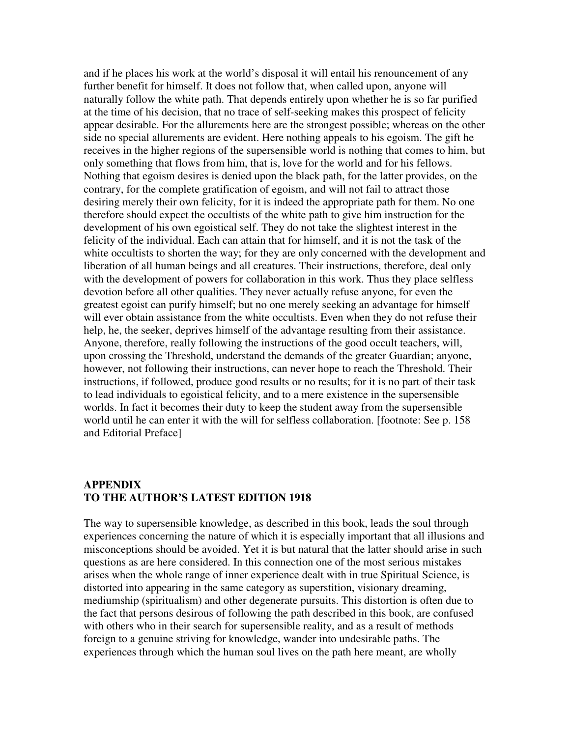and if he places his work at the world's disposal it will entail his renouncement of any further benefit for himself. It does not follow that, when called upon, anyone will naturally follow the white path. That depends entirely upon whether he is so far purified at the time of his decision, that no trace of self-seeking makes this prospect of felicity appear desirable. For the allurements here are the strongest possible; whereas on the other side no special allurements are evident. Here nothing appeals to his egoism. The gift he receives in the higher regions of the supersensible world is nothing that comes to him, but only something that flows from him, that is, love for the world and for his fellows. Nothing that egoism desires is denied upon the black path, for the latter provides, on the contrary, for the complete gratification of egoism, and will not fail to attract those desiring merely their own felicity, for it is indeed the appropriate path for them. No one therefore should expect the occultists of the white path to give him instruction for the development of his own egoistical self. They do not take the slightest interest in the felicity of the individual. Each can attain that for himself, and it is not the task of the white occultists to shorten the way; for they are only concerned with the development and liberation of all human beings and all creatures. Their instructions, therefore, deal only with the development of powers for collaboration in this work. Thus they place selfless devotion before all other qualities. They never actually refuse anyone, for even the greatest egoist can purify himself; but no one merely seeking an advantage for himself will ever obtain assistance from the white occultists. Even when they do not refuse their help, he, the seeker, deprives himself of the advantage resulting from their assistance. Anyone, therefore, really following the instructions of the good occult teachers, will, upon crossing the Threshold, understand the demands of the greater Guardian; anyone, however, not following their instructions, can never hope to reach the Threshold. Their instructions, if followed, produce good results or no results; for it is no part of their task to lead individuals to egoistical felicity, and to a mere existence in the supersensible worlds. In fact it becomes their duty to keep the student away from the supersensible world until he can enter it with the will for selfless collaboration. [footnote: See p. 158 and Editorial Preface]

## **APPENDIX TO THE AUTHOR'S LATEST EDITION 1918**

The way to supersensible knowledge, as described in this book, leads the soul through experiences concerning the nature of which it is especially important that all illusions and misconceptions should be avoided. Yet it is but natural that the latter should arise in such questions as are here considered. In this connection one of the most serious mistakes arises when the whole range of inner experience dealt with in true Spiritual Science, is distorted into appearing in the same category as superstition, visionary dreaming, mediumship (spiritualism) and other degenerate pursuits. This distortion is often due to the fact that persons desirous of following the path described in this book, are confused with others who in their search for supersensible reality, and as a result of methods foreign to a genuine striving for knowledge, wander into undesirable paths. The experiences through which the human soul lives on the path here meant, are wholly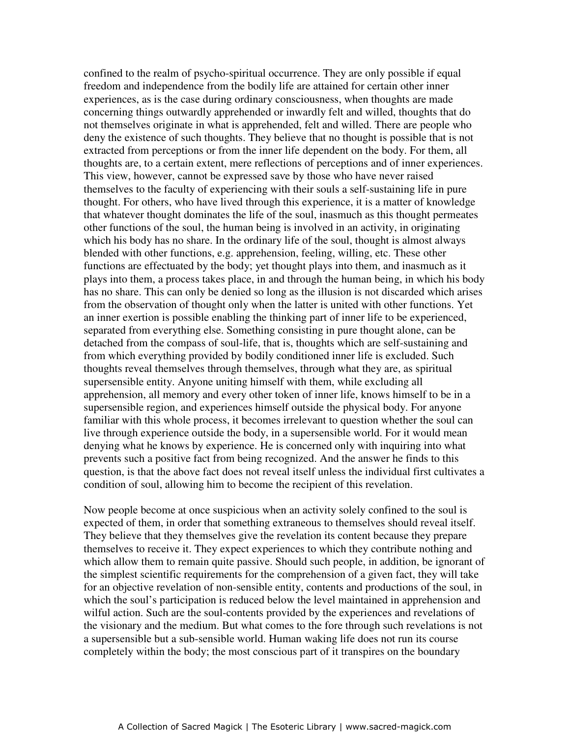confined to the realm of psycho-spiritual occurrence. They are only possible if equal freedom and independence from the bodily life are attained for certain other inner experiences, as is the case during ordinary consciousness, when thoughts are made concerning things outwardly apprehended or inwardly felt and willed, thoughts that do not themselves originate in what is apprehended, felt and willed. There are people who deny the existence of such thoughts. They believe that no thought is possible that is not extracted from perceptions or from the inner life dependent on the body. For them, all thoughts are, to a certain extent, mere reflections of perceptions and of inner experiences. This view, however, cannot be expressed save by those who have never raised themselves to the faculty of experiencing with their souls a self-sustaining life in pure thought. For others, who have lived through this experience, it is a matter of knowledge that whatever thought dominates the life of the soul, inasmuch as this thought permeates other functions of the soul, the human being is involved in an activity, in originating which his body has no share. In the ordinary life of the soul, thought is almost always blended with other functions, e.g. apprehension, feeling, willing, etc. These other functions are effectuated by the body; yet thought plays into them, and inasmuch as it plays into them, a process takes place, in and through the human being, in which his body has no share. This can only be denied so long as the illusion is not discarded which arises from the observation of thought only when the latter is united with other functions. Yet an inner exertion is possible enabling the thinking part of inner life to be experienced, separated from everything else. Something consisting in pure thought alone, can be detached from the compass of soul-life, that is, thoughts which are self-sustaining and from which everything provided by bodily conditioned inner life is excluded. Such thoughts reveal themselves through themselves, through what they are, as spiritual supersensible entity. Anyone uniting himself with them, while excluding all apprehension, all memory and every other token of inner life, knows himself to be in a supersensible region, and experiences himself outside the physical body. For anyone familiar with this whole process, it becomes irrelevant to question whether the soul can live through experience outside the body, in a supersensible world. For it would mean denying what he knows by experience. He is concerned only with inquiring into what prevents such a positive fact from being recognized. And the answer he finds to this question, is that the above fact does not reveal itself unless the individual first cultivates a condition of soul, allowing him to become the recipient of this revelation.

Now people become at once suspicious when an activity solely confined to the soul is expected of them, in order that something extraneous to themselves should reveal itself. They believe that they themselves give the revelation its content because they prepare themselves to receive it. They expect experiences to which they contribute nothing and which allow them to remain quite passive. Should such people, in addition, be ignorant of the simplest scientific requirements for the comprehension of a given fact, they will take for an objective revelation of non-sensible entity, contents and productions of the soul, in which the soul's participation is reduced below the level maintained in apprehension and wilful action. Such are the soul-contents provided by the experiences and revelations of the visionary and the medium. But what comes to the fore through such revelations is not a supersensible but a sub-sensible world. Human waking life does not run its course completely within the body; the most conscious part of it transpires on the boundary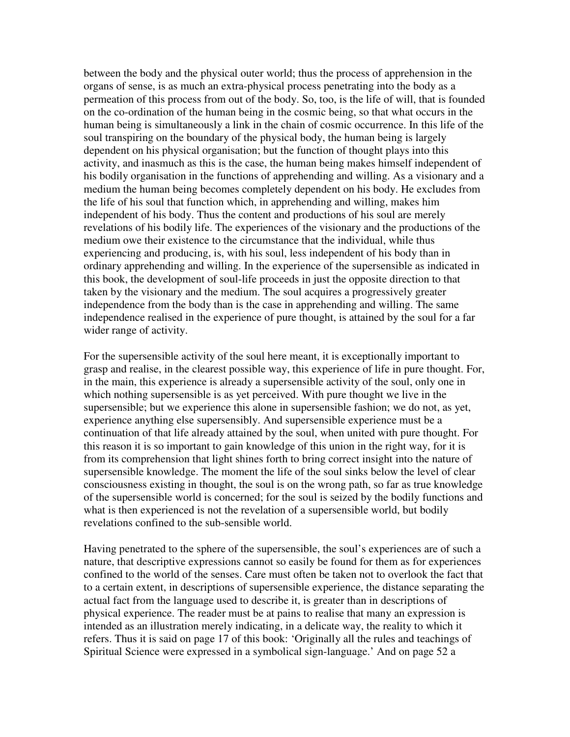between the body and the physical outer world; thus the process of apprehension in the organs of sense, is as much an extra-physical process penetrating into the body as a permeation of this process from out of the body. So, too, is the life of will, that is founded on the co-ordination of the human being in the cosmic being, so that what occurs in the human being is simultaneously a link in the chain of cosmic occurrence. In this life of the soul transpiring on the boundary of the physical body, the human being is largely dependent on his physical organisation; but the function of thought plays into this activity, and inasmuch as this is the case, the human being makes himself independent of his bodily organisation in the functions of apprehending and willing. As a visionary and a medium the human being becomes completely dependent on his body. He excludes from the life of his soul that function which, in apprehending and willing, makes him independent of his body. Thus the content and productions of his soul are merely revelations of his bodily life. The experiences of the visionary and the productions of the medium owe their existence to the circumstance that the individual, while thus experiencing and producing, is, with his soul, less independent of his body than in ordinary apprehending and willing. In the experience of the supersensible as indicated in this book, the development of soul-life proceeds in just the opposite direction to that taken by the visionary and the medium. The soul acquires a progressively greater independence from the body than is the case in apprehending and willing. The same independence realised in the experience of pure thought, is attained by the soul for a far wider range of activity.

For the supersensible activity of the soul here meant, it is exceptionally important to grasp and realise, in the clearest possible way, this experience of life in pure thought. For, in the main, this experience is already a supersensible activity of the soul, only one in which nothing supersensible is as yet perceived. With pure thought we live in the supersensible; but we experience this alone in supersensible fashion; we do not, as yet, experience anything else supersensibly. And supersensible experience must be a continuation of that life already attained by the soul, when united with pure thought. For this reason it is so important to gain knowledge of this union in the right way, for it is from its comprehension that light shines forth to bring correct insight into the nature of supersensible knowledge. The moment the life of the soul sinks below the level of clear consciousness existing in thought, the soul is on the wrong path, so far as true knowledge of the supersensible world is concerned; for the soul is seized by the bodily functions and what is then experienced is not the revelation of a supersensible world, but bodily revelations confined to the sub-sensible world.

Having penetrated to the sphere of the supersensible, the soul's experiences are of such a nature, that descriptive expressions cannot so easily be found for them as for experiences confined to the world of the senses. Care must often be taken not to overlook the fact that to a certain extent, in descriptions of supersensible experience, the distance separating the actual fact from the language used to describe it, is greater than in descriptions of physical experience. The reader must be at pains to realise that many an expression is intended as an illustration merely indicating, in a delicate way, the reality to which it refers. Thus it is said on page 17 of this book: 'Originally all the rules and teachings of Spiritual Science were expressed in a symbolical sign-language.' And on page 52 a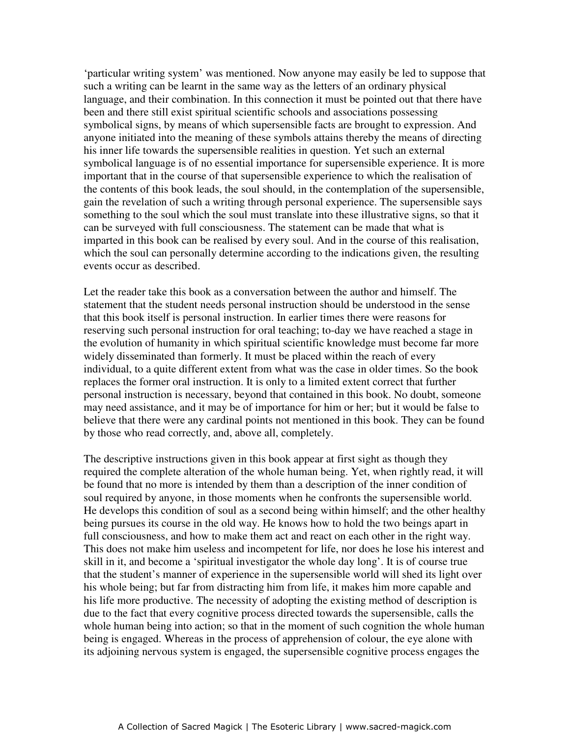'particular writing system' was mentioned. Now anyone may easily be led to suppose that such a writing can be learnt in the same way as the letters of an ordinary physical language, and their combination. In this connection it must be pointed out that there have been and there still exist spiritual scientific schools and associations possessing symbolical signs, by means of which supersensible facts are brought to expression. And anyone initiated into the meaning of these symbols attains thereby the means of directing his inner life towards the supersensible realities in question. Yet such an external symbolical language is of no essential importance for supersensible experience. It is more important that in the course of that supersensible experience to which the realisation of the contents of this book leads, the soul should, in the contemplation of the supersensible, gain the revelation of such a writing through personal experience. The supersensible says something to the soul which the soul must translate into these illustrative signs, so that it can be surveyed with full consciousness. The statement can be made that what is imparted in this book can be realised by every soul. And in the course of this realisation, which the soul can personally determine according to the indications given, the resulting events occur as described.

Let the reader take this book as a conversation between the author and himself. The statement that the student needs personal instruction should be understood in the sense that this book itself is personal instruction. In earlier times there were reasons for reserving such personal instruction for oral teaching; to-day we have reached a stage in the evolution of humanity in which spiritual scientific knowledge must become far more widely disseminated than formerly. It must be placed within the reach of every individual, to a quite different extent from what was the case in older times. So the book replaces the former oral instruction. It is only to a limited extent correct that further personal instruction is necessary, beyond that contained in this book. No doubt, someone may need assistance, and it may be of importance for him or her; but it would be false to believe that there were any cardinal points not mentioned in this book. They can be found by those who read correctly, and, above all, completely.

The descriptive instructions given in this book appear at first sight as though they required the complete alteration of the whole human being. Yet, when rightly read, it will be found that no more is intended by them than a description of the inner condition of soul required by anyone, in those moments when he confronts the supersensible world. He develops this condition of soul as a second being within himself; and the other healthy being pursues its course in the old way. He knows how to hold the two beings apart in full consciousness, and how to make them act and react on each other in the right way. This does not make him useless and incompetent for life, nor does he lose his interest and skill in it, and become a 'spiritual investigator the whole day long'. It is of course true that the student's manner of experience in the supersensible world will shed its light over his whole being; but far from distracting him from life, it makes him more capable and his life more productive. The necessity of adopting the existing method of description is due to the fact that every cognitive process directed towards the supersensible, calls the whole human being into action; so that in the moment of such cognition the whole human being is engaged. Whereas in the process of apprehension of colour, the eye alone with its adjoining nervous system is engaged, the supersensible cognitive process engages the